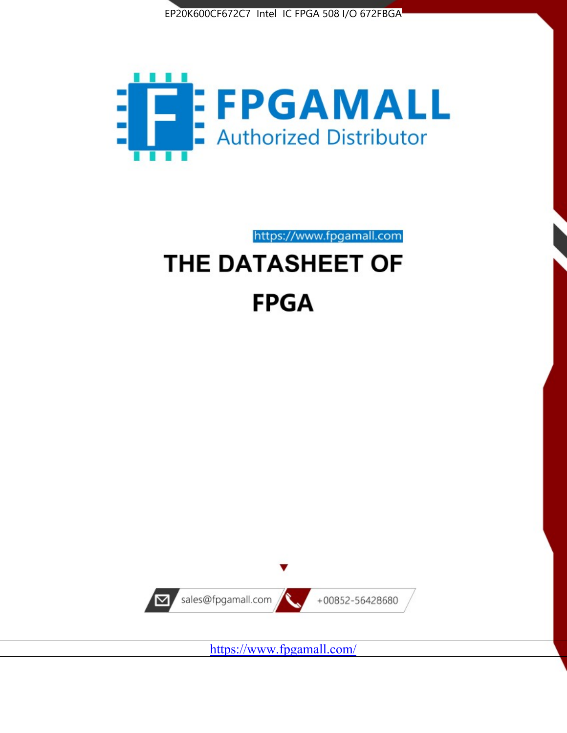



https://www.fpgamall.com THE DATASHEET OF

# **FPGA**



<https://www.fpgamall.com/>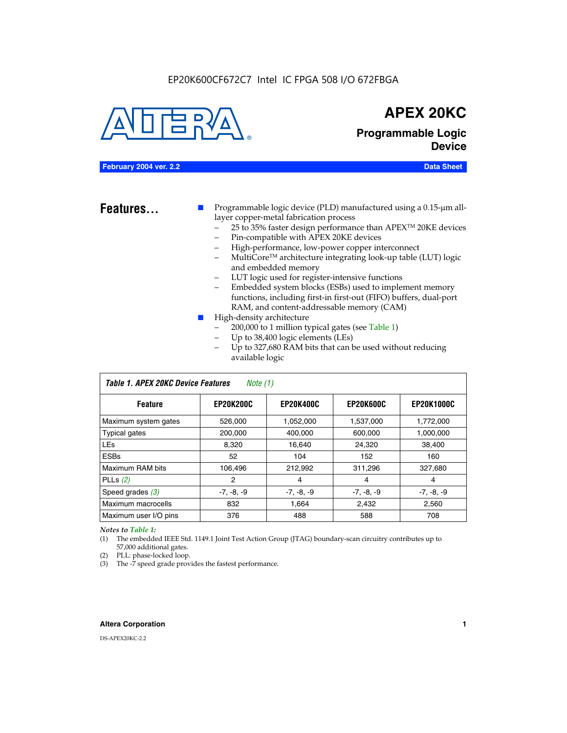#### EP20K600CF672C7 Intel IC FPGA 508 I/O 672FBGA



### **APEX 20KC**

**Programmable Logic Device**

#### **February 2004 ver. 2.2 Data Sheet**

**Features...** ■ Programmable logic device (PLD) manufactured using a 0.15-µm alllayer copper-metal fabrication process

- 25 to 35% faster design performance than APEX<sup>™</sup> 20KE devices
- Pin-compatible with APEX 20KE devices
- High-performance, low-power copper interconnect
- MultiCoreTM architecture integrating look-up table (LUT) logic and embedded memory
- LUT logic used for register-intensive functions
- Embedded system blocks (ESBs) used to implement memory functions, including first-in first-out (FIFO) buffers, dual-port RAM, and content-addressable memory (CAM)
- High-density architecture
	- 200,000 to 1 million typical gates (see Table 1)
	- Up to 38,400 logic elements (LEs)
	- Up to 327,680 RAM bits that can be used without reducing available logic

| Table 1. APEX 20KC Device Features<br>Note $(1)$ |                  |                  |                  |                   |  |  |  |  |
|--------------------------------------------------|------------------|------------------|------------------|-------------------|--|--|--|--|
| <b>Feature</b>                                   | <b>EP20K200C</b> | <b>EP20K400C</b> | <b>EP20K600C</b> | <b>EP20K1000C</b> |  |  |  |  |
| Maximum system gates                             | 526,000          | 1,052,000        | 1,537,000        | 1,772,000         |  |  |  |  |
| <b>Typical gates</b>                             | 200,000          | 400,000          | 600,000          | 1,000,000         |  |  |  |  |
| <b>LEs</b>                                       | 8.320            | 16,640           | 24,320           | 38,400            |  |  |  |  |
| <b>ESBs</b>                                      | 52               | 104              | 152              | 160               |  |  |  |  |
| Maximum RAM bits                                 | 106,496          | 212,992          | 311,296          | 327,680           |  |  |  |  |
| PLLs $(2)$                                       | 2                | 4                | 4                | 4                 |  |  |  |  |
| Speed grades $(3)$                               | $-7, -8, -9$     | $-7, -8, -9$     | $-7, -8, -9$     | $-7, -8, -9$      |  |  |  |  |
| Maximum macrocells                               | 832              | 1.664            | 2,432            | 2,560             |  |  |  |  |
| Maximum user I/O pins                            | 376              | 488              | 588              | 708               |  |  |  |  |

#### *Notes to Table 1:*

(1) The embedded IEEE Std. 1149.1 Joint Test Action Group (JTAG) boundary-scan circuitry contributes up to 57,000 additional gates.

- (2) PLL: phase-locked loop.
- (3) The -7 speed grade provides the fastest performance.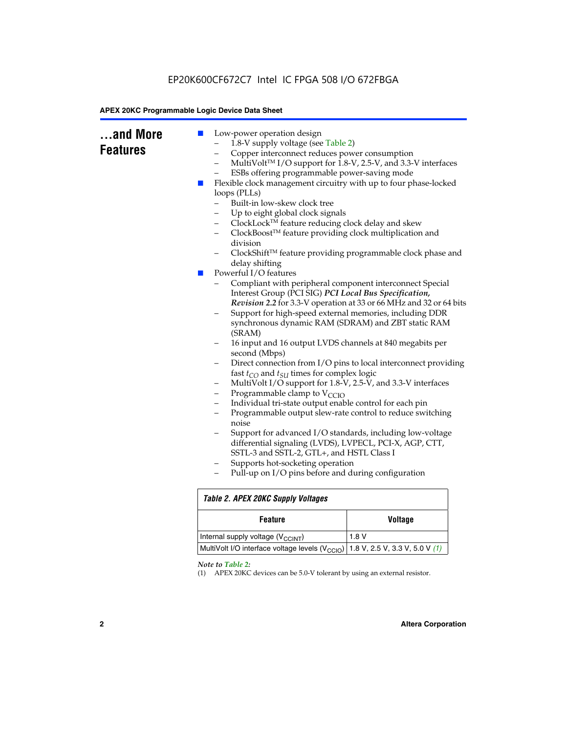### EP20K600CF672C7 Intel IC FPGA 508 I/O 672FBGA

#### **APEX 20KC Programmable Logic Device Data Sheet**

| and More<br><b>Features</b> | Low-power operation design<br>ш<br>1.8-V supply voltage (see Table 2)<br>Copper interconnect reduces power consumption<br>-<br>$\overline{\phantom{0}}$<br>ESBs offering programmable power-saving mode<br>Flexible clock management circuitry with up to four phase-locked<br><b>Contract</b><br>loops (PLLs)<br>Built-in low-skew clock tree<br>Up to eight global clock signals<br>ClockLock™ feature reducing clock delay and skew<br>-<br>ClockBoost™ feature providing clock multiplication and<br>-<br>division<br>delay shifting<br>Powerful I/O features<br>$\mathcal{L}_{\mathcal{A}}$<br>Compliant with peripheral component interconnect Special<br>Interest Group (PCI SIG) PCI Local Bus Specification,<br>Support for high-speed external memories, including DDR<br>synchronous dynamic RAM (SDRAM) and ZBT static RAM<br>(SRAM)<br>16 input and 16 output LVDS channels at 840 megabits per<br>second (Mbps)<br>-<br>fast $t_{CO}$ and $t_{SU}$ times for complex logic<br>MultiVolt I/O support for 1.8-V, 2.5-V, and 3.3-V interfaces<br>-<br>Programmable clamp to $V_{\text{CCIO}}$<br>-<br>Individual tri-state output enable control for each pin<br>$\overline{\phantom{0}}$<br>Programmable output slew-rate control to reduce switching<br>—<br>noise<br>Support for advanced I/O standards, including low-voltage<br>differential signaling (LVDS), LVPECL, PCI-X, AGP, CTT,<br>SSTL-3 and SSTL-2, GTL+, and HSTL Class I<br>Supports hot-socketing operation<br>-<br>Pull-up on I/O pins before and during configuration | MultiVolt™ I/O support for 1.8-V, 2.5-V, and 3.3-V interfaces<br>ClockShift™ feature providing programmable clock phase and<br>Revision 2.2 for 3.3-V operation at 33 or 66 MHz and 32 or 64 bits<br>Direct connection from I/O pins to local interconnect providing |  |  |  |  |
|-----------------------------|------------------------------------------------------------------------------------------------------------------------------------------------------------------------------------------------------------------------------------------------------------------------------------------------------------------------------------------------------------------------------------------------------------------------------------------------------------------------------------------------------------------------------------------------------------------------------------------------------------------------------------------------------------------------------------------------------------------------------------------------------------------------------------------------------------------------------------------------------------------------------------------------------------------------------------------------------------------------------------------------------------------------------------------------------------------------------------------------------------------------------------------------------------------------------------------------------------------------------------------------------------------------------------------------------------------------------------------------------------------------------------------------------------------------------------------------------------------------------------------------------------------------------------------------------|----------------------------------------------------------------------------------------------------------------------------------------------------------------------------------------------------------------------------------------------------------------------|--|--|--|--|
|                             | <b>Table 2. APEX 20KC Supply Voltages</b>                                                                                                                                                                                                                                                                                                                                                                                                                                                                                                                                                                                                                                                                                                                                                                                                                                                                                                                                                                                                                                                                                                                                                                                                                                                                                                                                                                                                                                                                                                            |                                                                                                                                                                                                                                                                      |  |  |  |  |
|                             | <b>Feature</b>                                                                                                                                                                                                                                                                                                                                                                                                                                                                                                                                                                                                                                                                                                                                                                                                                                                                                                                                                                                                                                                                                                                                                                                                                                                                                                                                                                                                                                                                                                                                       | <b>Voltage</b>                                                                                                                                                                                                                                                       |  |  |  |  |
|                             | Internal supply voltage (V <sub>CCINT</sub> )                                                                                                                                                                                                                                                                                                                                                                                                                                                                                                                                                                                                                                                                                                                                                                                                                                                                                                                                                                                                                                                                                                                                                                                                                                                                                                                                                                                                                                                                                                        | 1.8 V                                                                                                                                                                                                                                                                |  |  |  |  |
|                             | MultiVolt I/O interface voltage levels (V <sub>CCIO</sub> )<br>1.8 V, 2.5 V, 3.3 V, 5.0 V $(1)$                                                                                                                                                                                                                                                                                                                                                                                                                                                                                                                                                                                                                                                                                                                                                                                                                                                                                                                                                                                                                                                                                                                                                                                                                                                                                                                                                                                                                                                      |                                                                                                                                                                                                                                                                      |  |  |  |  |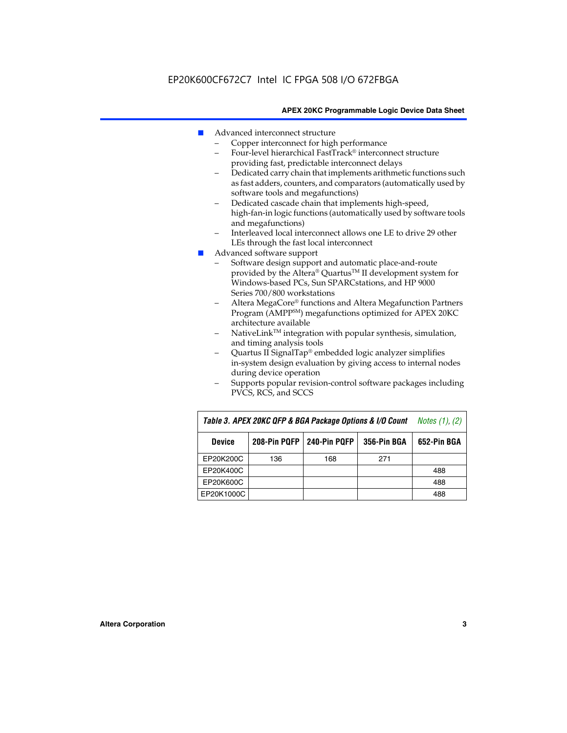- Advanced interconnect structure
	- Copper interconnect for high performance
	- Four-level hierarchical FastTrack® interconnect structure providing fast, predictable interconnect delays
	- Dedicated carry chain that implements arithmetic functions such as fast adders, counters, and comparators (automatically used by software tools and megafunctions)
	- Dedicated cascade chain that implements high-speed, high-fan-in logic functions (automatically used by software tools and megafunctions)
	- Interleaved local interconnect allows one LE to drive 29 other LEs through the fast local interconnect
- Advanced software support
	- Software design support and automatic place-and-route provided by the Altera® Quartus™ II development system for Windows-based PCs, Sun SPARCstations, and HP 9000 Series 700/800 workstations
	- Altera MegaCore® functions and Altera Megafunction Partners Program (AMPPSM) megafunctions optimized for APEX 20KC architecture available
	- $N$ ativeLink<sup>TM</sup> integration with popular synthesis, simulation, and timing analysis tools
	- Quartus II SignalTap® embedded logic analyzer simplifies in-system design evaluation by giving access to internal nodes during device operation
	- Supports popular revision-control software packages including PVCS, RCS, and SCCS

| Table 3. APEX 20KC QFP & BGA Package Options & I/O Count     | <i>Notes <math>(1)</math>, <math>(2)</math></i> |     |     |             |
|--------------------------------------------------------------|-------------------------------------------------|-----|-----|-------------|
| 240-Pin PQFP<br>208-Pin PQFP<br>356-Pin BGA<br><b>Device</b> |                                                 |     |     | 652-Pin BGA |
| EP20K200C                                                    | 136                                             | 168 | 271 |             |
| EP20K400C                                                    |                                                 |     |     | 488         |
| EP20K600C                                                    |                                                 |     |     | 488         |
| EP20K1000C                                                   |                                                 |     |     | 488         |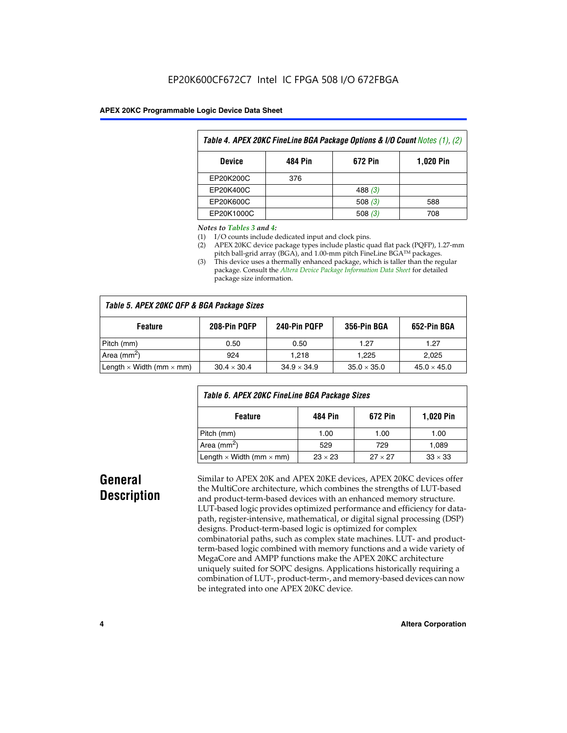| Table 4. APEX 20KC FineLine BGA Package Options & I/O Count Notes (1), (2) |     |           |     |  |  |  |  |
|----------------------------------------------------------------------------|-----|-----------|-----|--|--|--|--|
| 672 Pin<br>484 Pin<br><b>1,020 Pin</b><br><b>Device</b>                    |     |           |     |  |  |  |  |
| EP20K200C                                                                  | 376 |           |     |  |  |  |  |
| EP20K400C                                                                  |     | 488 $(3)$ |     |  |  |  |  |
| EP20K600C                                                                  |     | 508 $(3)$ | 588 |  |  |  |  |
| EP20K1000C                                                                 |     | 508(3)    | 708 |  |  |  |  |

#### *Notes to Tables 3 and 4:*

- (1) I/O counts include dedicated input and clock pins.
- (2) APEX 20KC device package types include plastic quad flat pack (PQFP), 1.27-mm pitch ball-grid array (BGA), and 1.00-mm pitch FineLine BGA™ packages.
- (3) This device uses a thermally enhanced package, which is taller than the regular package. Consult the *Altera Device Package Information Data Sheet* for detailed package size information.

| Table 5. APEX 20KC QFP & BGA Package Sizes |                    |                    |                    |                    |  |  |  |  |
|--------------------------------------------|--------------------|--------------------|--------------------|--------------------|--|--|--|--|
| <b>Feature</b>                             | 208-Pin PQFP       | 240-Pin PQFP       | 356-Pin BGA        | 652-Pin BGA        |  |  |  |  |
| Pitch (mm)                                 | 0.50               | 0.50               | 1.27               | 1.27               |  |  |  |  |
| Area ( $mm2$ )                             | 924                | 1.218              | 1.225              | 2,025              |  |  |  |  |
| Length $\times$ Width (mm $\times$ mm)     | $30.4 \times 30.4$ | $34.9 \times 34.9$ | $35.0 \times 35.0$ | $45.0 \times 45.0$ |  |  |  |  |

| Table 6. APEX 20KC FineLine BGA Package Sizes            |                |                |                |  |  |  |  |
|----------------------------------------------------------|----------------|----------------|----------------|--|--|--|--|
| <b>1,020 Pin</b><br>484 Pin<br>672 Pin<br><b>Feature</b> |                |                |                |  |  |  |  |
| Pitch (mm)                                               | 1.00           | 1.00           | 1.00           |  |  |  |  |
| Area ( $mm2$ )                                           | 529            | 729            | 1.089          |  |  |  |  |
| Length $\times$ Width (mm $\times$ mm)                   | $23 \times 23$ | $27 \times 27$ | $33 \times 33$ |  |  |  |  |

### **General Description**

Similar to APEX 20K and APEX 20KE devices, APEX 20KC devices offer the MultiCore architecture, which combines the strengths of LUT-based and product-term-based devices with an enhanced memory structure. LUT-based logic provides optimized performance and efficiency for datapath, register-intensive, mathematical, or digital signal processing (DSP) designs. Product-term-based logic is optimized for complex combinatorial paths, such as complex state machines. LUT- and productterm-based logic combined with memory functions and a wide variety of MegaCore and AMPP functions make the APEX 20KC architecture uniquely suited for SOPC designs. Applications historically requiring a combination of LUT-, product-term-, and memory-based devices can now be integrated into one APEX 20KC device.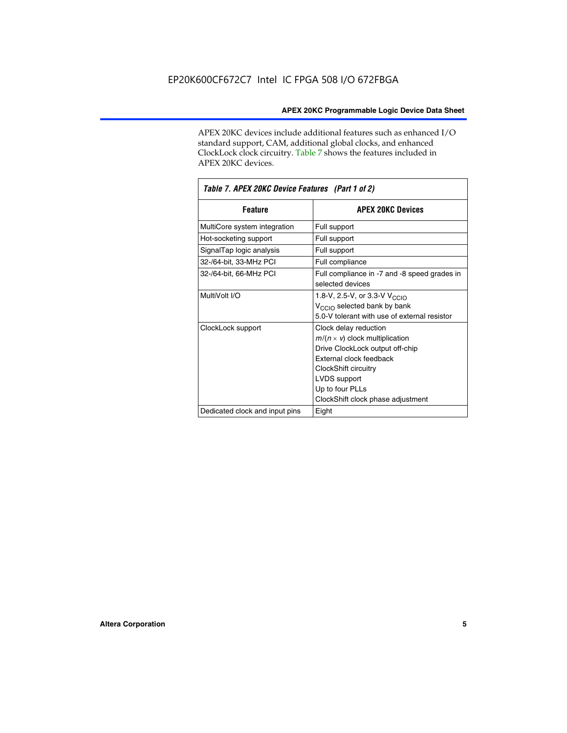APEX 20KC devices include additional features such as enhanced I/O standard support, CAM, additional global clocks, and enhanced ClockLock clock circuitry. Table 7 shows the features included in APEX 20KC devices.

| Table 7. APEX 20KC Device Features (Part 1 of 2) |                                                                                                                                                                                                                              |  |  |  |  |
|--------------------------------------------------|------------------------------------------------------------------------------------------------------------------------------------------------------------------------------------------------------------------------------|--|--|--|--|
| <b>Feature</b>                                   | <b>APEX 20KC Devices</b>                                                                                                                                                                                                     |  |  |  |  |
| MultiCore system integration                     | Full support                                                                                                                                                                                                                 |  |  |  |  |
| Hot-socketing support                            | Full support                                                                                                                                                                                                                 |  |  |  |  |
| SignalTap logic analysis                         | Full support                                                                                                                                                                                                                 |  |  |  |  |
| 32-/64-bit, 33-MHz PCI                           | Full compliance                                                                                                                                                                                                              |  |  |  |  |
| 32-/64-bit, 66-MHz PCI                           | Full compliance in -7 and -8 speed grades in<br>selected devices                                                                                                                                                             |  |  |  |  |
| MultiVolt I/O                                    | 1.8-V, 2.5-V, or 3.3-V V <sub>CCIO</sub><br>V <sub>CCIO</sub> selected bank by bank<br>5.0-V tolerant with use of external resistor                                                                                          |  |  |  |  |
| ClockLock support                                | Clock delay reduction<br>$m/(n \times v)$ clock multiplication<br>Drive ClockLock output off-chip<br>External clock feedback<br>ClockShift circuitry<br>LVDS support<br>Up to four PLLs<br>ClockShift clock phase adjustment |  |  |  |  |
| Dedicated clock and input pins                   | Eight                                                                                                                                                                                                                        |  |  |  |  |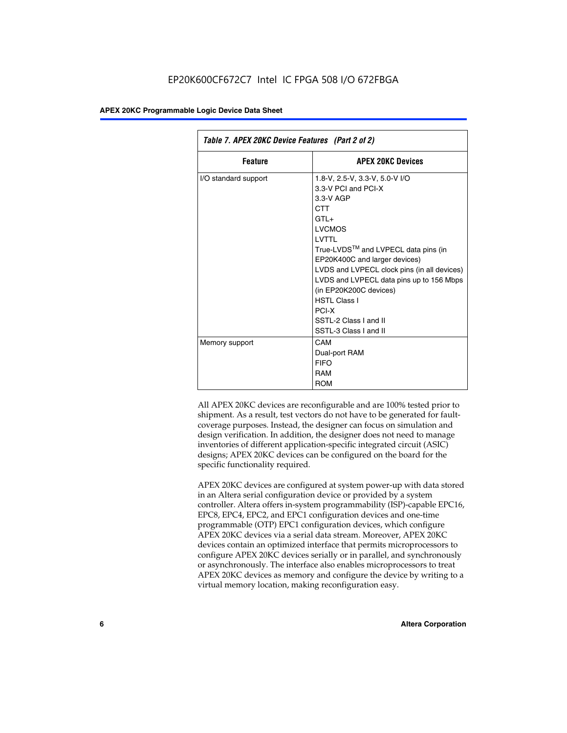| Table 7. APEX 20KC Device Features (Part 2 of 2) |                                                                                                                                                                                                                                                                                                                                                                                                        |  |  |  |  |
|--------------------------------------------------|--------------------------------------------------------------------------------------------------------------------------------------------------------------------------------------------------------------------------------------------------------------------------------------------------------------------------------------------------------------------------------------------------------|--|--|--|--|
| <b>Feature</b>                                   | <b>APEX 20KC Devices</b>                                                                                                                                                                                                                                                                                                                                                                               |  |  |  |  |
| I/O standard support                             | 1.8-V, 2.5-V, 3.3-V, 5.0-V I/O<br>3.3-V PCI and PCI-X<br>$3.3-V$ AGP<br><b>CTT</b><br>$GTL+$<br><b>LVCMOS</b><br>I VTTI<br>True-LVDS™ and LVPECL data pins (in<br>EP20K400C and larger devices)<br>LVDS and LVPECL clock pins (in all devices)<br>LVDS and LVPECL data pins up to 156 Mbps<br>(in EP20K200C devices)<br><b>HSTI Class I</b><br>PCI-X<br>SSTL-2 Class I and II<br>SSTL-3 Class I and II |  |  |  |  |
| Memory support                                   | CAM<br>Dual-port RAM<br><b>FIFO</b><br><b>RAM</b><br>ROM                                                                                                                                                                                                                                                                                                                                               |  |  |  |  |

All APEX 20KC devices are reconfigurable and are 100% tested prior to shipment. As a result, test vectors do not have to be generated for faultcoverage purposes. Instead, the designer can focus on simulation and design verification. In addition, the designer does not need to manage inventories of different application-specific integrated circuit (ASIC) designs; APEX 20KC devices can be configured on the board for the specific functionality required.

APEX 20KC devices are configured at system power-up with data stored in an Altera serial configuration device or provided by a system controller. Altera offers in-system programmability (ISP)-capable EPC16, EPC8, EPC4, EPC2, and EPC1 configuration devices and one-time programmable (OTP) EPC1 configuration devices, which configure APEX 20KC devices via a serial data stream. Moreover, APEX 20KC devices contain an optimized interface that permits microprocessors to configure APEX 20KC devices serially or in parallel, and synchronously or asynchronously. The interface also enables microprocessors to treat APEX 20KC devices as memory and configure the device by writing to a virtual memory location, making reconfiguration easy.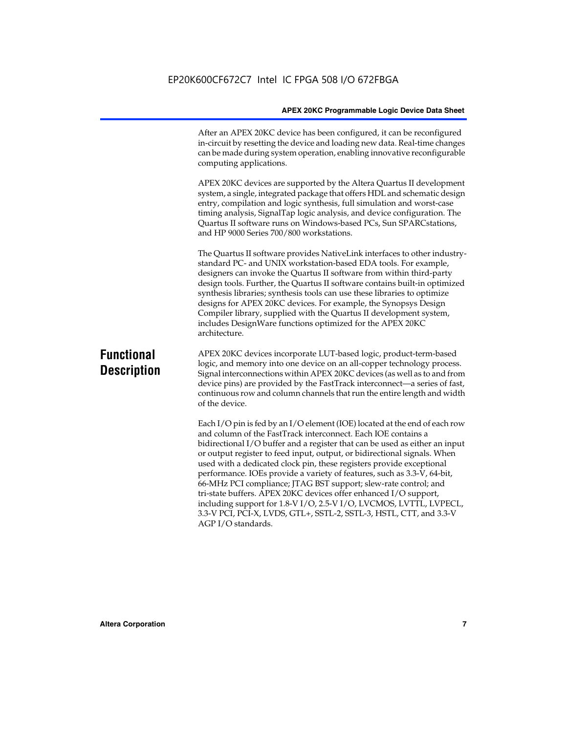After an APEX 20KC device has been configured, it can be reconfigured in-circuit by resetting the device and loading new data. Real-time changes can be made during system operation, enabling innovative reconfigurable computing applications.

APEX 20KC devices are supported by the Altera Quartus II development system, a single, integrated package that offers HDL and schematic design entry, compilation and logic synthesis, full simulation and worst-case timing analysis, SignalTap logic analysis, and device configuration. The Quartus II software runs on Windows-based PCs, Sun SPARCstations, and HP 9000 Series 700/800 workstations.

The Quartus II software provides NativeLink interfaces to other industrystandard PC- and UNIX workstation-based EDA tools. For example, designers can invoke the Quartus II software from within third-party design tools. Further, the Quartus II software contains built-in optimized synthesis libraries; synthesis tools can use these libraries to optimize designs for APEX 20KC devices. For example, the Synopsys Design Compiler library, supplied with the Quartus II development system, includes DesignWare functions optimized for the APEX 20KC architecture.

### **Functional Description**

APEX 20KC devices incorporate LUT-based logic, product-term-based logic, and memory into one device on an all-copper technology process. Signal interconnections within APEX 20KC devices (as well as to and from device pins) are provided by the FastTrack interconnect—a series of fast, continuous row and column channels that run the entire length and width of the device.

Each I/O pin is fed by an I/O element (IOE) located at the end of each row and column of the FastTrack interconnect. Each IOE contains a bidirectional I/O buffer and a register that can be used as either an input or output register to feed input, output, or bidirectional signals. When used with a dedicated clock pin, these registers provide exceptional performance. IOEs provide a variety of features, such as 3.3-V, 64-bit, 66-MHz PCI compliance; JTAG BST support; slew-rate control; and tri-state buffers. APEX 20KC devices offer enhanced I/O support, including support for 1.8-V I/O, 2.5-V I/O, LVCMOS, LVTTL, LVPECL, 3.3-V PCI, PCI-X, LVDS, GTL+, SSTL-2, SSTL-3, HSTL, CTT, and 3.3-V AGP I/O standards.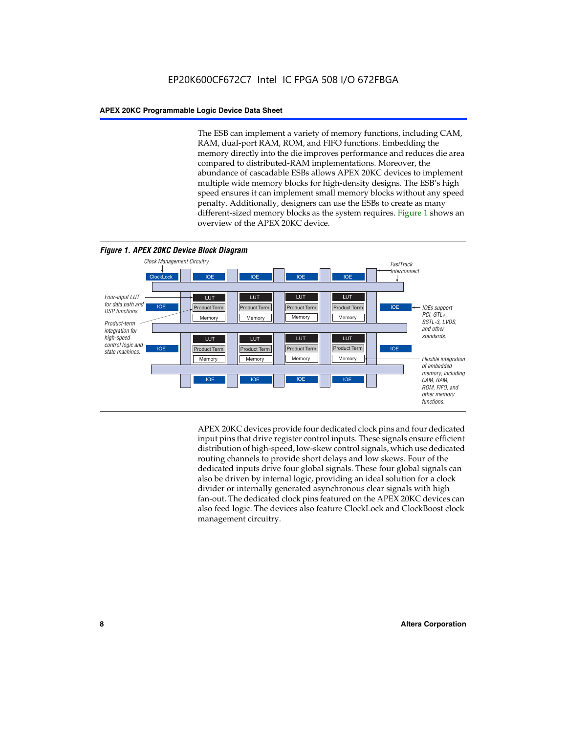The ESB can implement a variety of memory functions, including CAM, RAM, dual-port RAM, ROM, and FIFO functions. Embedding the memory directly into the die improves performance and reduces die area compared to distributed-RAM implementations. Moreover, the abundance of cascadable ESBs allows APEX 20KC devices to implement multiple wide memory blocks for high-density designs. The ESB's high speed ensures it can implement small memory blocks without any speed penalty. Additionally, designers can use the ESBs to create as many different-sized memory blocks as the system requires. Figure 1 shows an overview of the APEX 20KC device.



APEX 20KC devices provide four dedicated clock pins and four dedicated input pins that drive register control inputs. These signals ensure efficient distribution of high-speed, low-skew control signals, which use dedicated routing channels to provide short delays and low skews. Four of the dedicated inputs drive four global signals. These four global signals can also be driven by internal logic, providing an ideal solution for a clock divider or internally generated asynchronous clear signals with high fan-out. The dedicated clock pins featured on the APEX 20KC devices can also feed logic. The devices also feature ClockLock and ClockBoost clock management circuitry.

#### **8 Altera Corporation**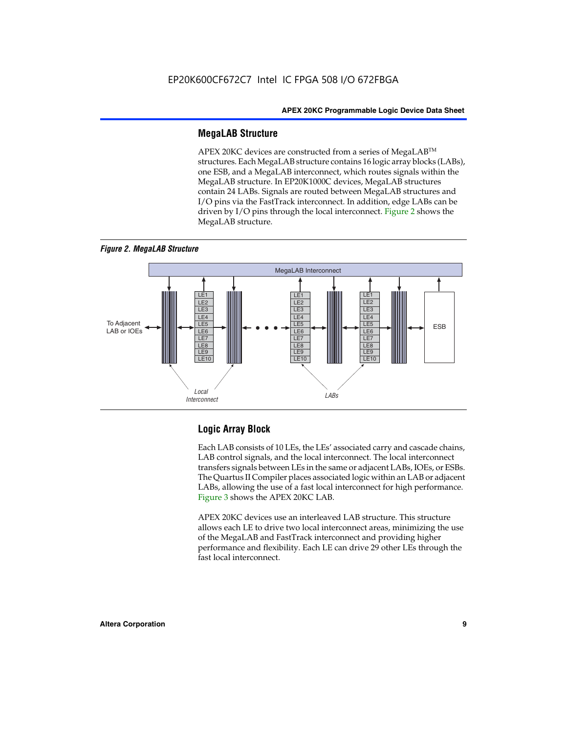#### **MegaLAB Structure**

APEX 20KC devices are constructed from a series of MegaLAB™ structures. Each MegaLAB structure contains 16 logic array blocks (LABs), one ESB, and a MegaLAB interconnect, which routes signals within the MegaLAB structure. In EP20K1000C devices, MegaLAB structures contain 24 LABs. Signals are routed between MegaLAB structures and I/O pins via the FastTrack interconnect. In addition, edge LABs can be driven by I/O pins through the local interconnect. Figure 2 shows the MegaLAB structure.





#### **Logic Array Block**

Each LAB consists of 10 LEs, the LEs' associated carry and cascade chains, LAB control signals, and the local interconnect. The local interconnect transfers signals between LEs in the same or adjacent LABs, IOEs, or ESBs. The Quartus II Compiler places associated logic within an LAB or adjacent LABs, allowing the use of a fast local interconnect for high performance. Figure 3 shows the APEX 20KC LAB.

APEX 20KC devices use an interleaved LAB structure. This structure allows each LE to drive two local interconnect areas, minimizing the use of the MegaLAB and FastTrack interconnect and providing higher performance and flexibility. Each LE can drive 29 other LEs through the fast local interconnect.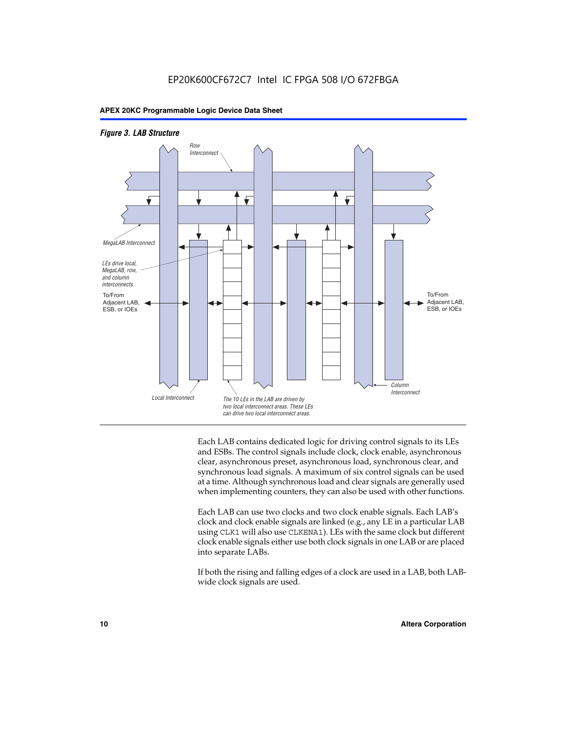



Each LAB contains dedicated logic for driving control signals to its LEs and ESBs. The control signals include clock, clock enable, asynchronous clear, asynchronous preset, asynchronous load, synchronous clear, and synchronous load signals. A maximum of six control signals can be used at a time. Although synchronous load and clear signals are generally used when implementing counters, they can also be used with other functions.

Each LAB can use two clocks and two clock enable signals. Each LAB's clock and clock enable signals are linked (e.g., any LE in a particular LAB using CLK1 will also use CLKENA1). LEs with the same clock but different clock enable signals either use both clock signals in one LAB or are placed into separate LABs.

If both the rising and falling edges of a clock are used in a LAB, both LABwide clock signals are used.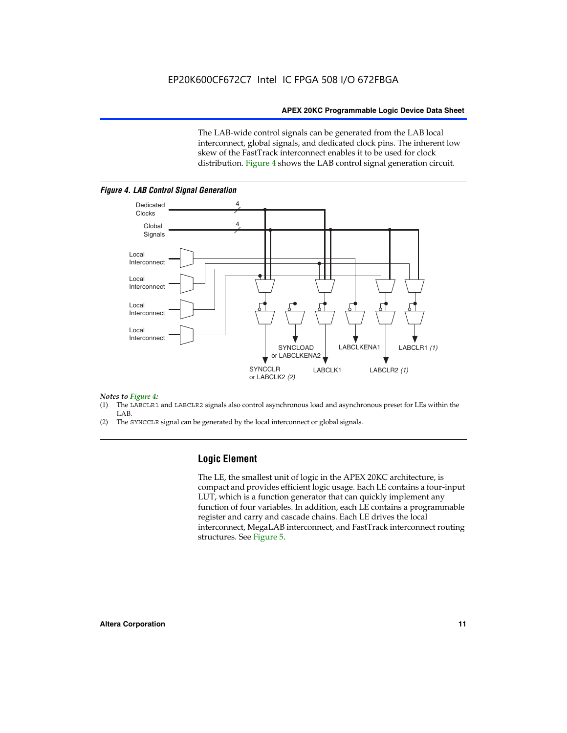The LAB-wide control signals can be generated from the LAB local interconnect, global signals, and dedicated clock pins. The inherent low skew of the FastTrack interconnect enables it to be used for clock distribution. Figure 4 shows the LAB control signal generation circuit.



#### *Figure 4. LAB Control Signal Generation*

## *Notes to Figure 4:*

- (1) The LABCLR1 and LABCLR2 signals also control asynchronous load and asynchronous preset for LEs within the LAB.
- (2) The SYNCCLR signal can be generated by the local interconnect or global signals.

#### **Logic Element**

The LE, the smallest unit of logic in the APEX 20KC architecture, is compact and provides efficient logic usage. Each LE contains a four-input LUT, which is a function generator that can quickly implement any function of four variables. In addition, each LE contains a programmable register and carry and cascade chains. Each LE drives the local interconnect, MegaLAB interconnect, and FastTrack interconnect routing structures. See Figure 5.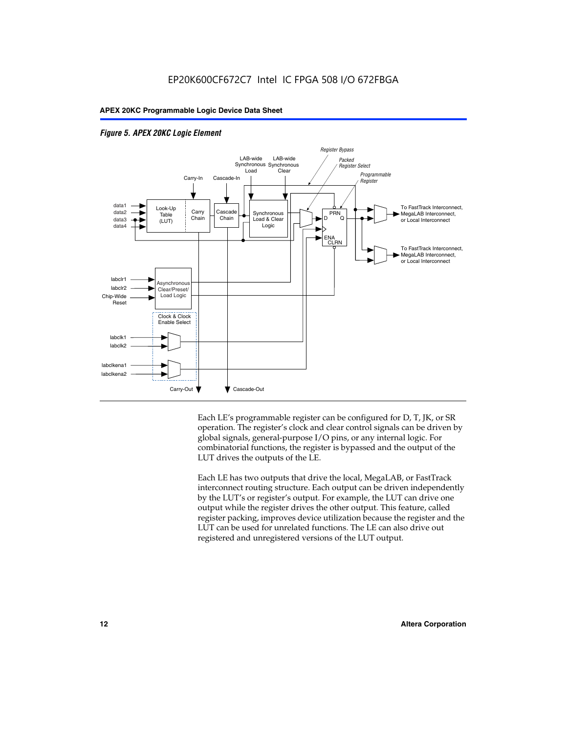



Each LE's programmable register can be configured for D, T, JK, or SR operation. The register's clock and clear control signals can be driven by global signals, general-purpose I/O pins, or any internal logic. For combinatorial functions, the register is bypassed and the output of the LUT drives the outputs of the LE.

Each LE has two outputs that drive the local, MegaLAB, or FastTrack interconnect routing structure. Each output can be driven independently by the LUT's or register's output. For example, the LUT can drive one output while the register drives the other output. This feature, called register packing, improves device utilization because the register and the LUT can be used for unrelated functions. The LE can also drive out registered and unregistered versions of the LUT output.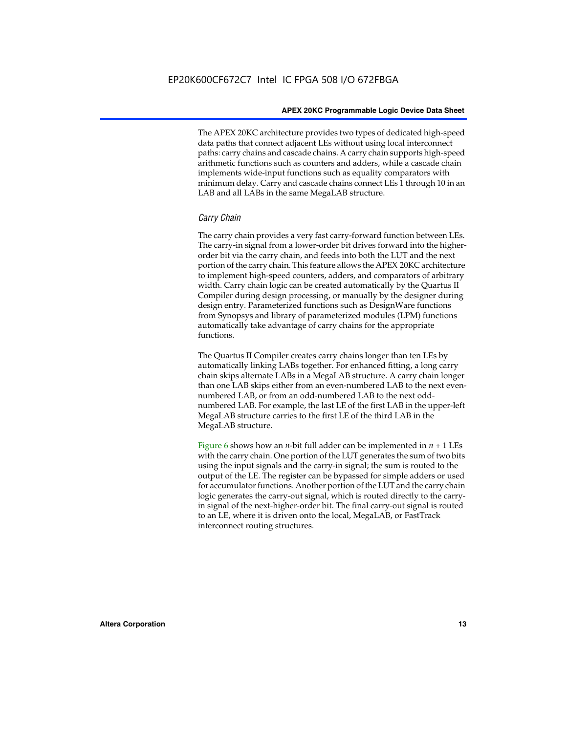The APEX 20KC architecture provides two types of dedicated high-speed data paths that connect adjacent LEs without using local interconnect paths: carry chains and cascade chains. A carry chain supports high-speed arithmetic functions such as counters and adders, while a cascade chain implements wide-input functions such as equality comparators with minimum delay. Carry and cascade chains connect LEs 1 through 10 in an LAB and all LABs in the same MegaLAB structure.

#### *Carry Chain*

The carry chain provides a very fast carry-forward function between LEs. The carry-in signal from a lower-order bit drives forward into the higherorder bit via the carry chain, and feeds into both the LUT and the next portion of the carry chain. This feature allows the APEX 20KC architecture to implement high-speed counters, adders, and comparators of arbitrary width. Carry chain logic can be created automatically by the Quartus II Compiler during design processing, or manually by the designer during design entry. Parameterized functions such as DesignWare functions from Synopsys and library of parameterized modules (LPM) functions automatically take advantage of carry chains for the appropriate functions.

The Quartus II Compiler creates carry chains longer than ten LEs by automatically linking LABs together. For enhanced fitting, a long carry chain skips alternate LABs in a MegaLAB structure. A carry chain longer than one LAB skips either from an even-numbered LAB to the next evennumbered LAB, or from an odd-numbered LAB to the next oddnumbered LAB. For example, the last LE of the first LAB in the upper-left MegaLAB structure carries to the first LE of the third LAB in the MegaLAB structure.

Figure 6 shows how an *n*-bit full adder can be implemented in  $n + 1$  LEs with the carry chain. One portion of the LUT generates the sum of two bits using the input signals and the carry-in signal; the sum is routed to the output of the LE. The register can be bypassed for simple adders or used for accumulator functions. Another portion of the LUT and the carry chain logic generates the carry-out signal, which is routed directly to the carryin signal of the next-higher-order bit. The final carry-out signal is routed to an LE, where it is driven onto the local, MegaLAB, or FastTrack interconnect routing structures.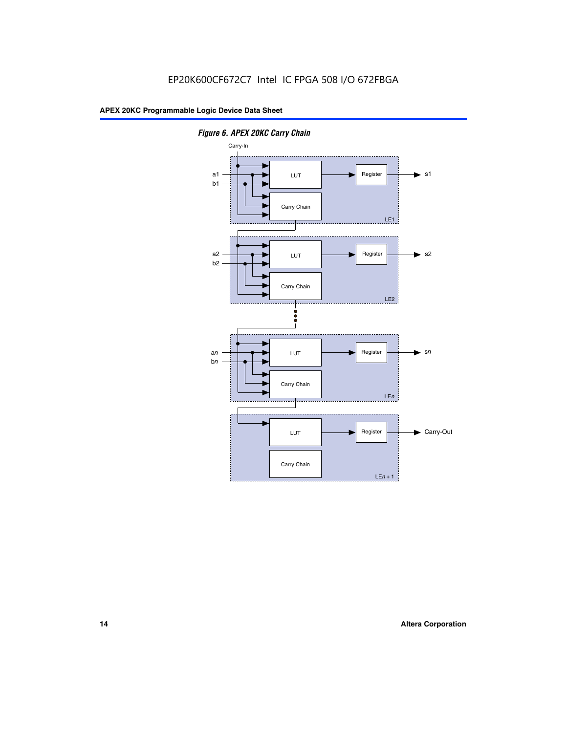

*Figure 6. APEX 20KC Carry Chain*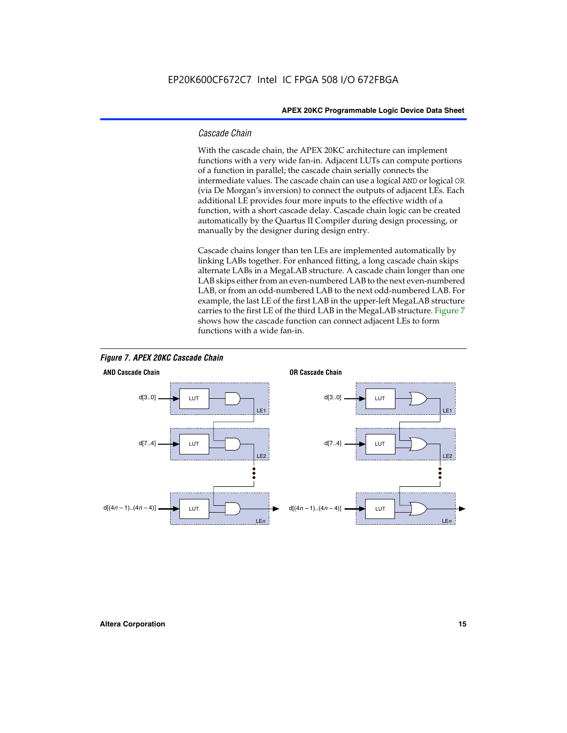#### *Cascade Chain*

With the cascade chain, the APEX 20KC architecture can implement functions with a very wide fan-in. Adjacent LUTs can compute portions of a function in parallel; the cascade chain serially connects the intermediate values. The cascade chain can use a logical AND or logical OR (via De Morgan's inversion) to connect the outputs of adjacent LEs. Each additional LE provides four more inputs to the effective width of a function, with a short cascade delay. Cascade chain logic can be created automatically by the Quartus II Compiler during design processing, or manually by the designer during design entry.

Cascade chains longer than ten LEs are implemented automatically by linking LABs together. For enhanced fitting, a long cascade chain skips alternate LABs in a MegaLAB structure. A cascade chain longer than one LAB skips either from an even-numbered LAB to the next even-numbered LAB, or from an odd-numbered LAB to the next odd-numbered LAB. For example, the last LE of the first LAB in the upper-left MegaLAB structure carries to the first LE of the third LAB in the MegaLAB structure. Figure 7 shows how the cascade function can connect adjacent LEs to form functions with a wide fan-in.



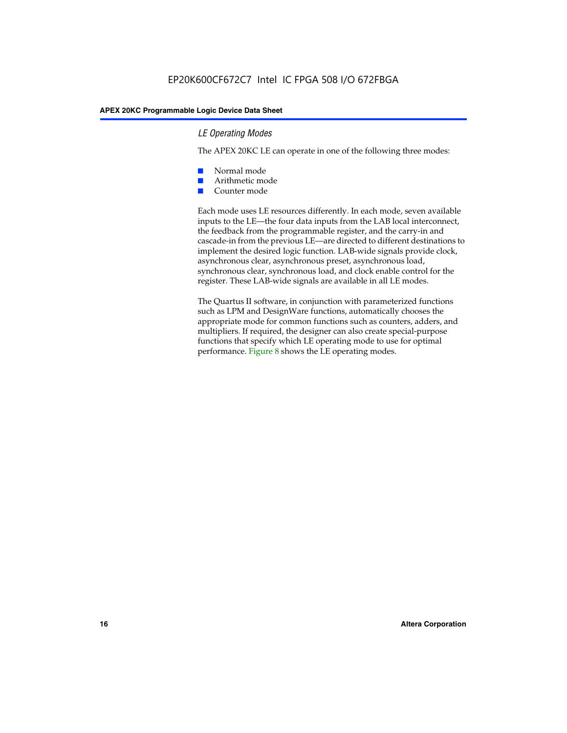#### *LE Operating Modes*

The APEX 20KC LE can operate in one of the following three modes:

- Normal mode
- Arithmetic mode
- Counter mode

Each mode uses LE resources differently. In each mode, seven available inputs to the LE—the four data inputs from the LAB local interconnect, the feedback from the programmable register, and the carry-in and cascade-in from the previous LE—are directed to different destinations to implement the desired logic function. LAB-wide signals provide clock, asynchronous clear, asynchronous preset, asynchronous load, synchronous clear, synchronous load, and clock enable control for the register. These LAB-wide signals are available in all LE modes.

The Quartus II software, in conjunction with parameterized functions such as LPM and DesignWare functions, automatically chooses the appropriate mode for common functions such as counters, adders, and multipliers. If required, the designer can also create special-purpose functions that specify which LE operating mode to use for optimal performance. Figure 8 shows the LE operating modes.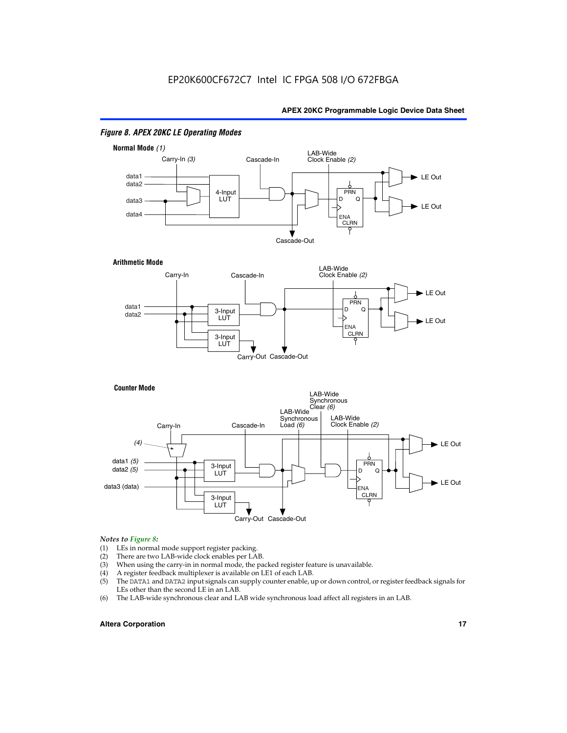

#### *Figure 8. APEX 20KC LE Operating Modes*

### *Notes to Figure 8:*

- (1) LEs in normal mode support register packing.<br>(2) There are two LAB-wide clock enables per LA
- (2) There are two LAB-wide clock enables per LAB.<br>(3) When using the carry-in in normal mode, the pa
- When using the carry-in in normal mode, the packed register feature is unavailable.
- (4) A register feedback multiplexer is available on LE1 of each LAB.
- (5) The DATA1 and DATA2 input signals can supply counter enable, up or down control, or register feedback signals for LEs other than the second LE in an LAB.
- (6) The LAB-wide synchronous clear and LAB wide synchronous load affect all registers in an LAB.

#### **Altera Corporation 17 17**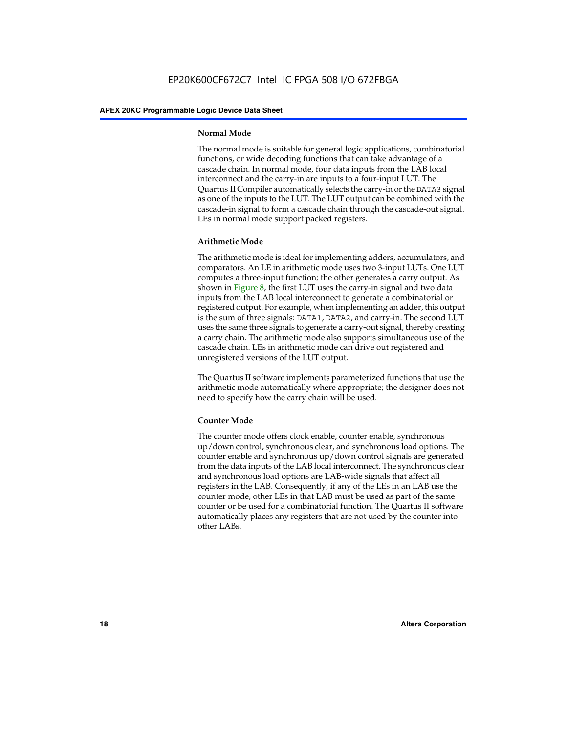#### **Normal Mode**

The normal mode is suitable for general logic applications, combinatorial functions, or wide decoding functions that can take advantage of a cascade chain. In normal mode, four data inputs from the LAB local interconnect and the carry-in are inputs to a four-input LUT. The Quartus II Compiler automatically selects the carry-in or the DATA3 signal as one of the inputs to the LUT. The LUT output can be combined with the cascade-in signal to form a cascade chain through the cascade-out signal. LEs in normal mode support packed registers.

#### **Arithmetic Mode**

The arithmetic mode is ideal for implementing adders, accumulators, and comparators. An LE in arithmetic mode uses two 3-input LUTs. One LUT computes a three-input function; the other generates a carry output. As shown in Figure 8, the first LUT uses the carry-in signal and two data inputs from the LAB local interconnect to generate a combinatorial or registered output. For example, when implementing an adder, this output is the sum of three signals: DATA1, DATA2, and carry-in. The second LUT uses the same three signals to generate a carry-out signal, thereby creating a carry chain. The arithmetic mode also supports simultaneous use of the cascade chain. LEs in arithmetic mode can drive out registered and unregistered versions of the LUT output.

The Quartus II software implements parameterized functions that use the arithmetic mode automatically where appropriate; the designer does not need to specify how the carry chain will be used.

#### **Counter Mode**

The counter mode offers clock enable, counter enable, synchronous up/down control, synchronous clear, and synchronous load options. The counter enable and synchronous up/down control signals are generated from the data inputs of the LAB local interconnect. The synchronous clear and synchronous load options are LAB-wide signals that affect all registers in the LAB. Consequently, if any of the LEs in an LAB use the counter mode, other LEs in that LAB must be used as part of the same counter or be used for a combinatorial function. The Quartus II software automatically places any registers that are not used by the counter into other LABs.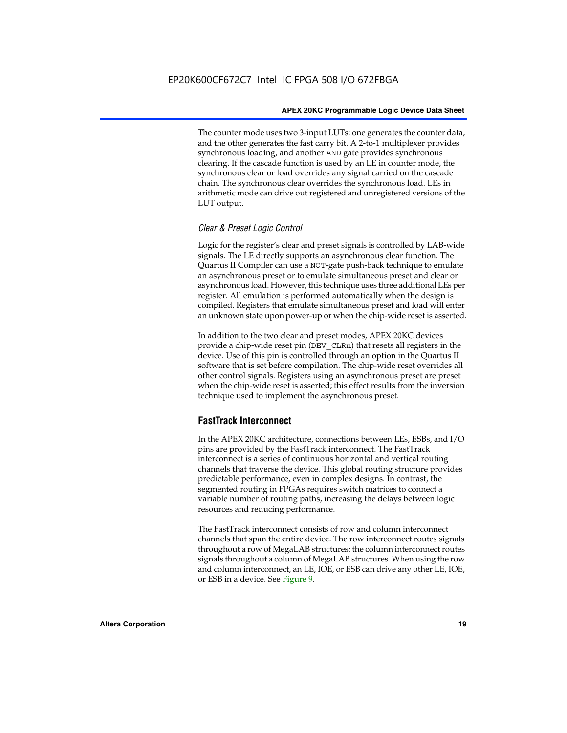The counter mode uses two 3-input LUTs: one generates the counter data, and the other generates the fast carry bit. A 2-to-1 multiplexer provides synchronous loading, and another AND gate provides synchronous clearing. If the cascade function is used by an LE in counter mode, the synchronous clear or load overrides any signal carried on the cascade chain. The synchronous clear overrides the synchronous load. LEs in arithmetic mode can drive out registered and unregistered versions of the LUT output.

#### *Clear & Preset Logic Control*

Logic for the register's clear and preset signals is controlled by LAB-wide signals. The LE directly supports an asynchronous clear function. The Quartus II Compiler can use a NOT-gate push-back technique to emulate an asynchronous preset or to emulate simultaneous preset and clear or asynchronous load. However, this technique uses three additional LEs per register. All emulation is performed automatically when the design is compiled. Registers that emulate simultaneous preset and load will enter an unknown state upon power-up or when the chip-wide reset is asserted.

In addition to the two clear and preset modes, APEX 20KC devices provide a chip-wide reset pin (DEV\_CLRn) that resets all registers in the device. Use of this pin is controlled through an option in the Quartus II software that is set before compilation. The chip-wide reset overrides all other control signals. Registers using an asynchronous preset are preset when the chip-wide reset is asserted; this effect results from the inversion technique used to implement the asynchronous preset.

#### **FastTrack Interconnect**

In the APEX 20KC architecture, connections between LEs, ESBs, and I/O pins are provided by the FastTrack interconnect. The FastTrack interconnect is a series of continuous horizontal and vertical routing channels that traverse the device. This global routing structure provides predictable performance, even in complex designs. In contrast, the segmented routing in FPGAs requires switch matrices to connect a variable number of routing paths, increasing the delays between logic resources and reducing performance.

The FastTrack interconnect consists of row and column interconnect channels that span the entire device. The row interconnect routes signals throughout a row of MegaLAB structures; the column interconnect routes signals throughout a column of MegaLAB structures. When using the row and column interconnect, an LE, IOE, or ESB can drive any other LE, IOE, or ESB in a device. See Figure 9.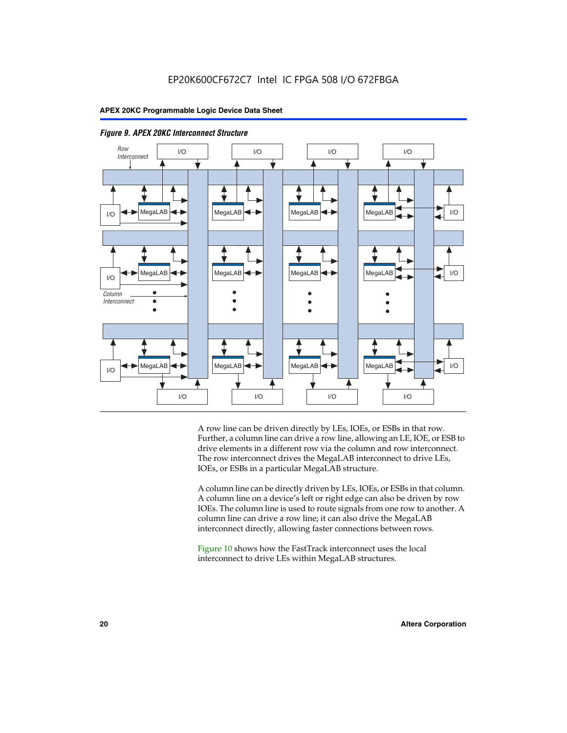



A row line can be driven directly by LEs, IOEs, or ESBs in that row. Further, a column line can drive a row line, allowing an LE, IOE, or ESB to drive elements in a different row via the column and row interconnect. The row interconnect drives the MegaLAB interconnect to drive LEs, IOEs, or ESBs in a particular MegaLAB structure.

A column line can be directly driven by LEs, IOEs, or ESBs in that column. A column line on a device's left or right edge can also be driven by row IOEs. The column line is used to route signals from one row to another. A column line can drive a row line; it can also drive the MegaLAB interconnect directly, allowing faster connections between rows.

Figure 10 shows how the FastTrack interconnect uses the local interconnect to drive LEs within MegaLAB structures.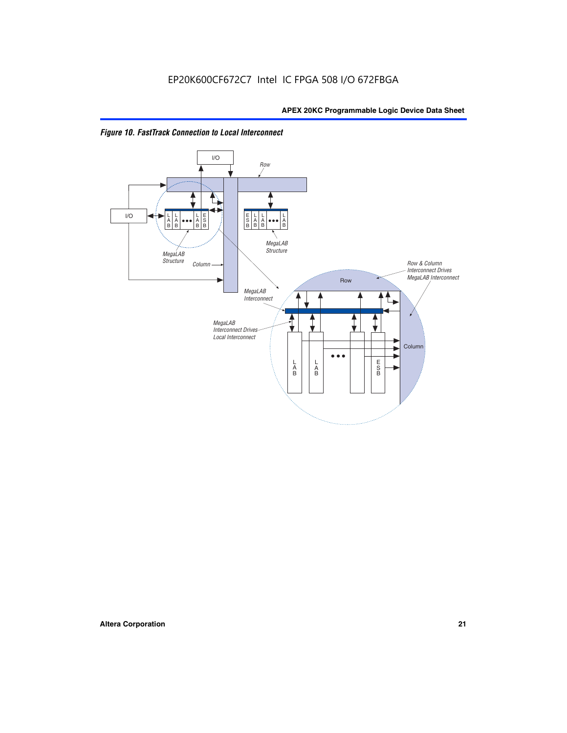

*Figure 10. FastTrack Connection to Local Interconnect*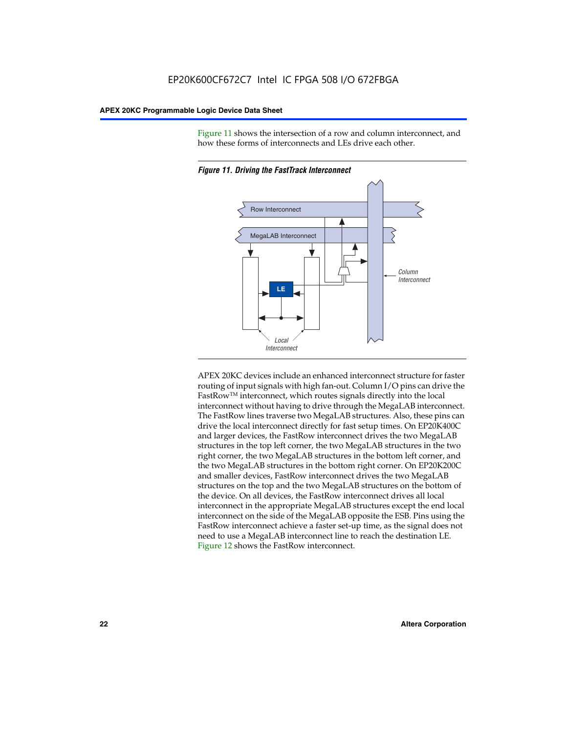Figure 11 shows the intersection of a row and column interconnect, and how these forms of interconnects and LEs drive each other.



*Figure 11. Driving the FastTrack Interconnect*

APEX 20KC devices include an enhanced interconnect structure for faster routing of input signals with high fan-out. Column I/O pins can drive the FastRowTM interconnect, which routes signals directly into the local interconnect without having to drive through the MegaLAB interconnect. The FastRow lines traverse two MegaLAB structures. Also, these pins can drive the local interconnect directly for fast setup times. On EP20K400C and larger devices, the FastRow interconnect drives the two MegaLAB structures in the top left corner, the two MegaLAB structures in the two right corner, the two MegaLAB structures in the bottom left corner, and the two MegaLAB structures in the bottom right corner. On EP20K200C and smaller devices, FastRow interconnect drives the two MegaLAB structures on the top and the two MegaLAB structures on the bottom of the device. On all devices, the FastRow interconnect drives all local interconnect in the appropriate MegaLAB structures except the end local interconnect on the side of the MegaLAB opposite the ESB. Pins using the FastRow interconnect achieve a faster set-up time, as the signal does not need to use a MegaLAB interconnect line to reach the destination LE. Figure 12 shows the FastRow interconnect.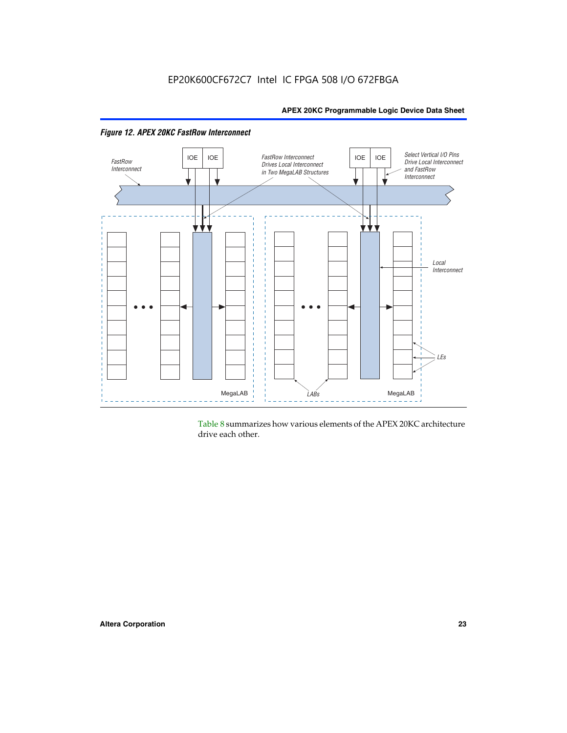

*Figure 12. APEX 20KC FastRow Interconnect*

Table 8 summarizes how various elements of the APEX 20KC architecture drive each other.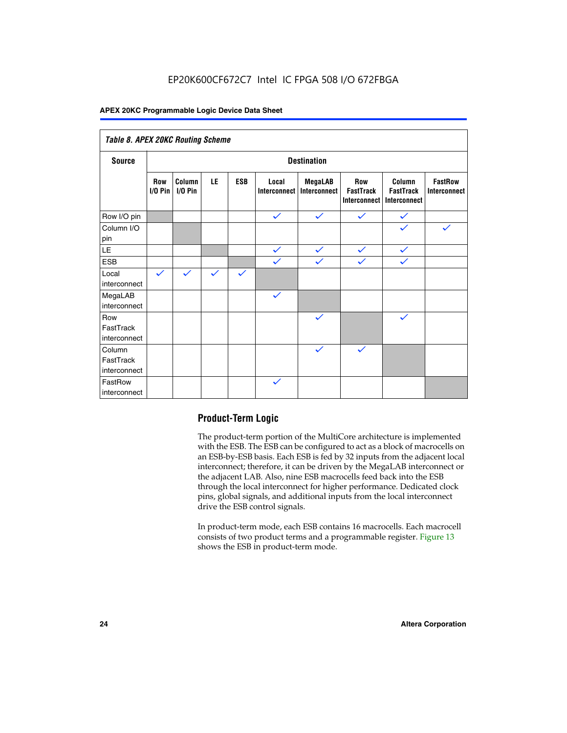### EP20K600CF672C7 Intel IC FPGA 508 I/O 672FBGA

#### **APEX 20KC Programmable Logic Device Data Sheet**

| Table 8. APEX 20KC Routing Scheme   |                          |                     |              |              |                       |                         |                                                |                                            |                                       |
|-------------------------------------|--------------------------|---------------------|--------------|--------------|-----------------------|-------------------------|------------------------------------------------|--------------------------------------------|---------------------------------------|
| <b>Source</b>                       | <b>Destination</b>       |                     |              |              |                       |                         |                                                |                                            |                                       |
|                                     | <b>Row</b><br>$I/O P$ in | Column<br>$I/O$ Pin | LE           | <b>ESB</b>   | Local<br>Interconnect | MegaLAB<br>Interconnect | <b>Row</b><br><b>FastTrack</b><br>Interconnect | Column<br><b>FastTrack</b><br>Interconnect | <b>FastRow</b><br><b>Interconnect</b> |
| Row I/O pin                         |                          |                     |              |              | $\checkmark$          | $\checkmark$            | $\checkmark$                                   | $\checkmark$                               |                                       |
| Column I/O<br>pin                   |                          |                     |              |              |                       |                         |                                                | $\checkmark$                               | $\checkmark$                          |
| $\mathsf{LE}\,$                     |                          |                     |              |              | $\checkmark$          | $\checkmark$            | $\checkmark$                                   | $\checkmark$                               |                                       |
| <b>ESB</b>                          |                          |                     |              |              | $\checkmark$          | $\checkmark$            | $\checkmark$                                   | $\checkmark$                               |                                       |
| Local<br>interconnect               | $\checkmark$             | $\checkmark$        | $\checkmark$ | $\checkmark$ |                       |                         |                                                |                                            |                                       |
| MegaLAB<br>interconnect             |                          |                     |              |              | $\checkmark$          |                         |                                                |                                            |                                       |
| Row<br>FastTrack<br>interconnect    |                          |                     |              |              |                       | $\checkmark$            |                                                | $\checkmark$                               |                                       |
| Column<br>FastTrack<br>interconnect |                          |                     |              |              |                       | $\checkmark$            | $\checkmark$                                   |                                            |                                       |
| FastRow<br>interconnect             |                          |                     |              |              | $\checkmark$          |                         |                                                |                                            |                                       |

#### **Product-Term Logic**

The product-term portion of the MultiCore architecture is implemented with the ESB. The ESB can be configured to act as a block of macrocells on an ESB-by-ESB basis. Each ESB is fed by 32 inputs from the adjacent local interconnect; therefore, it can be driven by the MegaLAB interconnect or the adjacent LAB. Also, nine ESB macrocells feed back into the ESB through the local interconnect for higher performance. Dedicated clock pins, global signals, and additional inputs from the local interconnect drive the ESB control signals.

In product-term mode, each ESB contains 16 macrocells. Each macrocell consists of two product terms and a programmable register. Figure 13 shows the ESB in product-term mode.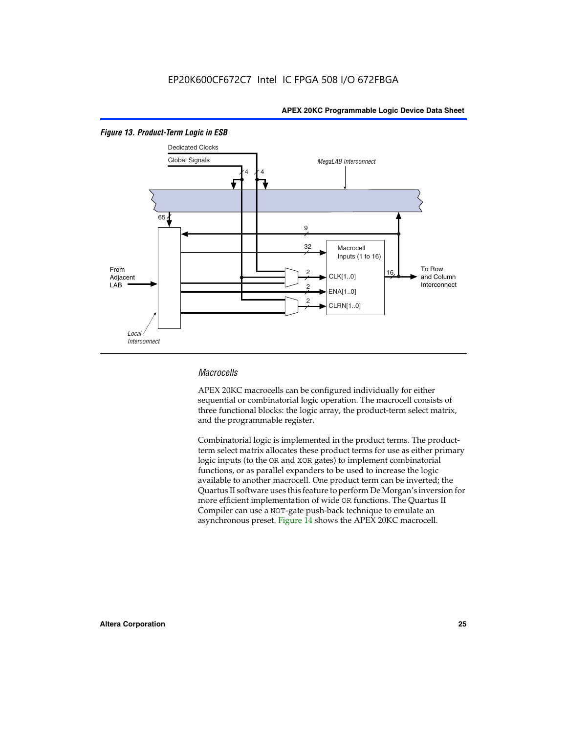

#### *Figure 13. Product-Term Logic in ESB*

#### *Macrocells*

APEX 20KC macrocells can be configured individually for either sequential or combinatorial logic operation. The macrocell consists of three functional blocks: the logic array, the product-term select matrix, and the programmable register.

Combinatorial logic is implemented in the product terms. The productterm select matrix allocates these product terms for use as either primary logic inputs (to the OR and XOR gates) to implement combinatorial functions, or as parallel expanders to be used to increase the logic available to another macrocell. One product term can be inverted; the Quartus II software uses this feature to perform De Morgan's inversion for more efficient implementation of wide OR functions. The Quartus II Compiler can use a NOT-gate push-back technique to emulate an asynchronous preset. Figure 14 shows the APEX 20KC macrocell.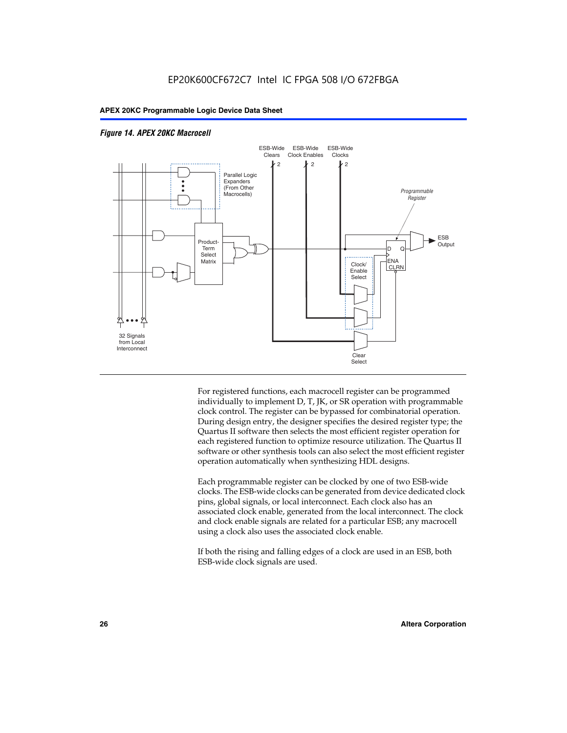

#### *Figure 14. APEX 20KC Macrocell*

For registered functions, each macrocell register can be programmed individually to implement D, T, JK, or SR operation with programmable clock control. The register can be bypassed for combinatorial operation. During design entry, the designer specifies the desired register type; the Quartus II software then selects the most efficient register operation for each registered function to optimize resource utilization. The Quartus II software or other synthesis tools can also select the most efficient register operation automatically when synthesizing HDL designs.

Each programmable register can be clocked by one of two ESB-wide clocks. The ESB-wide clocks can be generated from device dedicated clock pins, global signals, or local interconnect. Each clock also has an associated clock enable, generated from the local interconnect. The clock and clock enable signals are related for a particular ESB; any macrocell using a clock also uses the associated clock enable.

If both the rising and falling edges of a clock are used in an ESB, both ESB-wide clock signals are used.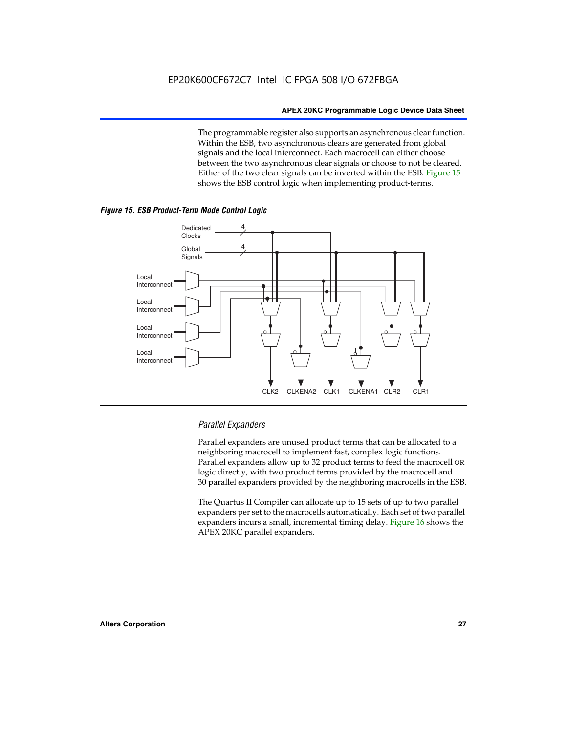The programmable register also supports an asynchronous clear function. Within the ESB, two asynchronous clears are generated from global signals and the local interconnect. Each macrocell can either choose between the two asynchronous clear signals or choose to not be cleared. Either of the two clear signals can be inverted within the ESB. Figure 15 shows the ESB control logic when implementing product-terms.





#### *Parallel Expanders*

Parallel expanders are unused product terms that can be allocated to a neighboring macrocell to implement fast, complex logic functions. Parallel expanders allow up to 32 product terms to feed the macrocell OR logic directly, with two product terms provided by the macrocell and 30 parallel expanders provided by the neighboring macrocells in the ESB.

The Quartus II Compiler can allocate up to 15 sets of up to two parallel expanders per set to the macrocells automatically. Each set of two parallel expanders incurs a small, incremental timing delay. Figure 16 shows the APEX 20KC parallel expanders.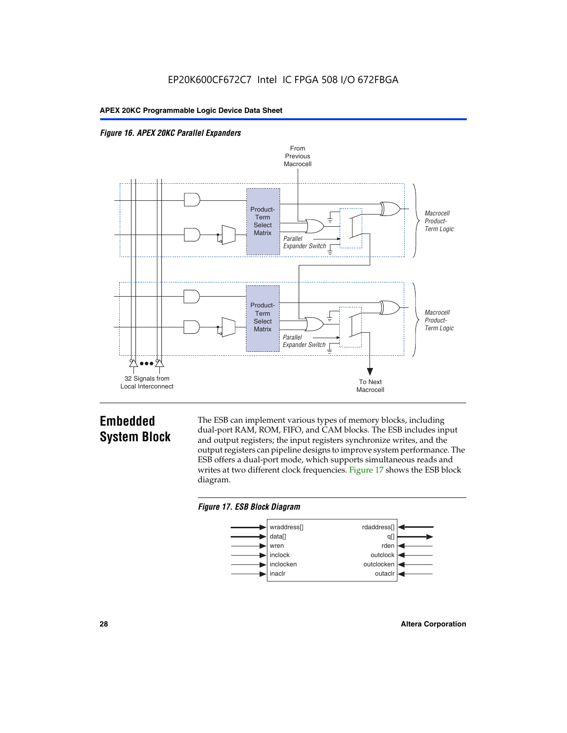



### **Embedded System Block**

The ESB can implement various types of memory blocks, including dual-port RAM, ROM, FIFO, and CAM blocks. The ESB includes input and output registers; the input registers synchronize writes, and the output registers can pipeline designs to improve system performance. The ESB offers a dual-port mode, which supports simultaneous reads and writes at two different clock frequencies. Figure 17 shows the ESB block diagram.



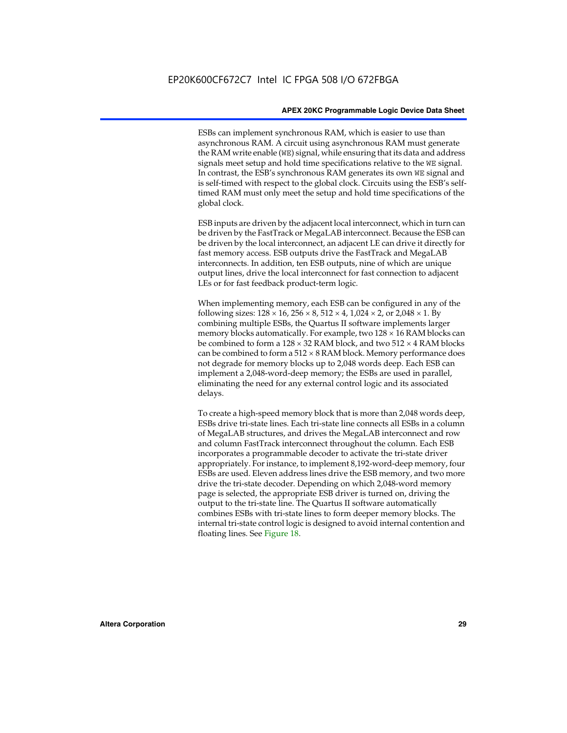ESBs can implement synchronous RAM, which is easier to use than asynchronous RAM. A circuit using asynchronous RAM must generate the RAM write enable (WE) signal, while ensuring that its data and address signals meet setup and hold time specifications relative to the WE signal. In contrast, the ESB's synchronous RAM generates its own WE signal and is self-timed with respect to the global clock. Circuits using the ESB's selftimed RAM must only meet the setup and hold time specifications of the global clock.

ESB inputs are driven by the adjacent local interconnect, which in turn can be driven by the FastTrack or MegaLAB interconnect. Because the ESB can be driven by the local interconnect, an adjacent LE can drive it directly for fast memory access. ESB outputs drive the FastTrack and MegaLAB interconnects. In addition, ten ESB outputs, nine of which are unique output lines, drive the local interconnect for fast connection to adjacent LEs or for fast feedback product-term logic.

When implementing memory, each ESB can be configured in any of the following sizes:  $128 \times 16$ ,  $256 \times 8$ ,  $512 \times 4$ ,  $1,024 \times 2$ , or  $2,048 \times 1$ . By combining multiple ESBs, the Quartus II software implements larger memory blocks automatically. For example, two  $128 \times 16$  RAM blocks can be combined to form a  $128 \times 32$  RAM block, and two  $512 \times 4$  RAM blocks can be combined to form a  $512 \times 8$  RAM block. Memory performance does not degrade for memory blocks up to 2,048 words deep. Each ESB can implement a 2,048-word-deep memory; the ESBs are used in parallel, eliminating the need for any external control logic and its associated delays.

To create a high-speed memory block that is more than 2,048 words deep, ESBs drive tri-state lines. Each tri-state line connects all ESBs in a column of MegaLAB structures, and drives the MegaLAB interconnect and row and column FastTrack interconnect throughout the column. Each ESB incorporates a programmable decoder to activate the tri-state driver appropriately. For instance, to implement 8,192-word-deep memory, four ESBs are used. Eleven address lines drive the ESB memory, and two more drive the tri-state decoder. Depending on which 2,048-word memory page is selected, the appropriate ESB driver is turned on, driving the output to the tri-state line. The Quartus II software automatically combines ESBs with tri-state lines to form deeper memory blocks. The internal tri-state control logic is designed to avoid internal contention and floating lines. See Figure 18.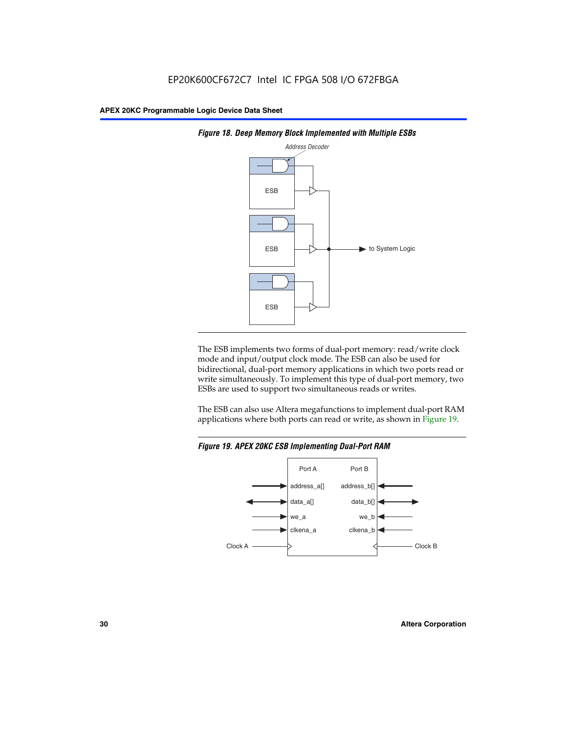



The ESB implements two forms of dual-port memory: read/write clock mode and input/output clock mode. The ESB can also be used for bidirectional, dual-port memory applications in which two ports read or write simultaneously. To implement this type of dual-port memory, two ESBs are used to support two simultaneous reads or writes.

The ESB can also use Altera megafunctions to implement dual-port RAM applications where both ports can read or write, as shown in Figure 19.



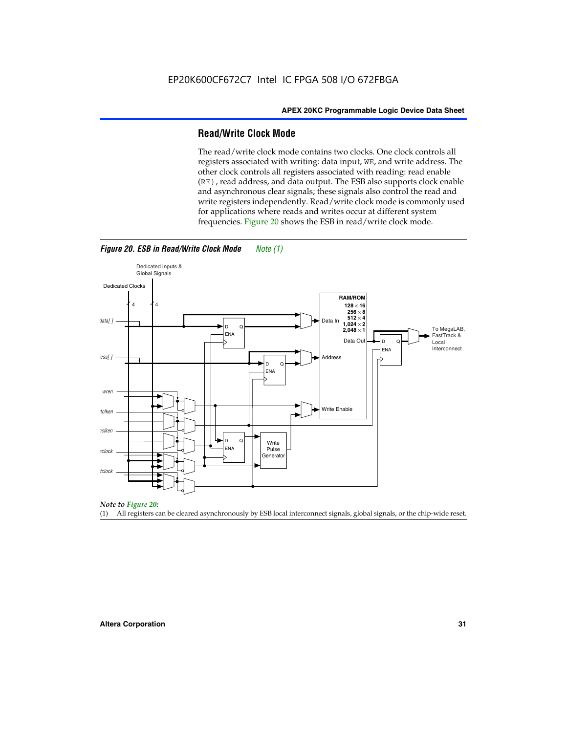#### **Read/Write Clock Mode**

The read/write clock mode contains two clocks. One clock controls all registers associated with writing: data input, WE, and write address. The other clock controls all registers associated with reading: read enable (RE), read address, and data output. The ESB also supports clock enable and asynchronous clear signals; these signals also control the read and write registers independently. Read/write clock mode is commonly used for applications where reads and writes occur at different system frequencies. Figure 20 shows the ESB in read/write clock mode.



*Figure 20. ESB in Read/Write Clock Mode Note (1)*



(1) All registers can be cleared asynchronously by ESB local interconnect signals, global signals, or the chip-wide reset.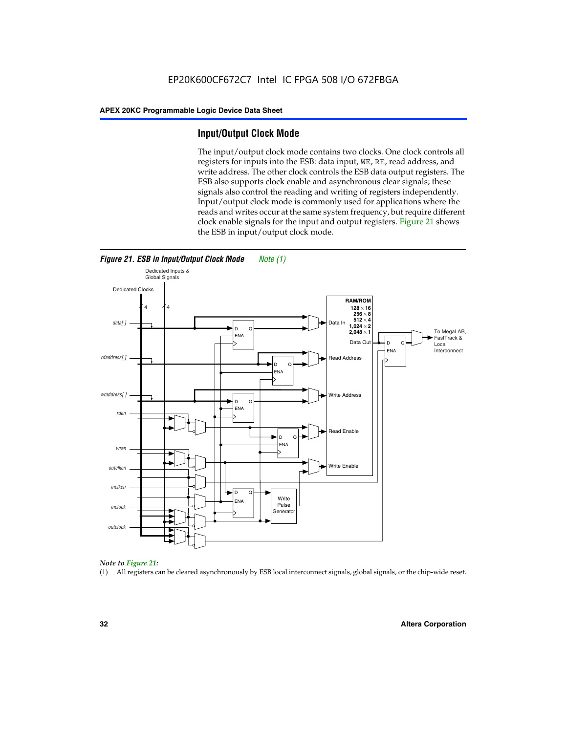#### **Input/Output Clock Mode**

The input/output clock mode contains two clocks. One clock controls all registers for inputs into the ESB: data input, WE, RE, read address, and write address. The other clock controls the ESB data output registers. The ESB also supports clock enable and asynchronous clear signals; these signals also control the reading and writing of registers independently. Input/output clock mode is commonly used for applications where the reads and writes occur at the same system frequency, but require different clock enable signals for the input and output registers. Figure 21 shows the ESB in input/output clock mode.



*Figure 21. ESB in Input/Output Clock Mode Note (1)*

#### *Note to Figure 21:*

(1) All registers can be cleared asynchronously by ESB local interconnect signals, global signals, or the chip-wide reset.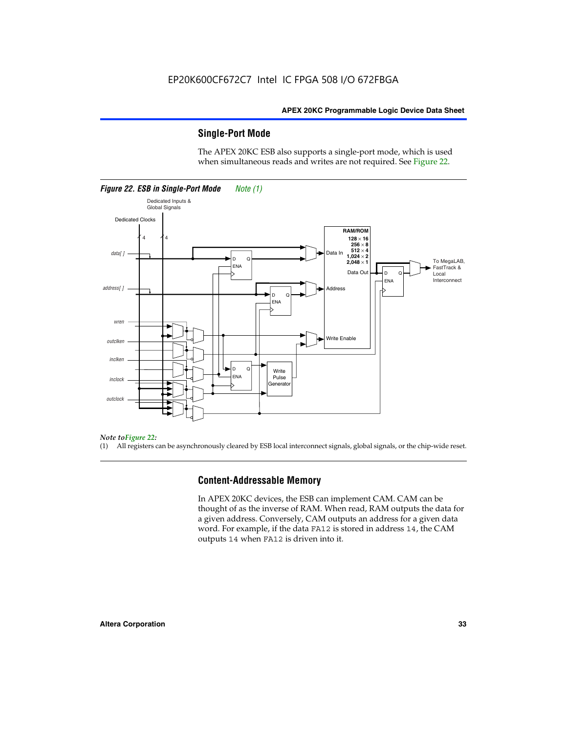#### **Single-Port Mode**

The APEX 20KC ESB also supports a single-port mode, which is used when simultaneous reads and writes are not required. See Figure 22.



#### *Note toFigure 22:*

(1) All registers can be asynchronously cleared by ESB local interconnect signals, global signals, or the chip-wide reset.

#### **Content-Addressable Memory**

In APEX 20KC devices, the ESB can implement CAM. CAM can be thought of as the inverse of RAM. When read, RAM outputs the data for a given address. Conversely, CAM outputs an address for a given data word. For example, if the data FA12 is stored in address 14, the CAM outputs 14 when FA12 is driven into it.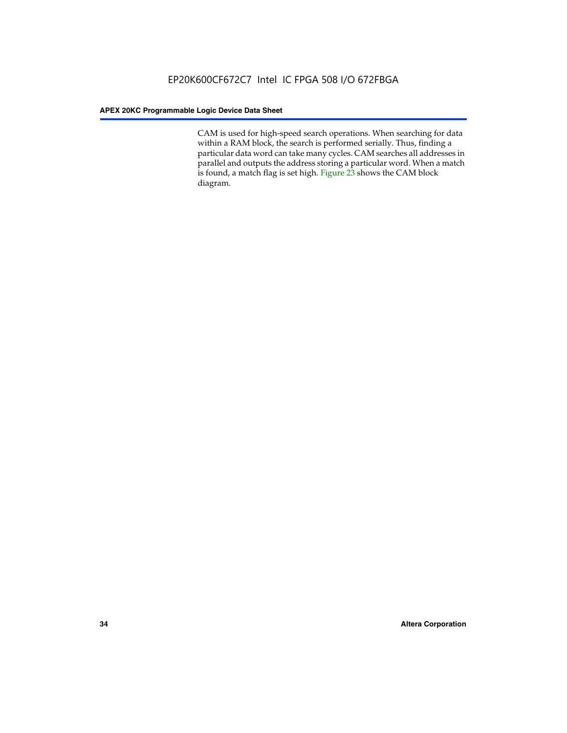CAM is used for high-speed search operations. When searching for data within a RAM block, the search is performed serially. Thus, finding a particular data word can take many cycles. CAM searches all addresses in parallel and outputs the address storing a particular word. When a match is found, a match flag is set high. Figure 23 shows the CAM block diagram.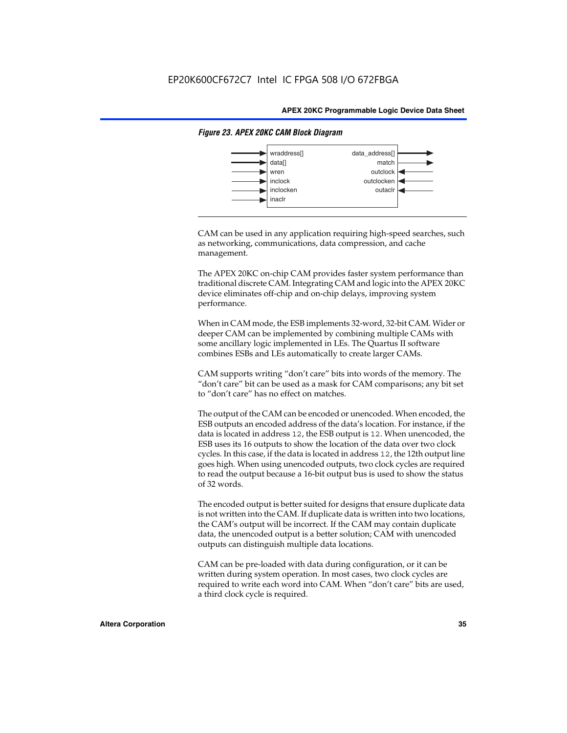

#### *Figure 23. APEX 20KC CAM Block Diagram*

CAM can be used in any application requiring high-speed searches, such as networking, communications, data compression, and cache management.

The APEX 20KC on-chip CAM provides faster system performance than traditional discrete CAM. Integrating CAM and logic into the APEX 20KC device eliminates off-chip and on-chip delays, improving system performance.

When in CAM mode, the ESB implements 32-word, 32-bit CAM. Wider or deeper CAM can be implemented by combining multiple CAMs with some ancillary logic implemented in LEs. The Quartus II software combines ESBs and LEs automatically to create larger CAMs.

CAM supports writing "don't care" bits into words of the memory. The "don't care" bit can be used as a mask for CAM comparisons; any bit set to "don't care" has no effect on matches.

The output of the CAM can be encoded or unencoded. When encoded, the ESB outputs an encoded address of the data's location. For instance, if the data is located in address 12, the ESB output is 12. When unencoded, the ESB uses its 16 outputs to show the location of the data over two clock cycles. In this case, if the data is located in address 12, the 12th output line goes high. When using unencoded outputs, two clock cycles are required to read the output because a 16-bit output bus is used to show the status of 32 words.

The encoded output is better suited for designs that ensure duplicate data is not written into the CAM. If duplicate data is written into two locations, the CAM's output will be incorrect. If the CAM may contain duplicate data, the unencoded output is a better solution; CAM with unencoded outputs can distinguish multiple data locations.

CAM can be pre-loaded with data during configuration, or it can be written during system operation. In most cases, two clock cycles are required to write each word into CAM. When "don't care" bits are used, a third clock cycle is required.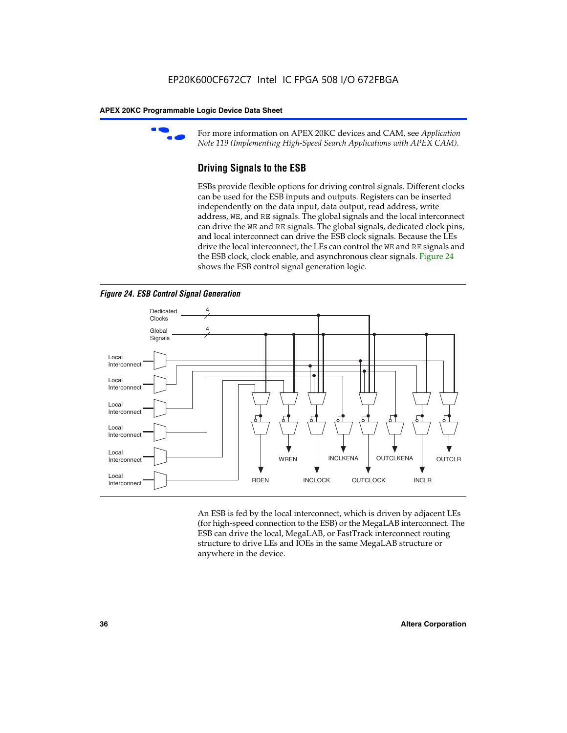

For more information on APEX 20KC devices and CAM, see *Application Note 119 (Implementing High-Speed Search Applications with APEX CAM).*

# **Driving Signals to the ESB**

ESBs provide flexible options for driving control signals. Different clocks can be used for the ESB inputs and outputs. Registers can be inserted independently on the data input, data output, read address, write address, WE, and RE signals. The global signals and the local interconnect can drive the WE and RE signals. The global signals, dedicated clock pins, and local interconnect can drive the ESB clock signals. Because the LEs drive the local interconnect, the LEs can control the WE and RE signals and the ESB clock, clock enable, and asynchronous clear signals. Figure 24 shows the ESB control signal generation logic.





An ESB is fed by the local interconnect, which is driven by adjacent LEs (for high-speed connection to the ESB) or the MegaLAB interconnect. The ESB can drive the local, MegaLAB, or FastTrack interconnect routing structure to drive LEs and IOEs in the same MegaLAB structure or anywhere in the device.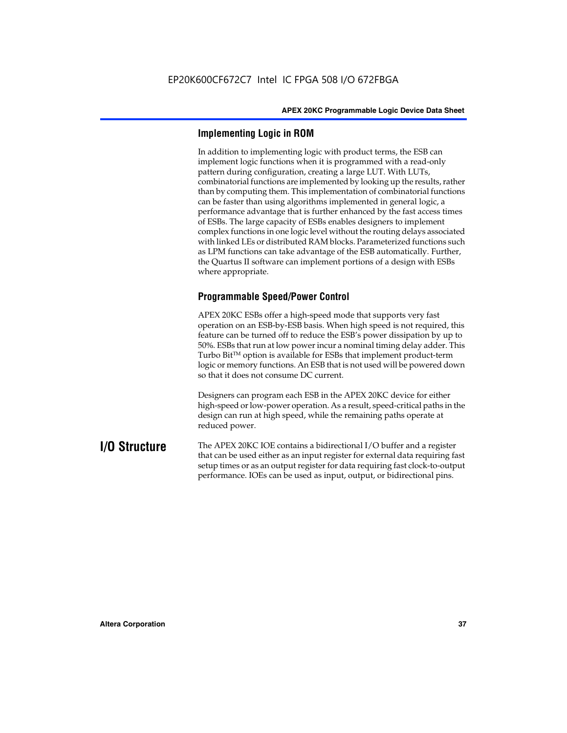# **Implementing Logic in ROM**

In addition to implementing logic with product terms, the ESB can implement logic functions when it is programmed with a read-only pattern during configuration, creating a large LUT. With LUTs, combinatorial functions are implemented by looking up the results, rather than by computing them. This implementation of combinatorial functions can be faster than using algorithms implemented in general logic, a performance advantage that is further enhanced by the fast access times of ESBs. The large capacity of ESBs enables designers to implement complex functions in one logic level without the routing delays associated with linked LEs or distributed RAM blocks. Parameterized functions such as LPM functions can take advantage of the ESB automatically. Further, the Quartus II software can implement portions of a design with ESBs where appropriate.

# **Programmable Speed/Power Control**

APEX 20KC ESBs offer a high-speed mode that supports very fast operation on an ESB-by-ESB basis. When high speed is not required, this feature can be turned off to reduce the ESB's power dissipation by up to 50%. ESBs that run at low power incur a nominal timing delay adder. This Turbo  $Bit^{TM}$  option is available for ESBs that implement product-term logic or memory functions. An ESB that is not used will be powered down so that it does not consume DC current.

Designers can program each ESB in the APEX 20KC device for either high-speed or low-power operation. As a result, speed-critical paths in the design can run at high speed, while the remaining paths operate at reduced power.

**I/O Structure** The APEX 20KC IOE contains a bidirectional I/O buffer and a register that can be used either as an input register for external data requiring fast setup times or as an output register for data requiring fast clock-to-output performance. IOEs can be used as input, output, or bidirectional pins.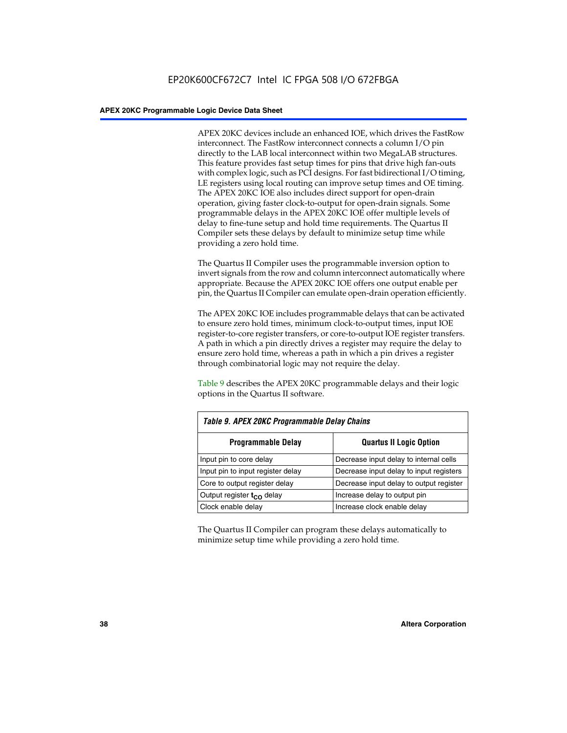APEX 20KC devices include an enhanced IOE, which drives the FastRow interconnect. The FastRow interconnect connects a column I/O pin directly to the LAB local interconnect within two MegaLAB structures. This feature provides fast setup times for pins that drive high fan-outs with complex logic, such as PCI designs. For fast bidirectional I/O timing, LE registers using local routing can improve setup times and OE timing. The APEX 20KC IOE also includes direct support for open-drain operation, giving faster clock-to-output for open-drain signals. Some programmable delays in the APEX 20KC IOE offer multiple levels of delay to fine-tune setup and hold time requirements. The Quartus II Compiler sets these delays by default to minimize setup time while providing a zero hold time.

The Quartus II Compiler uses the programmable inversion option to invert signals from the row and column interconnect automatically where appropriate. Because the APEX 20KC IOE offers one output enable per pin, the Quartus II Compiler can emulate open-drain operation efficiently.

The APEX 20KC IOE includes programmable delays that can be activated to ensure zero hold times, minimum clock-to-output times, input IOE register-to-core register transfers, or core-to-output IOE register transfers. A path in which a pin directly drives a register may require the delay to ensure zero hold time, whereas a path in which a pin drives a register through combinatorial logic may not require the delay.

Table 9 describes the APEX 20KC programmable delays and their logic options in the Quartus II software.

| Table 9. APEX 20KC Programmable Delay Chains |                                         |  |  |  |
|----------------------------------------------|-----------------------------------------|--|--|--|
| <b>Programmable Delay</b>                    | <b>Quartus II Logic Option</b>          |  |  |  |
| Input pin to core delay                      | Decrease input delay to internal cells  |  |  |  |
| Input pin to input register delay            | Decrease input delay to input registers |  |  |  |
| Core to output register delay                | Decrease input delay to output register |  |  |  |
| Output register t <sub>co</sub> delay        | Increase delay to output pin            |  |  |  |
| Clock enable delay                           | Increase clock enable delay             |  |  |  |

The Quartus II Compiler can program these delays automatically to minimize setup time while providing a zero hold time.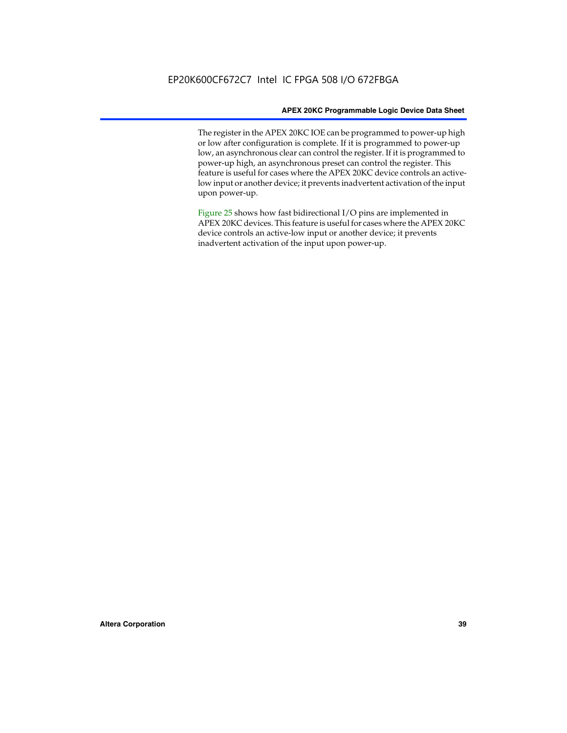The register in the APEX 20KC IOE can be programmed to power-up high or low after configuration is complete. If it is programmed to power-up low, an asynchronous clear can control the register. If it is programmed to power-up high, an asynchronous preset can control the register. This feature is useful for cases where the APEX 20KC device controls an activelow input or another device; it prevents inadvertent activation of the input upon power-up.

Figure 25 shows how fast bidirectional I/O pins are implemented in APEX 20KC devices. This feature is useful for cases where the APEX 20KC device controls an active-low input or another device; it prevents inadvertent activation of the input upon power-up.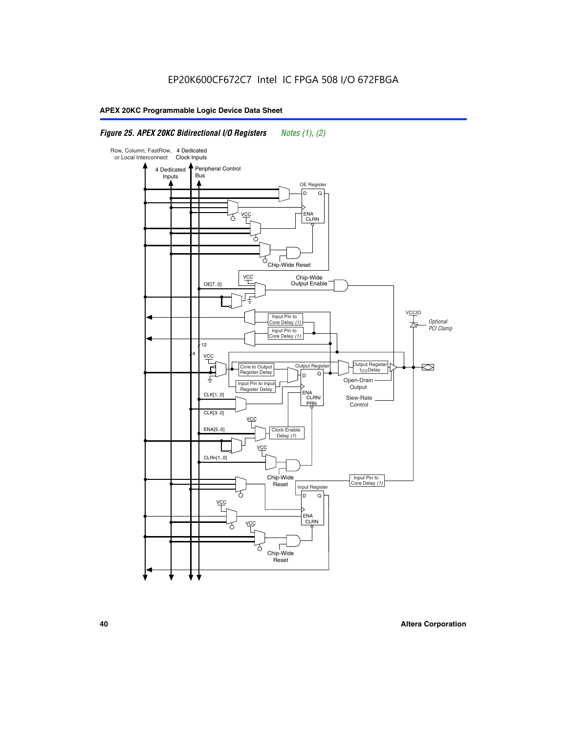# *Figure 25. APEX 20KC Bidirectional I/O Registers Notes (1), (2)*

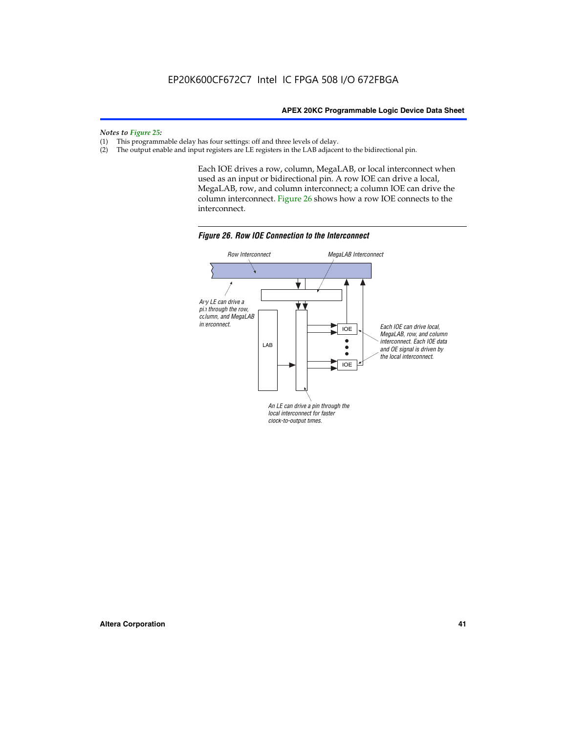#### *Notes to Figure 25:*

- (1) This programmable delay has four settings: off and three levels of delay.<br>(2) The output enable and input registers are LE registers in the LAB adjacer
- The output enable and input registers are LE registers in the LAB adjacent to the bidirectional pin.

Each IOE drives a row, column, MegaLAB, or local interconnect when used as an input or bidirectional pin. A row IOE can drive a local, MegaLAB, row, and column interconnect; a column IOE can drive the column interconnect. Figure 26 shows how a row IOE connects to the interconnect.



*Figure 26. Row IOE Connection to the Interconnect*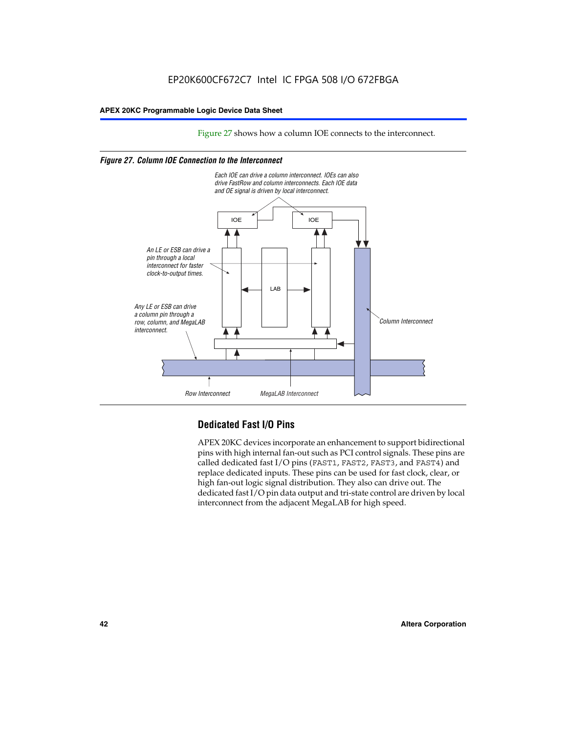Figure 27 shows how a column IOE connects to the interconnect.

#### *Figure 27. Column IOE Connection to the Interconnect*



# **Dedicated Fast I/O Pins**

APEX 20KC devices incorporate an enhancement to support bidirectional pins with high internal fan-out such as PCI control signals. These pins are called dedicated fast I/O pins (FAST1, FAST2, FAST3, and FAST4) and replace dedicated inputs. These pins can be used for fast clock, clear, or high fan-out logic signal distribution. They also can drive out. The dedicated fast I/O pin data output and tri-state control are driven by local interconnect from the adjacent MegaLAB for high speed.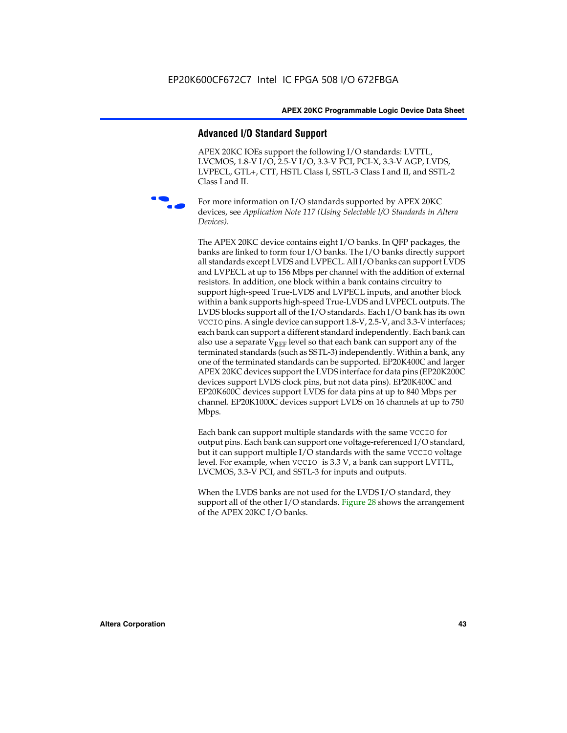## **Advanced I/O Standard Support**

APEX 20KC IOEs support the following I/O standards: LVTTL, LVCMOS, 1.8-V I/O, 2.5-V I/O, 3.3-V PCI, PCI-X, 3.3-V AGP, LVDS, LVPECL, GTL+, CTT, HSTL Class I, SSTL-3 Class I and II, and SSTL-2 Class I and II.



For more information on I/O standards supported by APEX 20KC devices, see *Application Note 117 (Using Selectable I/O Standards in Altera Devices)*.

The APEX 20KC device contains eight I/O banks. In QFP packages, the banks are linked to form four I/O banks. The I/O banks directly support all standards except LVDS and LVPECL. All I/O banks can support LVDS and LVPECL at up to 156 Mbps per channel with the addition of external resistors. In addition, one block within a bank contains circuitry to support high-speed True-LVDS and LVPECL inputs, and another block within a bank supports high-speed True-LVDS and LVPECL outputs. The LVDS blocks support all of the I/O standards. Each I/O bank has its own VCCIO pins. A single device can support 1.8-V, 2.5-V, and 3.3-V interfaces; each bank can support a different standard independently. Each bank can also use a separate  $V_{REF}$  level so that each bank can support any of the terminated standards (such as SSTL-3) independently. Within a bank, any one of the terminated standards can be supported. EP20K400C and larger APEX 20KC devices support the LVDS interface for data pins (EP20K200C devices support LVDS clock pins, but not data pins). EP20K400C and EP20K600C devices support LVDS for data pins at up to 840 Mbps per channel. EP20K1000C devices support LVDS on 16 channels at up to 750 Mbps.

Each bank can support multiple standards with the same VCCIO for output pins. Each bank can support one voltage-referenced I/O standard, but it can support multiple I/O standards with the same VCCIO voltage level. For example, when VCCIO is 3.3 V, a bank can support LVTTL, LVCMOS, 3.3-V PCI, and SSTL-3 for inputs and outputs.

When the LVDS banks are not used for the LVDS I/O standard, they support all of the other I/O standards. Figure 28 shows the arrangement of the APEX 20KC I/O banks.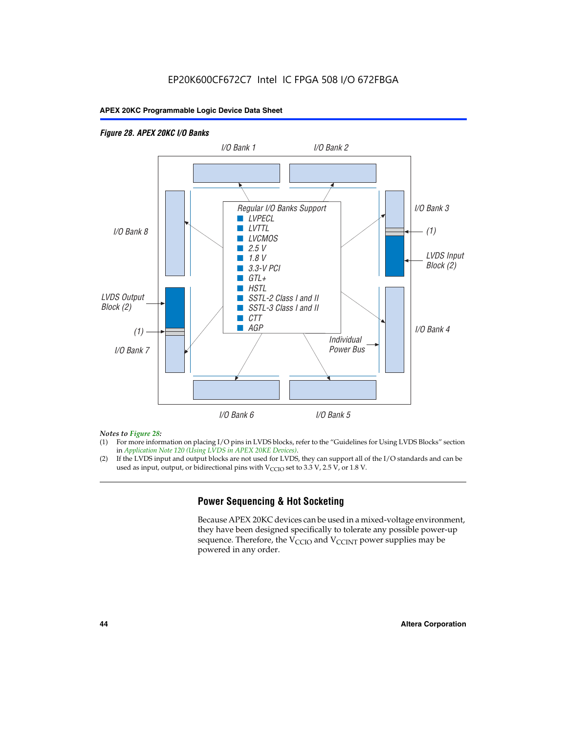# EP20K600CF672C7 Intel IC FPGA 508 I/O 672FBGA

### **APEX 20KC Programmable Logic Device Data Sheet**

## *Figure 28. APEX 20KC I/O Banks LVDS Input Block (2) (1) LVDS Output Block (2) (1) Individual Power Bus I/O Bank 8 I/O Bank 1 I/O Bank 2 I/O Bank 3 I/O Bank 4 I/O Bank 6 I/O Bank 5 I/O Bank 7 Regular I/O Banks Support* ■ *LVPECL* ■ *LVTTL* ■ *LVCMOS* ■ *2.5 V* ■ *1.8 V* ■ *3.3-V PCI* ■ *GTL+* ■ *HSTL* ■ *SSTL-2 Class I and II* ■ *SSTL-3 Class I and II* ■ *CTT* ■ *AGP*

#### *Notes to Figure 28:*

- (1) For more information on placing I/O pins in LVDS blocks, refer to the "Guidelines for Using LVDS Blocks" section in *Application Note 120 (Using LVDS in APEX 20KE Devices)*.
- (2) If the LVDS input and output blocks are not used for LVDS, they can support all of the I/O standards and can be used as input, output, or bidirectional pins with  $V_{\text{CCIO}}$  set to 3.3 V, 2.5 V, or 1.8 V.

# **Power Sequencing & Hot Socketing**

Because APEX 20KC devices can be used in a mixed-voltage environment, they have been designed specifically to tolerate any possible power-up sequence. Therefore, the  $V_{\text{CCIO}}$  and  $V_{\text{CCINT}}$  power supplies may be powered in any order.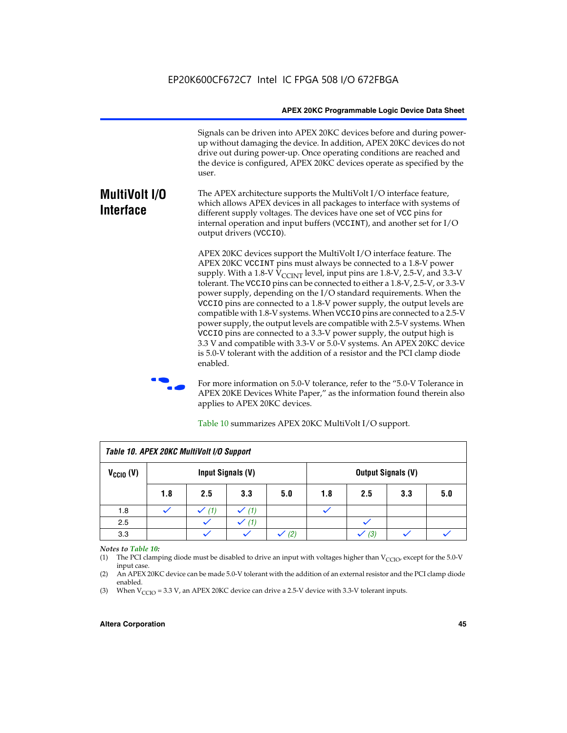Signals can be driven into APEX 20KC devices before and during powerup without damaging the device. In addition, APEX 20KC devices do not drive out during power-up. Once operating conditions are reached and the device is configured, APEX 20KC devices operate as specified by the user.

#### **MultiVolt I/O Interface** The APEX architecture supports the MultiVolt I/O interface feature, which allows APEX devices in all packages to interface with systems of different supply voltages. The devices have one set of VCC pins for internal operation and input buffers (VCCINT), and another set for I/O output drivers (VCCIO).

APEX 20KC devices support the MultiVolt I/O interface feature. The APEX 20KC VCCINT pins must always be connected to a 1.8-V power supply. With a 1.8-V  $V_{\text{CCINT}}$  level, input pins are 1.8-V, 2.5-V, and 3.3-V tolerant. The VCCIO pins can be connected to either a 1.8-V, 2.5-V, or 3.3-V power supply, depending on the I/O standard requirements. When the VCCIO pins are connected to a 1.8-V power supply, the output levels are compatible with 1.8-V systems. When VCCIO pins are connected to a 2.5-V power supply, the output levels are compatible with 2.5-V systems. When VCCIO pins are connected to a 3.3-V power supply, the output high is 3.3 V and compatible with 3.3-V or 5.0-V systems. An APEX 20KC device is 5.0-V tolerant with the addition of a resistor and the PCI clamp diode enabled.

For more information on 5.0-V tolerance, refer to the "5.0-V Tolerance in APEX 20KE Devices White Paper," as the information found therein also applies to APEX 20KC devices.

| Table 10. APEX 20KC MultiVolt I/O Support |                   |     |     |     |                           |     |     |     |
|-------------------------------------------|-------------------|-----|-----|-----|---------------------------|-----|-----|-----|
| $V_{\text{CCIO}}(V)$                      | Input Signals (V) |     |     |     | <b>Output Signals (V)</b> |     |     |     |
|                                           | 1.8               | 2.5 | 3.3 | 5.0 | 1.8                       | 2.5 | 3.3 | 5.0 |
| 1.8                                       |                   | (1) |     |     |                           |     |     |     |
| 2.5                                       |                   |     | (1) |     |                           |     |     |     |
| 3.3                                       |                   |     |     | (2) |                           | (3) |     |     |

Table 10 summarizes APEX 20KC MultiVolt I/O support.

#### *Notes to Table 10:*

(1) The PCI clamping diode must be disabled to drive an input with voltages higher than  $V_{C CIO}$ , except for the 5.0-V input case.

(2) An APEX 20KC device can be made 5.0-V tolerant with the addition of an external resistor and the PCI clamp diode enabled.

(3) When  $V_{\text{CCIO}} = 3.3$  V, an APEX 20KC device can drive a 2.5-V device with 3.3-V tolerant inputs.

#### **Altera Corporation 45**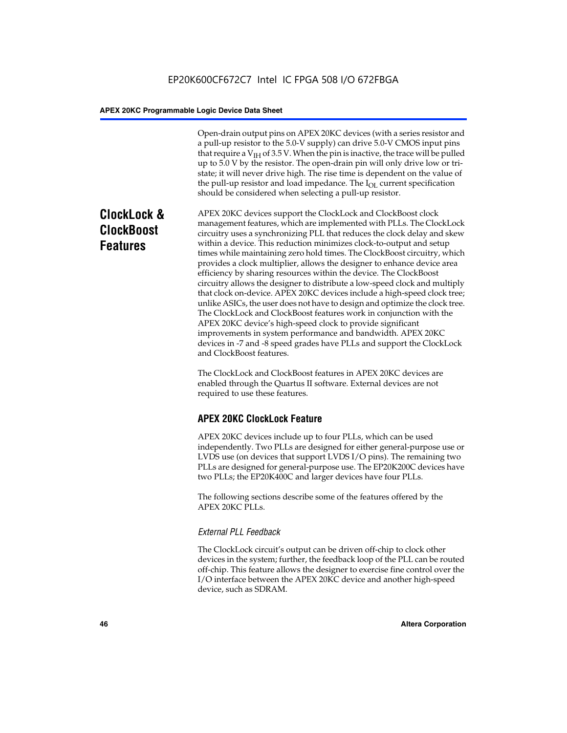Open-drain output pins on APEX 20KC devices (with a series resistor and a pull-up resistor to the 5.0-V supply) can drive 5.0-V CMOS input pins that require a  $V<sub>IH</sub>$  of 3.5 V. When the pin is inactive, the trace will be pulled up to 5.0 V by the resistor. The open-drain pin will only drive low or tristate; it will never drive high. The rise time is dependent on the value of the pull-up resistor and load impedance. The  $I_{OL}$  current specification should be considered when selecting a pull-up resistor.

# **ClockLock & ClockBoost Features**

APEX 20KC devices support the ClockLock and ClockBoost clock management features, which are implemented with PLLs. The ClockLock circuitry uses a synchronizing PLL that reduces the clock delay and skew within a device. This reduction minimizes clock-to-output and setup times while maintaining zero hold times. The ClockBoost circuitry, which provides a clock multiplier, allows the designer to enhance device area efficiency by sharing resources within the device. The ClockBoost circuitry allows the designer to distribute a low-speed clock and multiply that clock on-device. APEX 20KC devices include a high-speed clock tree; unlike ASICs, the user does not have to design and optimize the clock tree. The ClockLock and ClockBoost features work in conjunction with the APEX 20KC device's high-speed clock to provide significant improvements in system performance and bandwidth. APEX 20KC devices in -7 and -8 speed grades have PLLs and support the ClockLock and ClockBoost features.

The ClockLock and ClockBoost features in APEX 20KC devices are enabled through the Quartus II software. External devices are not required to use these features.

# **APEX 20KC ClockLock Feature**

APEX 20KC devices include up to four PLLs, which can be used independently. Two PLLs are designed for either general-purpose use or LVDS use (on devices that support LVDS I/O pins). The remaining two PLLs are designed for general-purpose use. The EP20K200C devices have two PLLs; the EP20K400C and larger devices have four PLLs.

The following sections describe some of the features offered by the APEX 20KC PLLs.

### *External PLL Feedback*

The ClockLock circuit's output can be driven off-chip to clock other devices in the system; further, the feedback loop of the PLL can be routed off-chip. This feature allows the designer to exercise fine control over the I/O interface between the APEX 20KC device and another high-speed device, such as SDRAM.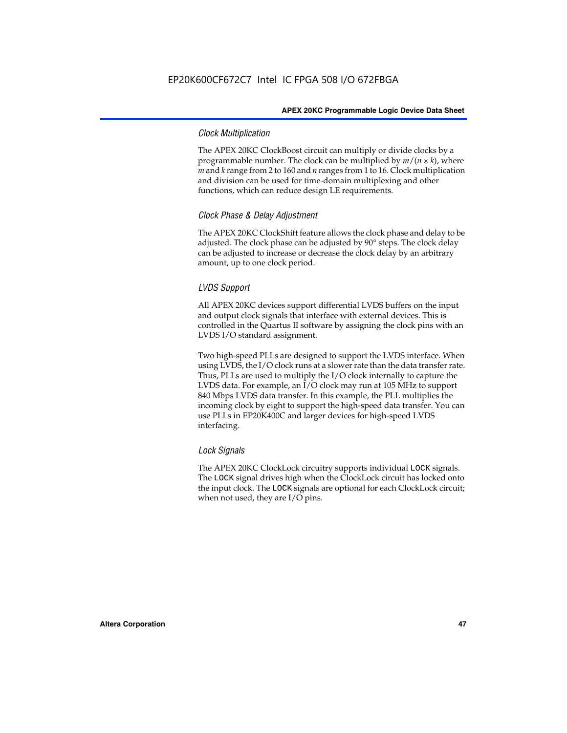### *Clock Multiplication*

The APEX 20KC ClockBoost circuit can multiply or divide clocks by a programmable number. The clock can be multiplied by  $m/(n \times k)$ , where *m* and *k* range from 2 to 160 and *n* ranges from 1 to 16. Clock multiplication and division can be used for time-domain multiplexing and other functions, which can reduce design LE requirements.

#### *Clock Phase & Delay Adjustment*

The APEX 20KC ClockShift feature allows the clock phase and delay to be adjusted. The clock phase can be adjusted by 90° steps. The clock delay can be adjusted to increase or decrease the clock delay by an arbitrary amount, up to one clock period.

#### *LVDS Support*

All APEX 20KC devices support differential LVDS buffers on the input and output clock signals that interface with external devices. This is controlled in the Quartus II software by assigning the clock pins with an LVDS I/O standard assignment.

Two high-speed PLLs are designed to support the LVDS interface. When using LVDS, the I/O clock runs at a slower rate than the data transfer rate. Thus, PLLs are used to multiply the I/O clock internally to capture the LVDS data. For example, an I/O clock may run at 105 MHz to support 840 Mbps LVDS data transfer. In this example, the PLL multiplies the incoming clock by eight to support the high-speed data transfer. You can use PLLs in EP20K400C and larger devices for high-speed LVDS interfacing.

#### *Lock Signals*

The APEX 20KC ClockLock circuitry supports individual LOCK signals. The LOCK signal drives high when the ClockLock circuit has locked onto the input clock. The LOCK signals are optional for each ClockLock circuit; when not used, they are I/O pins.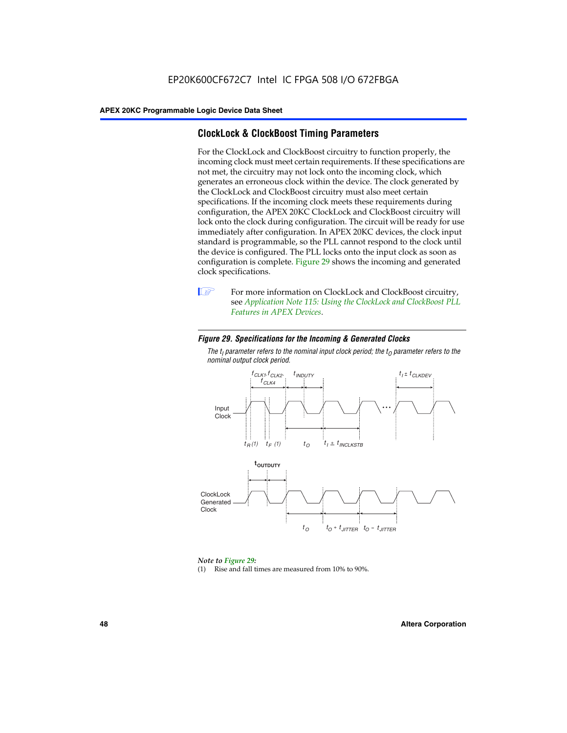# **ClockLock & ClockBoost Timing Parameters**

For the ClockLock and ClockBoost circuitry to function properly, the incoming clock must meet certain requirements. If these specifications are not met, the circuitry may not lock onto the incoming clock, which generates an erroneous clock within the device. The clock generated by the ClockLock and ClockBoost circuitry must also meet certain specifications. If the incoming clock meets these requirements during configuration, the APEX 20KC ClockLock and ClockBoost circuitry will lock onto the clock during configuration. The circuit will be ready for use immediately after configuration. In APEX 20KC devices, the clock input standard is programmable, so the PLL cannot respond to the clock until the device is configured. The PLL locks onto the input clock as soon as configuration is complete. Figure 29 shows the incoming and generated clock specifications.



**1** For more information on ClockLock and ClockBoost circuitry, see *Application Note 115: Using the ClockLock and ClockBoost PLL Features in APEX Devices*.

#### *Figure 29. Specifications for the Incoming & Generated Clocks*

The  $t_{\mathfrak l}$  parameter refers to the nominal input clock period; the  $t_{\mathfrak l}$  parameter refers to the *nominal output clock period.*



#### *Note to Figure 29:*

(1) Rise and fall times are measured from 10% to 90%.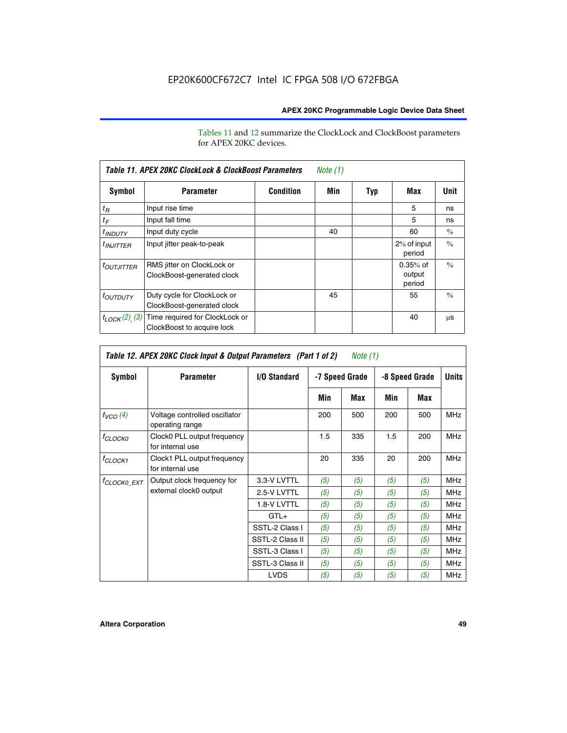Tables 11 and 12 summarize the ClockLock and ClockBoost parameters for APEX 20KC devices.

| Table 11. APEX 20KC ClockLock & ClockBoost Parameters<br>Note (1) |                                                              |                  |     |     |                                |               |
|-------------------------------------------------------------------|--------------------------------------------------------------|------------------|-----|-----|--------------------------------|---------------|
| Symbol                                                            | <b>Parameter</b>                                             | <b>Condition</b> | Min | Typ | Max                            | Unit          |
| $t_R$                                                             | Input rise time                                              |                  |     |     | 5                              | ns            |
| $t_F$                                                             | Input fall time                                              |                  |     |     | 5                              | ns            |
| <sup>t</sup> INDUTY                                               | Input duty cycle                                             |                  | 40  |     | 60                             | $\frac{0}{0}$ |
| $t_{INJITTER}$                                                    | Input jitter peak-to-peak                                    |                  |     |     | 2% of input<br>period          | $\frac{0}{0}$ |
| <b><i>LOUTJITTER</i></b>                                          | RMS jitter on ClockLock or<br>ClockBoost-generated clock     |                  |     |     | $0.35%$ of<br>output<br>period | $\frac{0}{0}$ |
| <i>t<sub>OUTDUTY</sub></i>                                        | Duty cycle for ClockLock or<br>ClockBoost-generated clock    |                  | 45  |     | 55                             | $\frac{0}{0}$ |
| $t_{LOCK}(2)$ (3)                                                 | Time required for ClockLock or<br>ClockBoost to acquire lock |                  |     |     | 40                             | μS            |

| Table 12. APEX 20KC Clock Input & Output Parameters (Part 1 of 2)<br><i>Note</i> $(1)$ |                                                  |                 |     |                |     |                |            |
|----------------------------------------------------------------------------------------|--------------------------------------------------|-----------------|-----|----------------|-----|----------------|------------|
| Symbol                                                                                 | <b>Parameter</b>                                 | I/O Standard    |     | -7 Speed Grade |     | -8 Speed Grade |            |
|                                                                                        |                                                  |                 | Min | Max            | Min | Max            |            |
| $f_{VCO}(4)$                                                                           | Voltage controlled oscillator<br>operating range |                 | 200 | 500            | 200 | 500            | <b>MHz</b> |
| <sup>f</sup> CLOCK0                                                                    | Clock0 PLL output frequency<br>for internal use  |                 | 1.5 | 335            | 1.5 | 200            | <b>MHz</b> |
| f <sub>CLOCK1</sub>                                                                    | Clock1 PLL output frequency<br>for internal use  |                 | 20  | 335            | 20  | 200            | <b>MHz</b> |
| <sup>f</sup> clock0 ext                                                                | Output clock frequency for                       | 3.3-V LVTTL     | (5) | (5)            | (5) | (5)            | <b>MHz</b> |
|                                                                                        | external clock0 output                           | 2.5-V LVTTL     | (5) | (5)            | (5) | (5)            | <b>MHz</b> |
|                                                                                        |                                                  | 1.8-V LVTTL     | (5) | (5)            | (5) | (5)            | <b>MHz</b> |
|                                                                                        |                                                  | $GTL+$          | (5) | (5)            | (5) | (5)            | <b>MHz</b> |
|                                                                                        |                                                  | SSTL-2 Class I  | (5) | (5)            | (5) | (5)            | MHz        |
|                                                                                        |                                                  | SSTL-2 Class II | (5) | (5)            | (5) | (5)            | <b>MHz</b> |
|                                                                                        |                                                  | SSTL-3 Class I  | (5) | (5)            | (5) | (5)            | <b>MHz</b> |
|                                                                                        |                                                  | SSTL-3 Class II | (5) | (5)            | (5) | (5)            | <b>MHz</b> |
|                                                                                        |                                                  | <b>LVDS</b>     | (5) | (5)            | (5) | (5)            | <b>MHz</b> |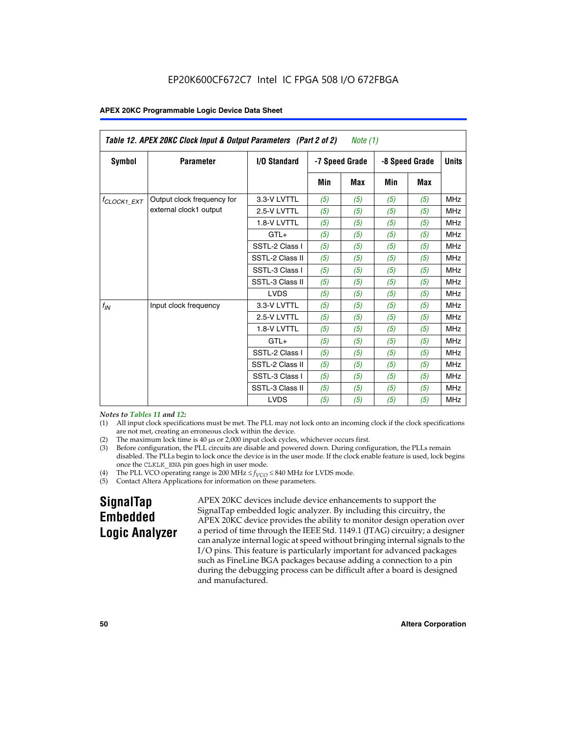| Table 12. APEX 20KC Clock Input & Output Parameters (Part 2 of 2)<br>Note (1) |                            |                 |     |                |     |                |              |
|-------------------------------------------------------------------------------|----------------------------|-----------------|-----|----------------|-----|----------------|--------------|
| Symbol                                                                        | <b>Parameter</b>           | I/O Standard    |     | -7 Speed Grade |     | -8 Speed Grade | <b>Units</b> |
|                                                                               |                            |                 | Min | <b>Max</b>     | Min | <b>Max</b>     |              |
| $t_{\text{CLOCK1\_EXT}}$                                                      | Output clock frequency for | 3.3-V LVTTL     | (5) | (5)            | (5) | (5)            | <b>MHz</b>   |
|                                                                               | external clock1 output     | 2.5-V LVTTL     | (5) | (5)            | (5) | (5)            | <b>MHz</b>   |
|                                                                               |                            | 1.8-V LVTTL     | (5) | (5)            | (5) | (5)            | <b>MHz</b>   |
|                                                                               |                            | $GTL+$          | (5) | (5)            | (5) | (5)            | <b>MHz</b>   |
|                                                                               |                            | SSTL-2 Class I  | (5) | (5)            | (5) | (5)            | <b>MHz</b>   |
|                                                                               |                            | SSTL-2 Class II | (5) | (5)            | (5) | (5)            | <b>MHz</b>   |
|                                                                               |                            | SSTL-3 Class I  | (5) | (5)            | (5) | (5)            | <b>MHz</b>   |
|                                                                               |                            | SSTL-3 Class II | (5) | (5)            | (5) | (5)            | <b>MHz</b>   |
|                                                                               |                            | <b>LVDS</b>     | (5) | (5)            | (5) | (5)            | <b>MHz</b>   |
| $f_{IN}$                                                                      | Input clock frequency      | 3.3-V LVTTL     | (5) | (5)            | (5) | (5)            | <b>MHz</b>   |
|                                                                               |                            | 2.5-V LVTTL     | (5) | (5)            | (5) | (5)            | <b>MHz</b>   |
|                                                                               |                            | 1.8-V LVTTL     | (5) | (5)            | (5) | (5)            | <b>MHz</b>   |
|                                                                               |                            | $GTL+$          | (5) | (5)            | (5) | (5)            | <b>MHz</b>   |
|                                                                               |                            | SSTL-2 Class I  | (5) | (5)            | (5) | (5)            | <b>MHz</b>   |
|                                                                               |                            | SSTL-2 Class II | (5) | (5)            | (5) | (5)            | <b>MHz</b>   |
|                                                                               |                            | SSTL-3 Class I  | (5) | (5)            | (5) | (5)            | <b>MHz</b>   |
|                                                                               |                            | SSTL-3 Class II | (5) | (5)            | (5) | (5)            | <b>MHz</b>   |
|                                                                               |                            | <b>LVDS</b>     | (5) | (5)            | (5) | (5)            | <b>MHz</b>   |

*Notes to Tables 11 and 12:*

- (1) All input clock specifications must be met. The PLL may not lock onto an incoming clock if the clock specifications are not met, creating an erroneous clock within the device.
- 
- (2) The maximum lock time is  $40 \mu s$  or  $2,000$  input clock cycles, whichever occurs first.<br>
(3) Before configuration, the PLL circuits are disable and powered down. During confi Before configuration, the PLL circuits are disable and powered down. During configuration, the PLLs remain disabled. The PLLs begin to lock once the device is in the user mode. If the clock enable feature is used, lock begins once the CLKLK\_ENA pin goes high in user mode.
- (4) The PLL VCO operating range is 200 MHz  $\leq f_{VCO} \leq 840$  MHz for LVDS mode.

(5) Contact Altera Applications for information on these parameters.

# **SignalTap Embedded Logic Analyzer**

APEX 20KC devices include device enhancements to support the SignalTap embedded logic analyzer. By including this circuitry, the APEX 20KC device provides the ability to monitor design operation over a period of time through the IEEE Std. 1149.1 (JTAG) circuitry; a designer can analyze internal logic at speed without bringing internal signals to the I/O pins. This feature is particularly important for advanced packages such as FineLine BGA packages because adding a connection to a pin during the debugging process can be difficult after a board is designed and manufactured.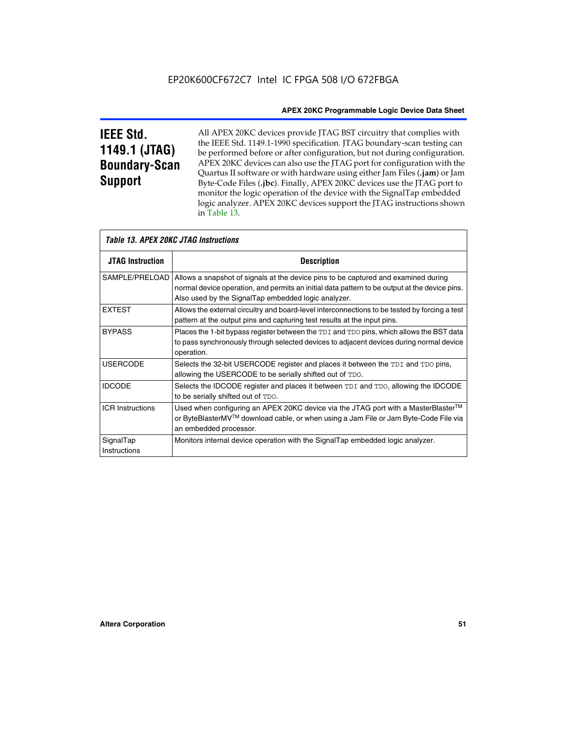# **IEEE Std. 1149.1 (JTAG) Boundary-Scan Support**

Г

All APEX 20KC devices provide JTAG BST circuitry that complies with the IEEE Std. 1149.1-1990 specification. JTAG boundary-scan testing can be performed before or after configuration, but not during configuration. APEX 20KC devices can also use the JTAG port for configuration with the Quartus II software or with hardware using either Jam Files (**.jam**) or Jam Byte-Code Files (**.jbc**). Finally, APEX 20KC devices use the JTAG port to monitor the logic operation of the device with the SignalTap embedded logic analyzer. APEX 20KC devices support the JTAG instructions shown in Table 13.

| Table 13. APEX 20KC JTAG Instructions |                                                                                                                                                                                                                                            |  |  |  |  |
|---------------------------------------|--------------------------------------------------------------------------------------------------------------------------------------------------------------------------------------------------------------------------------------------|--|--|--|--|
| <b>JTAG Instruction</b>               | <b>Description</b>                                                                                                                                                                                                                         |  |  |  |  |
| SAMPLE/PRELOAD                        | Allows a snapshot of signals at the device pins to be captured and examined during<br>normal device operation, and permits an initial data pattern to be output at the device pins.<br>Also used by the SignalTap embedded logic analyzer. |  |  |  |  |
| <b>EXTEST</b>                         | Allows the external circuitry and board-level interconnections to be tested by forcing a test<br>pattern at the output pins and capturing test results at the input pins.                                                                  |  |  |  |  |
| <b>BYPASS</b>                         | Places the 1-bit bypass register between the TDI and TDO pins, which allows the BST data<br>to pass synchronously through selected devices to adjacent devices during normal device<br>operation.                                          |  |  |  |  |
| <b>USERCODE</b>                       | Selects the 32-bit USERCODE register and places it between the TDI and TDO pins,<br>allowing the USERCODE to be serially shifted out of TDO.                                                                                               |  |  |  |  |
| <b>IDCODE</b>                         | Selects the IDCODE register and places it between TDI and TDO, allowing the IDCODE<br>to be serially shifted out of TDO.                                                                                                                   |  |  |  |  |
| <b>ICR Instructions</b>               | Used when configuring an APEX 20KC device via the JTAG port with a MasterBlaster™<br>or ByteBlasterMV™ download cable, or when using a Jam File or Jam Byte-Code File via<br>an embedded processor.                                        |  |  |  |  |
| SignalTap<br>Instructions             | Monitors internal device operation with the SignalTap embedded logic analyzer.                                                                                                                                                             |  |  |  |  |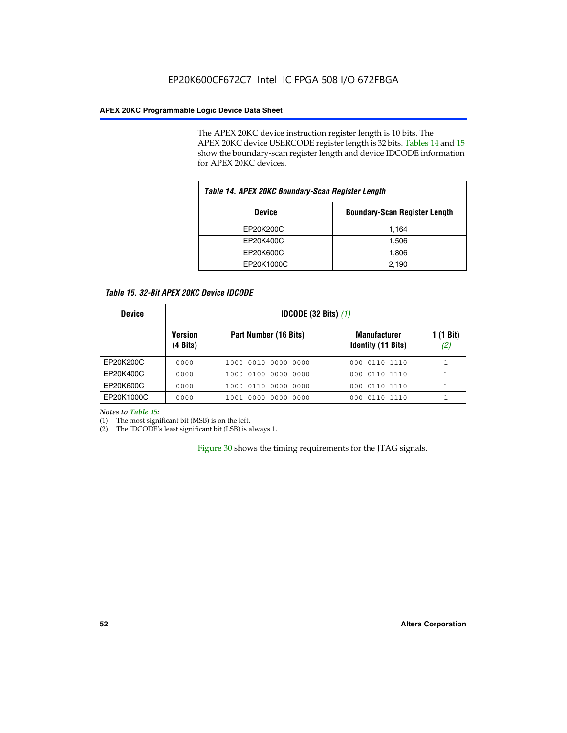The APEX 20KC device instruction register length is 10 bits. The APEX 20KC device USERCODE register length is 32 bits. Tables 14 and 15 show the boundary-scan register length and device IDCODE information for APEX 20KC devices.

| Table 14. APEX 20KC Boundary-Scan Register Length |                                      |  |  |  |
|---------------------------------------------------|--------------------------------------|--|--|--|
| <b>Device</b>                                     | <b>Boundary-Scan Register Length</b> |  |  |  |
| EP20K200C                                         | 1,164                                |  |  |  |
| EP20K400C                                         | 1,506                                |  |  |  |
| EP20K600C                                         | 1,806                                |  |  |  |
| EP20K1000C                                        | 2,190                                |  |  |  |

| <b>Device</b> | <b>IDCODE</b> (32 Bits) $(1)$ |                       |                                                  |                  |  |
|---------------|-------------------------------|-----------------------|--------------------------------------------------|------------------|--|
|               | <b>Version</b><br>(4 Bits)    | Part Number (16 Bits) | <b>Manufacturer</b><br><b>Identity (11 Bits)</b> | 1 (1 Bit)<br>(2) |  |
| EP20K200C     | 0000                          | 1000 0010 0000 0000   | 0110 1110<br>000                                 | 1                |  |
| EP20K400C     | 0000                          | 1000 0100 0000 0000   | 0110 1110<br>000                                 |                  |  |
| EP20K600C     | 0000                          | 1000 0110 0000 0000   | 000 0110 1110                                    |                  |  |
| EP20K1000C    | 0000                          | 1001 0000 0000 0000   | 000 0110 1110                                    |                  |  |

*Notes to Table 15:*

(1) The most significant bit (MSB) is on the left.

(2) The IDCODE's least significant bit (LSB) is always 1.

Figure 30 shows the timing requirements for the JTAG signals.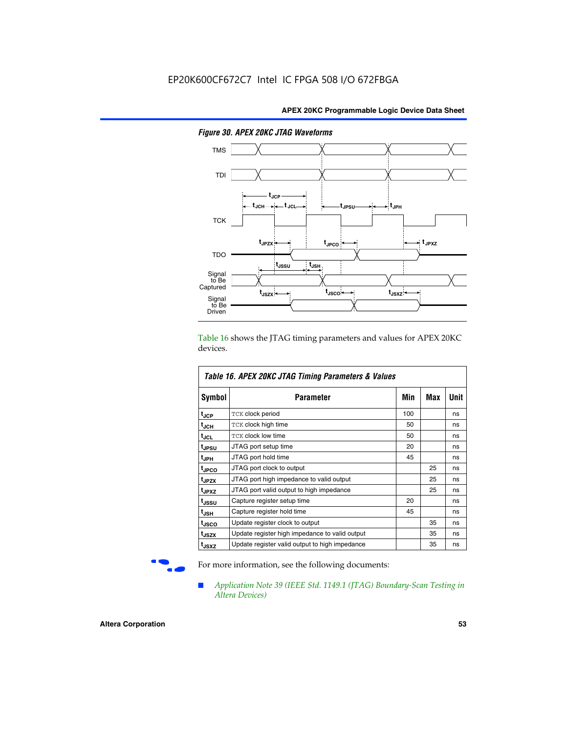

*Figure 30. APEX 20KC JTAG Waveforms*

Table 16 shows the JTAG timing parameters and values for APEX 20KC devices.

| Table 16. APEX 20KC JTAG Timing Parameters & Values |                                                |     |     |      |  |  |
|-----------------------------------------------------|------------------------------------------------|-----|-----|------|--|--|
| Symbol                                              | Parameter                                      | Min | Max | Unit |  |  |
| tjcp                                                | <b>TCK clock period</b>                        | 100 |     | ns   |  |  |
| t <sub>JCH</sub>                                    | TCK clock high time                            | 50  |     | ns   |  |  |
| tjcL                                                | <b>TCK clock low time</b>                      | 50  |     | ns   |  |  |
| tjpsu                                               | JTAG port setup time                           | 20  |     | ns   |  |  |
| t <sub>JPH</sub>                                    | JTAG port hold time                            | 45  |     | ns   |  |  |
| <sup>t</sup> JPCO                                   | JTAG port clock to output                      |     | 25  | ns   |  |  |
| tjpzx                                               | JTAG port high impedance to valid output<br>25 |     | ns  |      |  |  |
| t <sub>JPXZ</sub>                                   | JTAG port valid output to high impedance       |     | 25  | ns   |  |  |
| t <sub>JSSU</sub>                                   | Capture register setup time                    | 20  |     | ns   |  |  |
| t <sub>JSH</sub>                                    | Capture register hold time                     | 45  |     | ns   |  |  |
| t <sub>JSCO</sub>                                   | Update register clock to output                |     | 35  | ns   |  |  |
| t <sub>JSZX</sub>                                   | Update register high impedance to valid output |     | 35  | ns   |  |  |
| t <sub>JSXZ</sub>                                   | Update register valid output to high impedance |     | 35  | ns   |  |  |

For more information, see the following documents:

■ *Application Note 39 (IEEE Std. 1149.1 (JTAG) Boundary-Scan Testing in Altera Devices)*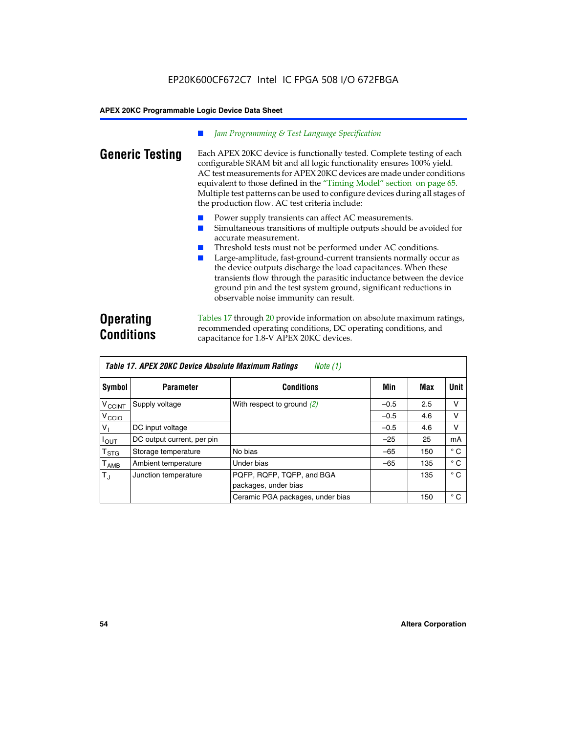### *Jam Programming & Test Language Specification*

**Generic Testing** Each APEX 20KC device is functionally tested. Complete testing of each configurable SRAM bit and all logic functionality ensures 100% yield. AC test measurements for APEX 20KC devices are made under conditions equivalent to those defined in the "Timing Model" section on page 65. Multiple test patterns can be used to configure devices during all stages of the production flow. AC test criteria include:

- Power supply transients can affect AC measurements.
- Simultaneous transitions of multiple outputs should be avoided for accurate measurement.
- Threshold tests must not be performed under AC conditions.
- Large-amplitude, fast-ground-current transients normally occur as the device outputs discharge the load capacitances. When these transients flow through the parasitic inductance between the device ground pin and the test system ground, significant reductions in observable noise immunity can result.

# **Operating Conditions**

Tables 17 through 20 provide information on absolute maximum ratings, recommended operating conditions, DC operating conditions, and capacitance for 1.8-V APEX 20KC devices.

|                             | Table 17. APEX 20KC Device Absolute Maximum Ratings<br>Note (1) |                                                   |        |     |              |  |  |
|-----------------------------|-----------------------------------------------------------------|---------------------------------------------------|--------|-----|--------------|--|--|
| Symbol                      | <b>Parameter</b>                                                | <b>Conditions</b>                                 | Min    | Max | Unit         |  |  |
| $V_{\text{CCINT}}$          | Supply voltage                                                  | With respect to ground $(2)$                      | $-0.5$ | 2.5 | v            |  |  |
| V <sub>CCIO</sub>           |                                                                 |                                                   | $-0.5$ | 4.6 | v            |  |  |
| V,                          | DC input voltage                                                |                                                   | $-0.5$ | 4.6 | v            |  |  |
| $I_{OUT}$                   | DC output current, per pin                                      |                                                   | $-25$  | 25  | mA           |  |  |
| $\mathsf{T}_{\texttt{STG}}$ | Storage temperature                                             | No bias                                           | $-65$  | 150 | $^{\circ}$ C |  |  |
| $\mathsf{T}_{\mathsf{AMB}}$ | Ambient temperature                                             | Under bias                                        | $-65$  | 135 | $^{\circ}$ C |  |  |
| $T_{J}$                     | Junction temperature                                            | PQFP, RQFP, TQFP, and BGA<br>packages, under bias |        | 135 | $^{\circ}$ C |  |  |
|                             |                                                                 | Ceramic PGA packages, under bias                  |        | 150 | $^{\circ}$ C |  |  |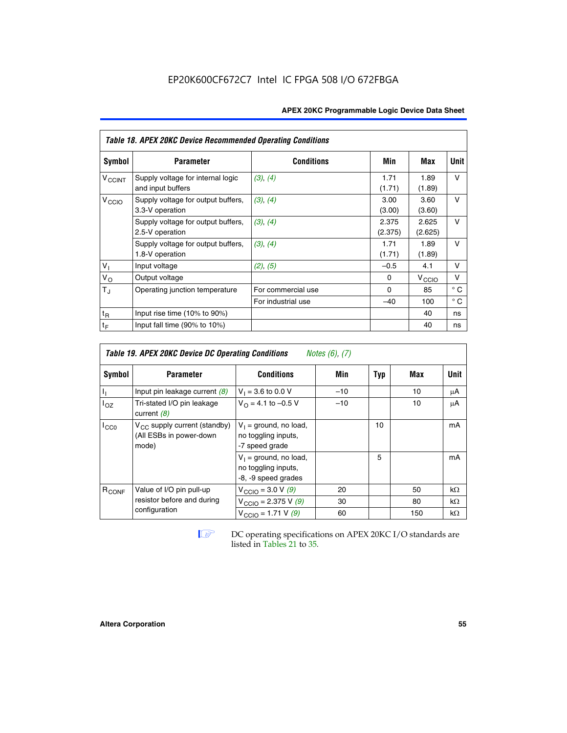| <b>APEX 20KC Programmable Logic Device Data Sheet</b> |  |
|-------------------------------------------------------|--|
|-------------------------------------------------------|--|

| Table 18. APEX 20KC Device Recommended Operating Conditions |                                                        |                    |                  |                   |              |  |  |  |  |
|-------------------------------------------------------------|--------------------------------------------------------|--------------------|------------------|-------------------|--------------|--|--|--|--|
| Symbol                                                      | <b>Parameter</b>                                       | <b>Conditions</b>  | Min              | Max               | Unit         |  |  |  |  |
| <b>V<sub>CCINT</sub></b>                                    | Supply voltage for internal logic<br>and input buffers | (3), (4)           | 1.71<br>(1.71)   | 1.89<br>(1.89)    | v            |  |  |  |  |
| V <sub>CCIO</sub>                                           | Supply voltage for output buffers,<br>3.3-V operation  | (3), (4)           | 3.00<br>(3.00)   | 3.60<br>(3.60)    | $\vee$       |  |  |  |  |
|                                                             | Supply voltage for output buffers,<br>2.5-V operation  | (3), (4)           | 2.375<br>(2.375) | 2.625<br>(2.625)  | $\vee$       |  |  |  |  |
|                                                             | Supply voltage for output buffers,<br>1.8-V operation  | (3), (4)           | 1.71<br>(1.71)   | 1.89<br>(1.89)    | $\vee$       |  |  |  |  |
| V <sub>1</sub>                                              | Input voltage                                          | (2), (5)           | $-0.5$           | 4.1               | v            |  |  |  |  |
| $V_{\rm O}$                                                 | Output voltage                                         |                    | 0                | $V_{\text{CCI}O}$ | v            |  |  |  |  |
| $T_{\rm J}$                                                 | Operating junction temperature                         | For commercial use | $\Omega$         | 85                | $^{\circ}$ C |  |  |  |  |
|                                                             |                                                        | For industrial use | $-40$            | 100               | $^{\circ}$ C |  |  |  |  |
| $t_{R}$                                                     | Input rise time $(10\% \text{ to } 90\%)$              |                    |                  | 40                | ns           |  |  |  |  |
| $t_F$                                                       | Input fall time $(90\% \text{ to } 10\%)$              |                    |                  | 40                | ns           |  |  |  |  |

| <b>Table 19. APEX 20KC Device DC Operating Conditions</b><br><i>Notes <math>(6)</math>, <math>(7)</math></i> |                                                                       |                                                                        |       |     |     |           |  |  |  |
|--------------------------------------------------------------------------------------------------------------|-----------------------------------------------------------------------|------------------------------------------------------------------------|-------|-----|-----|-----------|--|--|--|
| Symbol                                                                                                       | <b>Parameter</b>                                                      | <b>Conditions</b>                                                      | Min   | Typ | Max | Unit      |  |  |  |
|                                                                                                              | Input pin leakage current $(8)$                                       | $V_1 = 3.6$ to 0.0 V                                                   | $-10$ |     | 10  | μA        |  |  |  |
| loz                                                                                                          | Tri-stated I/O pin leakage<br>current $(8)$                           | $V_{\Omega} = 4.1$ to -0.5 V                                           | $-10$ |     | 10  | μA        |  |  |  |
| ICCO                                                                                                         | $V_{CC}$ supply current (standby)<br>(All ESBs in power-down<br>mode) | $V_1$ = ground, no load,<br>no toggling inputs,<br>-7 speed grade      |       | 10  |     | mA        |  |  |  |
|                                                                                                              |                                                                       | $V_1$ = ground, no load,<br>no toggling inputs,<br>-8, -9 speed grades |       | 5   |     | mA        |  |  |  |
| $R_{CONF}$                                                                                                   | Value of I/O pin pull-up                                              | $V_{\text{CCIO}} = 3.0 V (9)$                                          | 20    |     | 50  | $k\Omega$ |  |  |  |
|                                                                                                              | resistor before and during                                            | $V_{\text{CCIO}} = 2.375 V (9)$                                        | 30    |     | 80  | $k\Omega$ |  |  |  |
|                                                                                                              | configuration                                                         | $V_{\text{CCIO}} = 1.71 V(9)$                                          | 60    |     | 150 | $k\Omega$ |  |  |  |

**IF DC** operating specifications on APEX 20KC I/O standards are listed in Tables 21 to 35*.*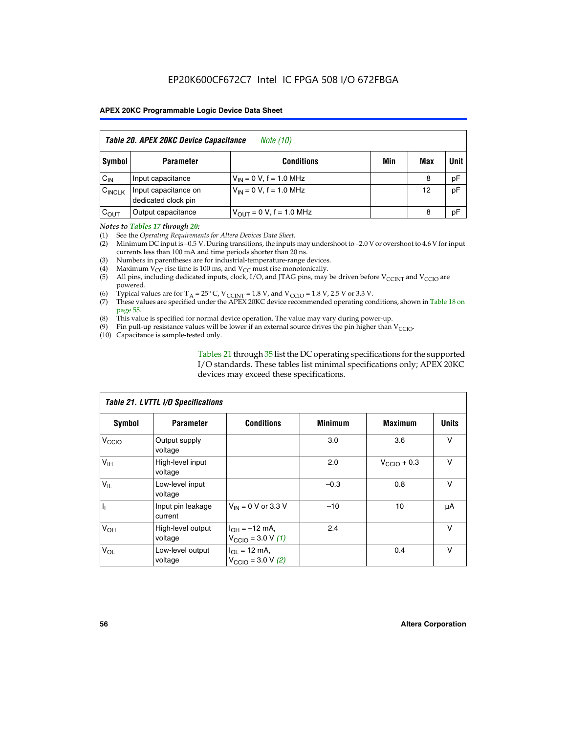| Table 20. APEX 20KC Device Capacitance<br><i>Note (10)</i> |                                             |                                |     |     |      |  |  |  |  |
|------------------------------------------------------------|---------------------------------------------|--------------------------------|-----|-----|------|--|--|--|--|
| Symbol                                                     | <b>Parameter</b>                            | <b>Conditions</b>              | Min | Max | Unit |  |  |  |  |
| $C_{IN}$                                                   | Input capacitance                           | $V_{IN} = 0 V$ , f = 1.0 MHz   |     | 8   | pF   |  |  |  |  |
| $C_{\text{INCLK}}$                                         | Input capacitance on<br>dedicated clock pin | $V_{IN} = 0 V$ , f = 1.0 MHz   |     | 12  | pF   |  |  |  |  |
| $C_{OUT}$                                                  | Output capacitance                          | $V_{OIII} = 0 V$ , f = 1.0 MHz |     | 8   | pF   |  |  |  |  |

#### *Notes to Tables 17 through 20:*

(1) See the *Operating Requirements for Altera Devices Data Sheet*.

(2) Minimum DC input is –0.5 V. During transitions, the inputs may undershoot to –2.0 V or overshoot to 4.6 V for input currents less than 100 mA and time periods shorter than 20 ns.

- (3) Numbers in parentheses are for industrial-temperature-range devices.<br>(4) Maximum  $V_{CC}$  rise time is 100 ms, and  $V_{CC}$  must rise monotonically.
- (4) Maximum  $V_{CC}$  rise time is 100 ms, and  $V_{CC}$  must rise monotonically.<br>(5) All pins, including dedicated inputs, clock, I/O, and JTAG pins, may
- All pins, including dedicated inputs, clock, I/O, and JTAG pins, may be driven before  $V_{CCTN}$  and  $V_{CCTO}$  are powered.
- (6) Typical values are for T<sub>A</sub> = 25° C, V<sub>CCINT</sub> = 1.8 V, and V<sub>CCIO</sub> = 1.8 V, 2.5 V or 3.3 V.
- (7) These values are specified under the APEX 20KC device recommended operating conditions, shown in Table 18 on page 55.
- (8) This value is specified for normal device operation. The value may vary during power-up.
- (9) Pin pull-up resistance values will be lower if an external source drives the pin higher than  $V_{\text{CCIO}}$ .
- (10) Capacitance is sample-tested only.

Tables 21 through 35 list the DC operating specifications for the supported I/O standards. These tables list minimal specifications only; APEX 20KC devices may exceed these specifications.

| Table 21. LVTTL I/O Specifications |                              |                                                            |                |                         |              |  |  |  |  |
|------------------------------------|------------------------------|------------------------------------------------------------|----------------|-------------------------|--------------|--|--|--|--|
| Symbol                             | <b>Parameter</b>             | <b>Conditions</b>                                          | <b>Minimum</b> | <b>Maximum</b>          | <b>Units</b> |  |  |  |  |
| V <sub>CCIO</sub>                  | Output supply<br>voltage     |                                                            | 3.0            | 3.6                     | v            |  |  |  |  |
| V <sub>IH</sub>                    | High-level input<br>voltage  |                                                            | 2.0            | $V_{\text{CClO}} + 0.3$ | $\vee$       |  |  |  |  |
| $V_{IL}$                           | Low-level input<br>voltage   |                                                            | $-0.3$         | 0.8                     | v            |  |  |  |  |
| $\mathbf{I}_{1}$                   | Input pin leakage<br>current | $V_{IN}$ = 0 V or 3.3 V                                    | $-10$          | 10                      | μA           |  |  |  |  |
| V <sub>OH</sub>                    | High-level output<br>voltage | $I_{OH} = -12$ mA,<br>$V_{\text{CCIO}} = 3.0 V (1)$        | 2.4            |                         | v            |  |  |  |  |
| $V_{OL}$                           | Low-level output<br>voltage  | $I_{OL}$ = 12 mA,<br>$V_{\text{CCIO}} = 3.0 \text{ V}$ (2) |                | 0.4                     | $\vee$       |  |  |  |  |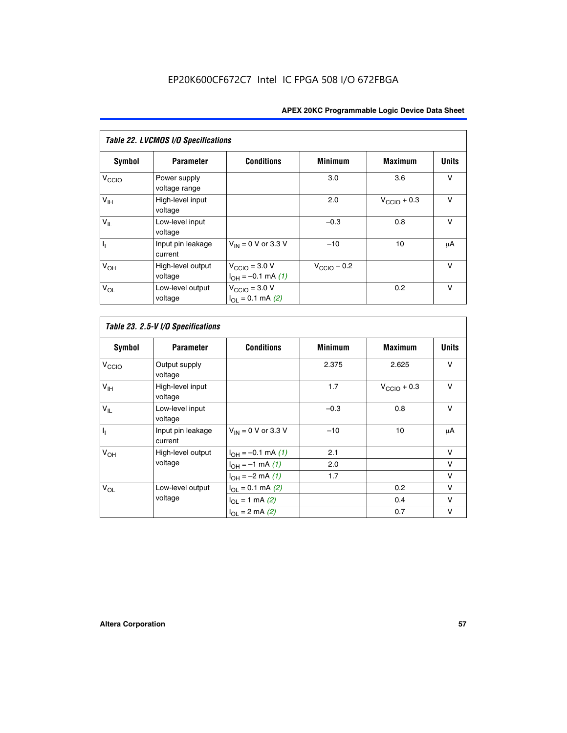| Table 22. LVCMOS I/O Specifications |                               |                                                          |                         |                         |              |  |  |  |  |
|-------------------------------------|-------------------------------|----------------------------------------------------------|-------------------------|-------------------------|--------------|--|--|--|--|
| Symbol                              | <b>Parameter</b>              | <b>Conditions</b>                                        | <b>Minimum</b>          | <b>Maximum</b>          | <b>Units</b> |  |  |  |  |
| V <sub>CCIO</sub>                   | Power supply<br>voltage range |                                                          | 3.0                     | 3.6                     | $\vee$       |  |  |  |  |
| $V_{\text{IH}}$                     | High-level input<br>voltage   |                                                          | 2.0                     | $V_{\text{CCIO}} + 0.3$ | $\vee$       |  |  |  |  |
| $V_{IL}$                            | Low-level input<br>voltage    |                                                          | $-0.3$                  | 0.8                     | $\vee$       |  |  |  |  |
| h,                                  | Input pin leakage<br>current  | $V_{IN}$ = 0 V or 3.3 V                                  | $-10$                   | 10                      | μA           |  |  |  |  |
| V <sub>OH</sub>                     | High-level output<br>voltage  | $V_{\text{CCIO}} = 3.0 V$<br>$I_{OH} = -0.1$ mA $(1)$    | $V_{\text{CCIO}} - 0.2$ |                         | $\vee$       |  |  |  |  |
| $V_{OL}$                            | Low-level output<br>voltage   | $V_{\text{CCIO}} = 3.0 V$<br>$I_{\Omega I} = 0.1$ mA (2) |                         | 0.2                     | $\vee$       |  |  |  |  |

 $\overline{\phantom{a}}$ 

| <b>Symbol</b>             | <b>Parameter</b>             | <b>Conditions</b>        | <b>Minimum</b> | <b>Maximum</b>          | <b>Units</b> |
|---------------------------|------------------------------|--------------------------|----------------|-------------------------|--------------|
| V <sub>CCIO</sub>         | Output supply<br>voltage     |                          | 2.375          | 2.625                   | V            |
| V <sub>IH</sub>           | High-level input<br>voltage  |                          | 1.7            | $V_{\text{CCIO}} + 0.3$ | $\vee$       |
| $V_{IL}$                  | Low-level input<br>voltage   |                          | $-0.3$         | 0.8                     | $\vee$       |
| $\mathbf{I}_{\mathbf{I}}$ | Input pin leakage<br>current | $V_{IN}$ = 0 V or 3.3 V  | $-10$          | 10                      | μA           |
| V <sub>OH</sub>           | High-level output            | $I_{OH} = -0.1$ mA $(1)$ | 2.1            |                         | v            |
|                           | voltage                      | $I_{OH} = -1$ mA (1)     | 2.0            |                         | v            |
|                           |                              | $I_{OH} = -2$ mA (1)     | 1.7            |                         | v            |
| $V_{OL}$                  | Low-level output             | $I_{OL} = 0.1$ mA (2)    |                | 0.2                     | $\vee$       |
|                           | voltage                      | $I_{OL} = 1$ mA (2)      |                | 0.4                     | $\vee$       |
|                           |                              | $I_{OL} = 2$ mA (2)      |                | 0.7                     | v            |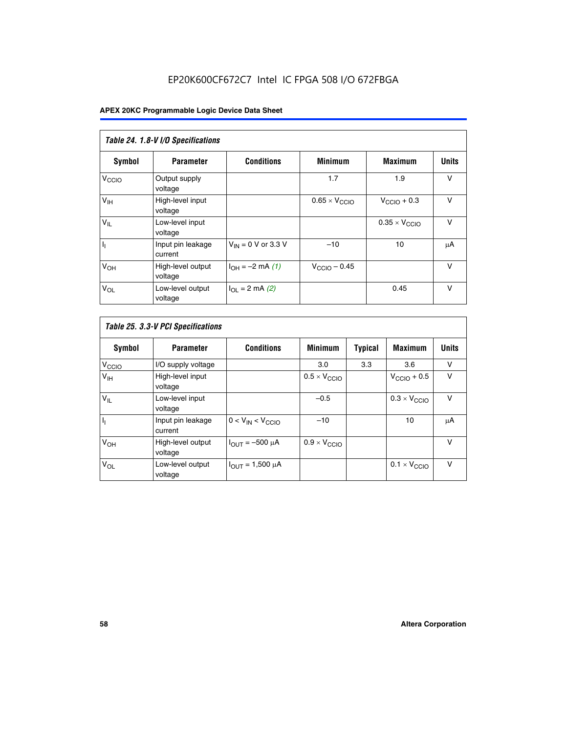# EP20K600CF672C7 Intel IC FPGA 508 I/O 672FBGA

| Table 24. 1.8-V I/O Specifications |                              |                           |                               |                               |              |  |  |  |  |
|------------------------------------|------------------------------|---------------------------|-------------------------------|-------------------------------|--------------|--|--|--|--|
| Symbol                             | <b>Parameter</b>             | <b>Conditions</b>         | <b>Minimum</b>                | <b>Maximum</b>                | <b>Units</b> |  |  |  |  |
| V <sub>CCIO</sub>                  | Output supply<br>voltage     |                           | 1.7                           | 1.9                           | $\vee$       |  |  |  |  |
| V <sub>IH</sub>                    | High-level input<br>voltage  |                           | $0.65 \times V_{\text{CCIO}}$ | $V_{\text{CCIO}} + 0.3$       | $\vee$       |  |  |  |  |
| $V_{IL}$                           | Low-level input<br>voltage   |                           |                               | $0.35 \times V_{\text{CCIO}}$ | $\vee$       |  |  |  |  |
| $I_1$                              | Input pin leakage<br>current | $V_{IN} = 0$ V or 3.3 V   | $-10$                         | 10                            | μA           |  |  |  |  |
| V <sub>OH</sub>                    | High-level output<br>voltage | $I_{OH} = -2$ mA (1)      | $V_{\text{CClO}}$ – 0.45      |                               | V            |  |  |  |  |
| $V_{OL}$                           | Low-level output<br>voltage  | $I_{\Omega I}$ = 2 mA (2) |                               | 0.45                          | $\vee$       |  |  |  |  |

| Table 25. 3.3-V PCI Specifications |                              |                         |                              |         |                              |              |  |  |
|------------------------------------|------------------------------|-------------------------|------------------------------|---------|------------------------------|--------------|--|--|
| <b>Symbol</b>                      | <b>Parameter</b>             | <b>Conditions</b>       | <b>Minimum</b>               | Typical | <b>Maximum</b>               | <b>Units</b> |  |  |
| V <sub>CCIO</sub>                  | I/O supply voltage           |                         | 3.0                          | 3.3     | 3.6                          | v            |  |  |
| $V_{\text{IH}}$                    | High-level input<br>voltage  |                         | $0.5 \times V_{\text{CCIO}}$ |         | $V_{\text{CCIO}} + 0.5$      | $\vee$       |  |  |
| $V_{IL}$                           | Low-level input<br>voltage   |                         | $-0.5$                       |         | $0.3 \times V_{CCIO}$        | $\vee$       |  |  |
| $\mathbf{I}_{1}$                   | Input pin leakage<br>current | $0 < V_{IN} < V_{CCIO}$ | $-10$                        |         | 10                           | μA           |  |  |
| V <sub>OH</sub>                    | High-level output<br>voltage | $I_{OUT} = -500 \mu A$  | $0.9 \times V_{\text{CCIO}}$ |         |                              | $\vee$       |  |  |
| $V_{OL}$                           | Low-level output<br>voltage  | $I_{OUT} = 1,500 \mu A$ |                              |         | $0.1 \times V_{\text{CCIO}}$ | v            |  |  |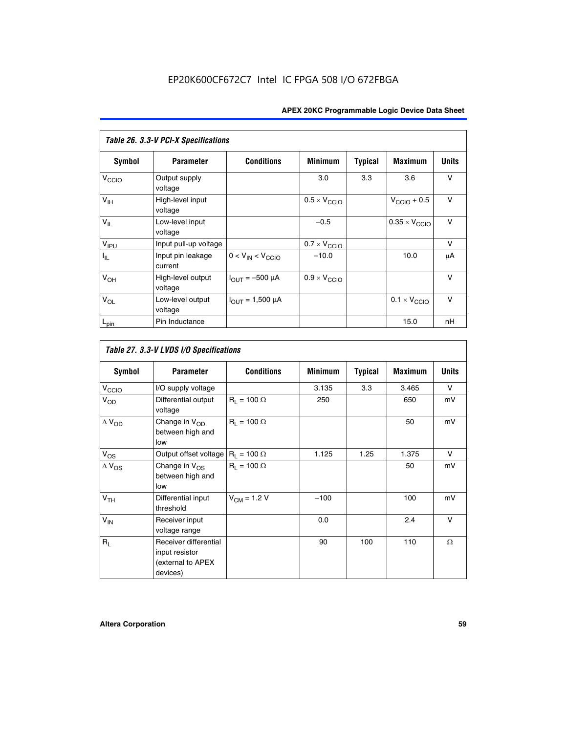| Table 26. 3.3-V PCI-X Specifications |                              |                               |                              |                |                              |              |  |  |  |
|--------------------------------------|------------------------------|-------------------------------|------------------------------|----------------|------------------------------|--------------|--|--|--|
| <b>Symbol</b>                        | <b>Parameter</b>             | <b>Conditions</b>             | <b>Minimum</b>               | <b>Typical</b> | <b>Maximum</b>               | <b>Units</b> |  |  |  |
| V <sub>CCIO</sub>                    | Output supply<br>voltage     |                               | 3.0                          | 3.3            | 3.6                          | v            |  |  |  |
| $V_{\text{IH}}$                      | High-level input<br>voltage  |                               | $0.5 \times V_{\text{CCIO}}$ |                | $V_{\text{CCIO}} + 0.5$      | $\vee$       |  |  |  |
| $V_{IL}$                             | Low-level input<br>voltage   |                               | $-0.5$                       |                | $0.35 \times V_{CCIO}$       | $\vee$       |  |  |  |
| V <sub>IPU</sub>                     | Input pull-up voltage        |                               | $0.7 \times V_{\text{CCIO}}$ |                |                              | $\vee$       |  |  |  |
| $I_{\rm IL}$                         | Input pin leakage<br>current | $0 < V_{IN} < V_{CCIO}$       | $-10.0$                      |                | 10.0                         | μA           |  |  |  |
| $V_{OH}$                             | High-level output<br>voltage | $I_{\text{OUT}} = -500 \mu A$ | $0.9 \times V_{\text{CCIO}}$ |                |                              | $\vee$       |  |  |  |
| $V_{OL}$                             | Low-level output<br>voltage  | $I_{OUT} = 1,500 \mu A$       |                              |                | $0.1 \times V_{\text{CCIO}}$ | $\vee$       |  |  |  |
| $L_{pin}$                            | Pin Inductance               |                               |                              |                | 15.0                         | nH           |  |  |  |

| Table 27. 3.3-V LVDS I/O Specifications |                                                                          |                    |                |                |                |              |  |  |  |
|-----------------------------------------|--------------------------------------------------------------------------|--------------------|----------------|----------------|----------------|--------------|--|--|--|
| Symbol                                  | <b>Parameter</b>                                                         | <b>Conditions</b>  | <b>Minimum</b> | <b>Typical</b> | <b>Maximum</b> | <b>Units</b> |  |  |  |
| V <sub>C</sub> CO                       | I/O supply voltage                                                       |                    | 3.135          | 3.3            | 3.465          | $\vee$       |  |  |  |
| $V_{OD}$                                | Differential output<br>voltage                                           | $R_1 = 100 \Omega$ | 250            |                | 650            | mV           |  |  |  |
| $\Delta$ V <sub>OD</sub>                | Change in V <sub>OD</sub><br>between high and<br>low                     | $R_1 = 100 \Omega$ |                |                | 50             | mV           |  |  |  |
| $V_{OS}$                                | Output offset voltage $R_1 = 100 \Omega$                                 |                    | 1.125          | 1.25           | 1.375          | V            |  |  |  |
| $\Delta$ V <sub>OS</sub>                | Change in $V_{OS}$<br>between high and<br>low                            | $R_1 = 100 \Omega$ |                |                | 50             | mV           |  |  |  |
| V <sub>TH</sub>                         | Differential input<br>threshold                                          | $V_{CM} = 1.2 V$   | $-100$         |                | 100            | mV           |  |  |  |
| $V_{IN}$                                | Receiver input<br>voltage range                                          |                    | 0.0            |                | 2.4            | $\vee$       |  |  |  |
| $R_{\rm I}$                             | Receiver differential<br>input resistor<br>(external to APEX<br>devices) |                    | 90             | 100            | 110            | $\Omega$     |  |  |  |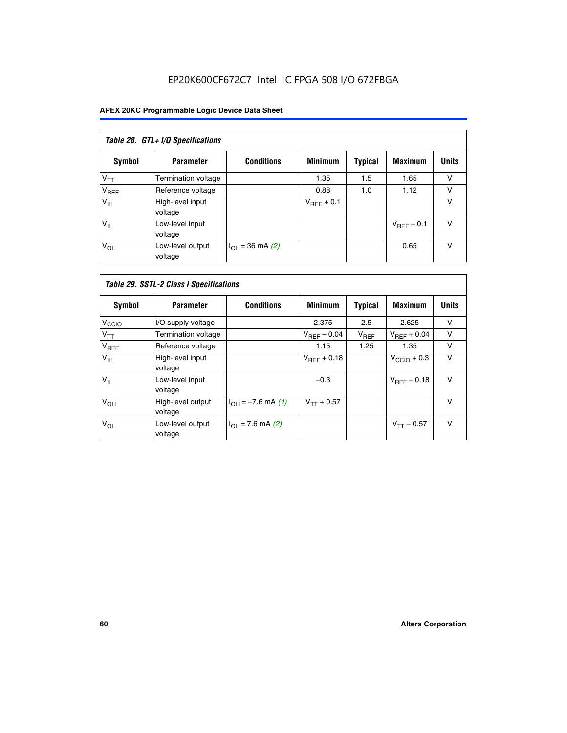# EP20K600CF672C7 Intel IC FPGA 508 I/O 672FBGA

| Table 28. GTL+ I/O Specifications |                             |                      |                 |                |                        |              |  |  |
|-----------------------------------|-----------------------------|----------------------|-----------------|----------------|------------------------|--------------|--|--|
| <b>Symbol</b>                     | <b>Parameter</b>            | <b>Conditions</b>    | <b>Minimum</b>  | <b>Typical</b> | <b>Maximum</b>         | <b>Units</b> |  |  |
| $V_{TT}$                          | <b>Termination voltage</b>  |                      | 1.35            | 1.5            | 1.65                   | v            |  |  |
| V <sub>REF</sub>                  | Reference voltage           |                      | 0.88            | 1.0            | 1.12                   | v            |  |  |
| V <sub>IH</sub>                   | High-level input<br>voltage |                      | $V_{REF}$ + 0.1 |                |                        | v            |  |  |
| $V_{IL}$                          | Low-level input<br>voltage  |                      |                 |                | $V_{\text{RFF}}$ – 0.1 | v            |  |  |
| $V_{OL}$                          | Low-level output<br>voltage | $I_{OL}$ = 36 mA (2) |                 |                | 0.65                   | v            |  |  |

| Table 29. SSTL-2 Class I Specifications |                              |                             |                         |                |                         |              |
|-----------------------------------------|------------------------------|-----------------------------|-------------------------|----------------|-------------------------|--------------|
| Symbol                                  | <b>Parameter</b>             | <b>Conditions</b>           | <b>Minimum</b>          | <b>Typical</b> | <b>Maximum</b>          | <b>Units</b> |
| V <sub>CCIO</sub>                       | I/O supply voltage           |                             | 2.375                   | 2.5            | 2.625                   | v            |
| $V_{TT}$                                | Termination voltage          |                             | $V_{\text{REF}} - 0.04$ | $V_{REF}$      | $V_{BFF}$ + 0.04        | $\vee$       |
| V <sub>REF</sub>                        | Reference voltage            |                             | 1.15                    | 1.25           | 1.35                    | v            |
| V <sub>IH</sub>                         | High-level input<br>voltage  |                             | $V_{BFE} + 0.18$        |                | $V_{\text{CCIO}} + 0.3$ | $\vee$       |
| $V_{IL}$                                | Low-level input<br>voltage   |                             | $-0.3$                  |                | $V_{REF}$ – 0.18        | V            |
| V <sub>OH</sub>                         | High-level output<br>voltage | $I_{OH} = -7.6$ mA (1)      | $V_{TT} + 0.57$         |                |                         | v            |
| $V_{OL}$                                | Low-level output<br>voltage  | $I_{\Omega I}$ = 7.6 mA (2) |                         |                | $V_{TT} - 0.57$         | $\vee$       |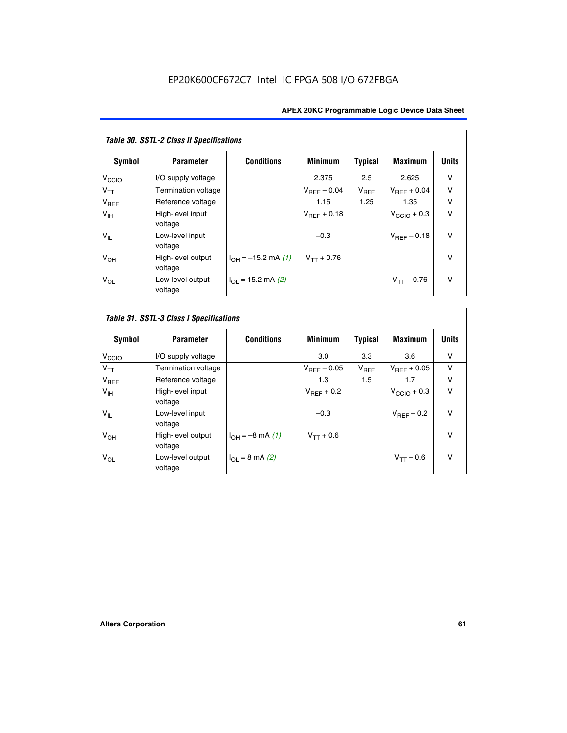| Table 30. SSTL-2 Class II Specifications |                              |                              |                         |                |                         |              |
|------------------------------------------|------------------------------|------------------------------|-------------------------|----------------|-------------------------|--------------|
| Symbol                                   | <b>Parameter</b>             | <b>Conditions</b>            | <b>Minimum</b>          | <b>Typical</b> | <b>Maximum</b>          | <b>Units</b> |
| $V_{\text{CCIO}}$                        | I/O supply voltage           |                              | 2.375                   | 2.5            | 2.625                   | v            |
| $V_{TT}$                                 | <b>Termination voltage</b>   |                              | $V_{REF} - 0.04$        | $V_{REF}$      | $V_{BFF} + 0.04$        | $\vee$       |
| $V_{REF}$                                | Reference voltage            |                              | 1.15                    | 1.25           | 1.35                    | v            |
| V <sub>IH</sub>                          | High-level input<br>voltage  |                              | $V_{\text{RFF}} + 0.18$ |                | $V_{\text{CCIO}} + 0.3$ | $\vee$       |
| $V_{IL}$                                 | Low-level input<br>voltage   |                              | $-0.3$                  |                | $V_{BFE} - 0.18$        | $\vee$       |
| V <sub>OH</sub>                          | High-level output<br>voltage | $I_{OH} = -15.2$ mA (1)      | $V_{TT} + 0.76$         |                |                         | $\vee$       |
| $V_{OL}$                                 | Low-level output<br>voltage  | $I_{\Omega I}$ = 15.2 mA (2) |                         |                | $V_{TT} - 0.76$         | $\vee$       |

| Symbol            | <b>Parameter</b>             | <b>Conditions</b>         | <b>Minimum</b>          | Typical   | <b>Maximum</b>          | <b>Units</b> |
|-------------------|------------------------------|---------------------------|-------------------------|-----------|-------------------------|--------------|
| V <sub>CCIO</sub> | I/O supply voltage           |                           | 3.0                     | 3.3       | 3.6                     | ν            |
| $V_{TT}$          | Termination voltage          |                           | $V_{\text{BFF}} - 0.05$ | $V_{REF}$ | $V_{\text{RFF}} + 0.05$ | v            |
| $V_{REF}$         | Reference voltage            |                           | 1.3                     | 1.5       | 1.7                     | v            |
| V <sub>IH</sub>   | High-level input<br>voltage  |                           | $V_{BFF}$ + 0.2         |           | $V_{\text{CCIO}} + 0.3$ | v            |
| $V_{IL}$          | Low-level input<br>voltage   |                           | $-0.3$                  |           | $V_{BFE}$ – 0.2         | $\vee$       |
| V <sub>OH</sub>   | High-level output<br>voltage | $I_{OH} = -8$ mA (1)      | $V_{TT} + 0.6$          |           |                         | v            |
| $V_{OL}$          | Low-level output<br>voltage  | $I_{\Omega I}$ = 8 mA (2) |                         |           | $V_{TT} - 0.6$          | $\vee$       |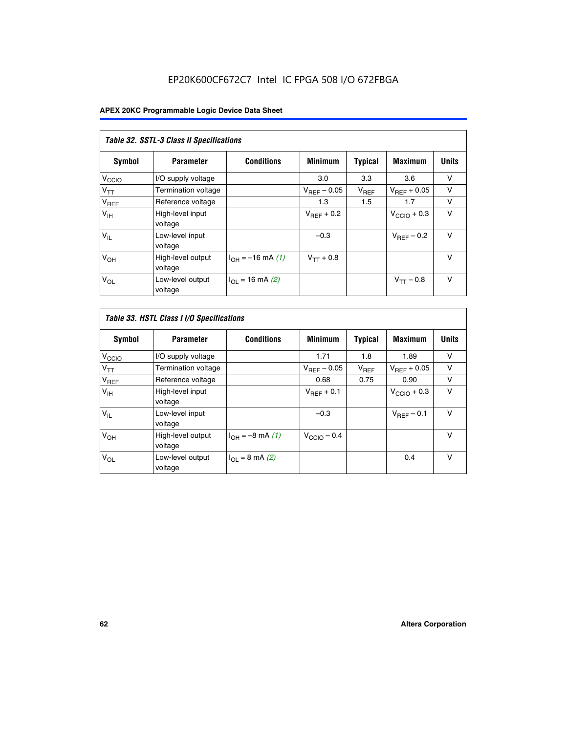# EP20K600CF672C7 Intel IC FPGA 508 I/O 672FBGA

| Table 32. SSTL-3 Class II Specifications |                              |                          |                        |           |                         |              |
|------------------------------------------|------------------------------|--------------------------|------------------------|-----------|-------------------------|--------------|
| Symbol                                   | <b>Parameter</b>             | <b>Conditions</b>        | <b>Minimum</b>         | Typical   | <b>Maximum</b>          | <b>Units</b> |
| V <sub>CCIO</sub>                        | I/O supply voltage           |                          | 3.0                    | 3.3       | 3.6                     | v            |
| $V_{TT}$                                 | <b>Termination voltage</b>   |                          | $V_{REF}$ – 0.05       | $V_{REF}$ | $V_{\text{RFF}} + 0.05$ | v            |
| $V_{REF}$                                | Reference voltage            |                          | 1.3                    | 1.5       | 1.7                     | v            |
| $V_{\text{IH}}$                          | High-level input<br>voltage  |                          | $V_{\text{BFE}} + 0.2$ |           | $V_{\text{CCIO}} + 0.3$ | $\vee$       |
| $V_{IL}$                                 | Low-level input<br>voltage   |                          | $-0.3$                 |           | $V_{\text{RFF}}$ – 0.2  | $\vee$       |
| V <sub>OH</sub>                          | High-level output<br>voltage | $I_{OH} = -16$ mA (1)    | $V_{TT} + 0.8$         |           |                         | $\vee$       |
| $V_{OL}$                                 | Low-level output<br>voltage  | $I_{\Omega}$ = 16 mA (2) |                        |           | $V_{TT} - 0.8$          | $\vee$       |

| Table 33. HSTL Class I I/O Specifications |                              |                              |                         |                |                         |              |
|-------------------------------------------|------------------------------|------------------------------|-------------------------|----------------|-------------------------|--------------|
| <b>Symbol</b>                             | <b>Parameter</b>             | <b>Conditions</b>            | <b>Minimum</b>          | <b>Typical</b> | <b>Maximum</b>          | <b>Units</b> |
| V <sub>CCIO</sub>                         | I/O supply voltage           |                              | 1.71                    | 1.8            | 1.89                    | v            |
| $V_{TT}$                                  | Termination voltage          |                              | $V_{REF} - 0.05$        | $V_{REF}$      | $V_{\text{RFF}} + 0.05$ | v            |
| $V_{REF}$                                 | Reference voltage            |                              | 0.68                    | 0.75           | 0.90                    | $\vee$       |
| $V_{\text{IH}}$                           | High-level input<br>voltage  |                              | $V_{\text{RFF}} + 0.1$  |                | $V_{\text{CCIO}} + 0.3$ | $\vee$       |
| $V_{IL}$                                  | Low-level input<br>voltage   |                              | $-0.3$                  |                | $V_{\text{BFF}}$ – 0.1  | $\vee$       |
| V <sub>OH</sub>                           | High-level output<br>voltage | $I_{OH} = -8 \text{ mA} (1)$ | $V_{\text{CCIO}} - 0.4$ |                |                         | $\vee$       |
| $V_{OL}$                                  | Low-level output<br>voltage  | $I_{OL} = 8$ mA (2)          |                         |                | 0.4                     | $\vee$       |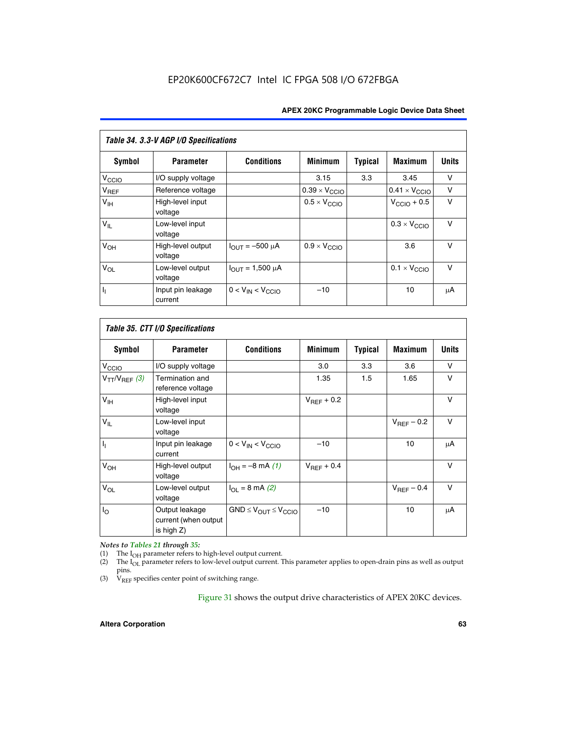| Table 34. 3.3-V AGP I/O Specifications |                              |                         |                               |                |                               |              |
|----------------------------------------|------------------------------|-------------------------|-------------------------------|----------------|-------------------------------|--------------|
| Symbol                                 | <b>Parameter</b>             | <b>Conditions</b>       | <b>Minimum</b>                | <b>Typical</b> | <b>Maximum</b>                | <b>Units</b> |
| V <sub>CCIO</sub>                      | I/O supply voltage           |                         | 3.15                          | 3.3            | 3.45                          | v            |
| $V_{REF}$                              | Reference voltage            |                         | $0.39 \times V_{\text{CCIO}}$ |                | $0.41 \times V_{\text{CCIO}}$ | v            |
| V <sub>IH</sub>                        | High-level input<br>voltage  |                         | $0.5 \times V_{\text{CCIO}}$  |                | $V_{\text{CCIO}} + 0.5$       | $\vee$       |
| $V_{IL}$                               | Low-level input<br>voltage   |                         |                               |                | $0.3 \times V_{\text{CCIO}}$  | $\vee$       |
| V <sub>OH</sub>                        | High-level output<br>voltage | $I_{OUT} = -500 \mu A$  | $0.9 \times V_{\text{CCIO}}$  |                | 3.6                           | $\vee$       |
| $V_{OL}$                               | Low-level output<br>voltage  | $I_{OUT} = 1,500 \mu A$ |                               |                | $0.1 \times V_{\text{CCIO}}$  | $\vee$       |
| h,                                     | Input pin leakage<br>current | $0 < V_{IN} < V_{CCIO}$ | $-10$                         |                | 10                            | μA           |

| Table 35. CTT I/O Specifications |                                                         |                                  |                 |         |                        |              |
|----------------------------------|---------------------------------------------------------|----------------------------------|-----------------|---------|------------------------|--------------|
| <b>Symbol</b>                    | <b>Parameter</b>                                        | <b>Conditions</b>                | <b>Minimum</b>  | Typical | <b>Maximum</b>         | <b>Units</b> |
| $V_{\text{CCIO}}$                | I/O supply voltage                                      |                                  | 3.0             | 3.3     | 3.6                    | V            |
| $V_{TT}/V_{REF}$ (3)             | Termination and<br>reference voltage                    |                                  | 1.35            | 1.5     | 1.65                   | $\vee$       |
| $V_{\text{IH}}$                  | High-level input<br>voltage                             |                                  | $V_{REF}$ + 0.2 |         |                        | $\vee$       |
| $V_{IL}$                         | Low-level input<br>voltage                              |                                  |                 |         | $V_{\text{RFF}}$ – 0.2 | V            |
| π                                | Input pin leakage<br>current                            | $0 < V_{IN} < V_{CCIO}$          | $-10$           |         | 10                     | μA           |
| V <sub>OH</sub>                  | High-level output<br>voltage                            | $I_{OH} = -8$ mA (1)             | $V_{REF}$ + 0.4 |         |                        | $\vee$       |
| $V_{OL}$                         | Low-level output<br>voltage                             | $I_{\Omega I}$ = 8 mA (2)        |                 |         | $V_{REF}$ – 0.4        | $\vee$       |
| I <sub>0</sub>                   | Output leakage<br>current (when output<br>is high $Z$ ) | $GND \leq V_{OUT} \leq V_{CCIO}$ | $-10$           |         | 10                     | μA           |

*Notes to Tables 21 through 35:*

(1) The  $I_{OH}$  parameter refers to high-level output current.<br>
(2) The  $I_{OL}$  parameter refers to low-level output current. T

The I<sub>OL</sub> parameter refers to low-level output current. This parameter applies to open-drain pins as well as output pins.

(3)  $\hat{V}_{REF}$  specifies center point of switching range.

Figure 31 shows the output drive characteristics of APEX 20KC devices.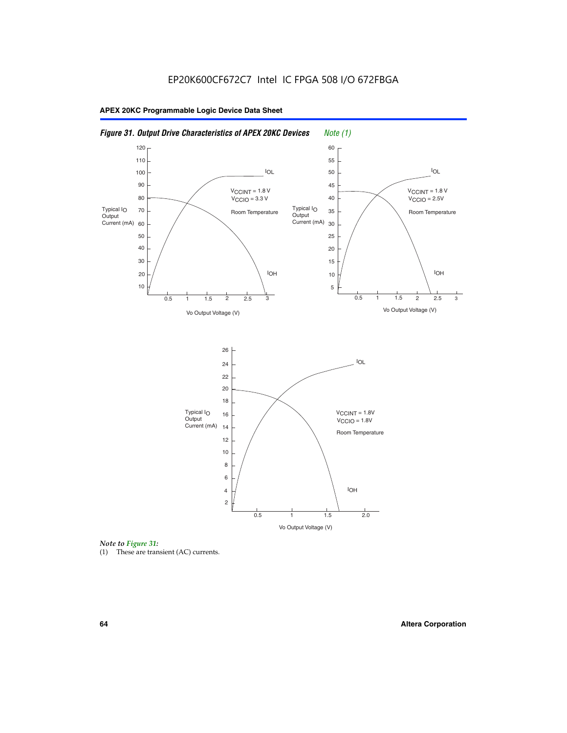

*Note to Figure 31:*

(1) These are transient (AC) currents.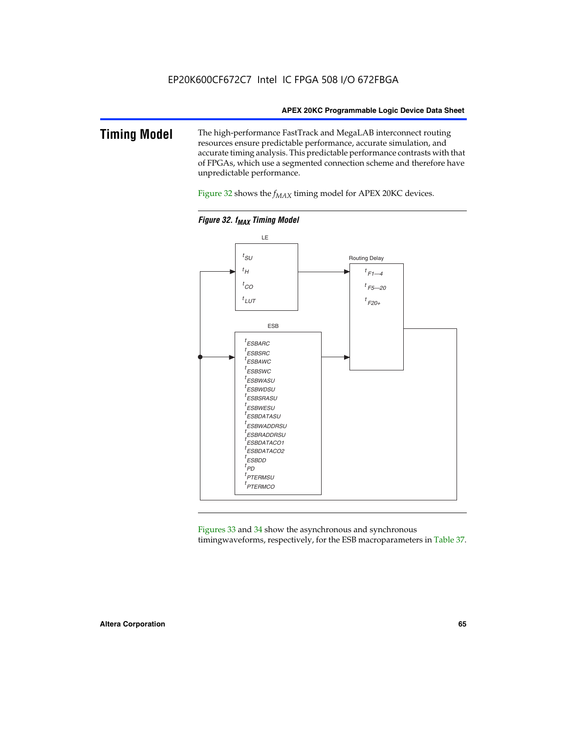#### **Timing Model** The high-performance FastTrack and MegaLAB interconnect routing resources ensure predictable performance, accurate simulation, and accurate timing analysis. This predictable performance contrasts with that of FPGAs, which use a segmented connection scheme and therefore have unpredictable performance.

Figure 32 shows the  $f_{MAX}$  timing model for APEX 20KC devices.



**Figure 32. f<sub>MAX</sub> Timing Model** 

Figures 33 and 34 show the asynchronous and synchronous timingwaveforms, respectively, for the ESB macroparameters in Table 37.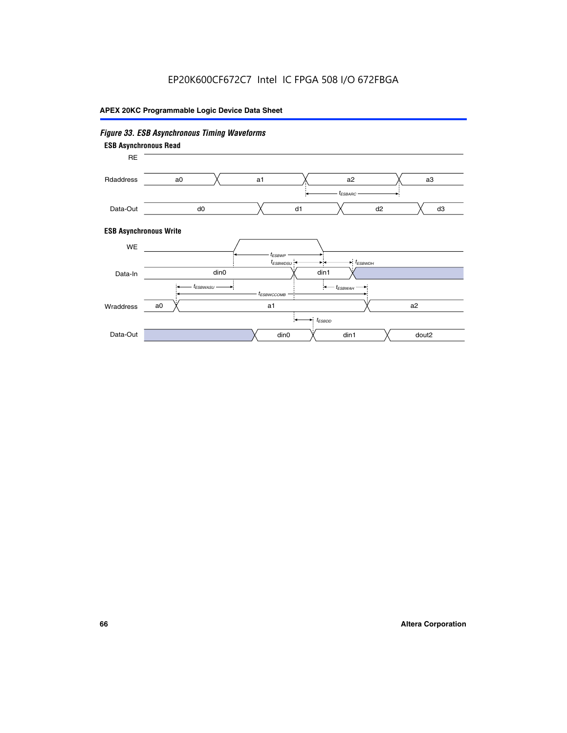# EP20K600CF672C7 Intel IC FPGA 508 I/O 672FBGA

# **APEX 20KC Programmable Logic Device Data Sheet**

# *Figure 33. ESB Asynchronous Timing Waveforms*

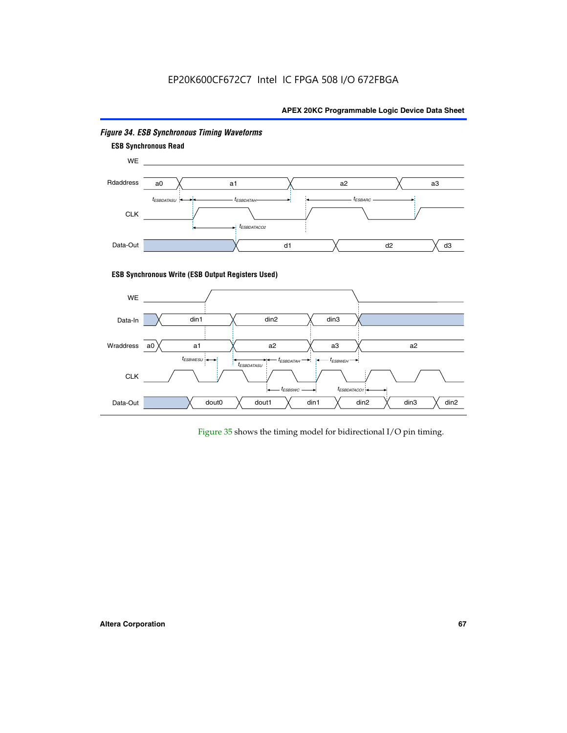# EP20K600CF672C7 Intel IC FPGA 508 I/O 672FBGA

#### **APEX 20KC Programmable Logic Device Data Sheet**



#### *Figure 34. ESB Synchronous Timing Waveforms*

Figure 35 shows the timing model for bidirectional I/O pin timing.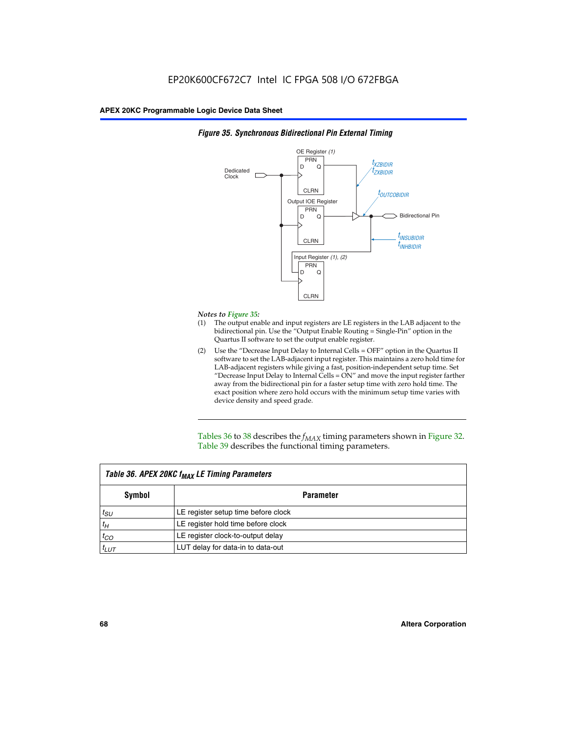

#### *Figure 35. Synchronous Bidirectional Pin External Timing*

#### *Notes to Figure 35:*

- (1) The output enable and input registers are LE registers in the LAB adjacent to the bidirectional pin. Use the "Output Enable Routing = Single-Pin" option in the Quartus II software to set the output enable register.
- (2) Use the "Decrease Input Delay to Internal Cells = OFF" option in the Quartus II software to set the LAB-adjacent input register. This maintains a zero hold time for LAB-adjacent registers while giving a fast, position-independent setup time. Set "Decrease Input Delay to Internal Cells  $= ON''$  and move the input register farther away from the bidirectional pin for a faster setup time with zero hold time. The exact position where zero hold occurs with the minimum setup time varies with device density and speed grade.

Tables 36 to 38 describes the  $f_{MAX}$  timing parameters shown in Figure 32. Table 39 describes the functional timing parameters.

| Table 36. APEX 20KC f <sub>MAX</sub> LE Timing Parameters |                                     |  |  |  |
|-----------------------------------------------------------|-------------------------------------|--|--|--|
| Symbol                                                    | Parameter                           |  |  |  |
| $t_{SU}$                                                  | LE register setup time before clock |  |  |  |
| $t_H$                                                     | LE register hold time before clock  |  |  |  |
| $t_{CO}$                                                  | LE register clock-to-output delay   |  |  |  |
| $t_{LUT}$                                                 | LUT delay for data-in to data-out   |  |  |  |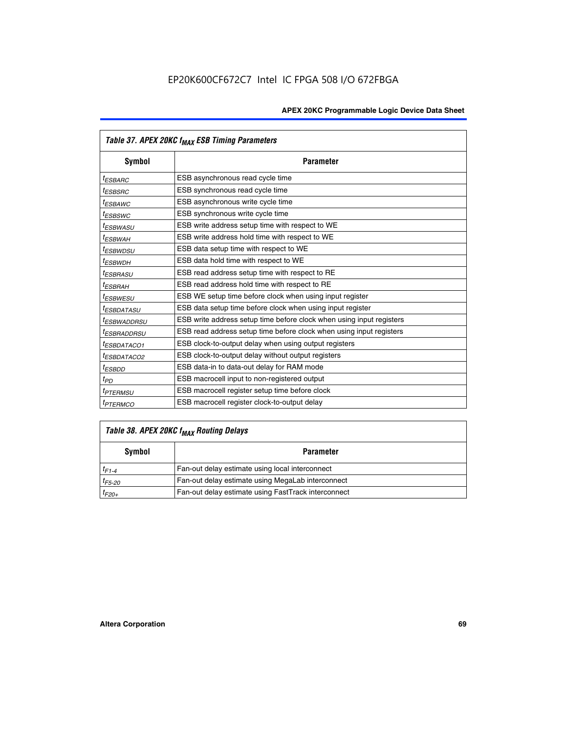|                         | Table 37. APEX 20KC f <sub>MAX</sub> ESB Timing Parameters           |
|-------------------------|----------------------------------------------------------------------|
| Symbol                  | <b>Parameter</b>                                                     |
| <sup>t</sup> ESBARC     | ESB asynchronous read cycle time                                     |
| <sup>t</sup> ESBSRC     | ESB synchronous read cycle time                                      |
| <sup>t</sup> ESBAWC     | ESB asynchronous write cycle time                                    |
| <sup>t</sup> ESBSWC     | ESB synchronous write cycle time                                     |
| <sup>t</sup> ESBWASU    | ESB write address setup time with respect to WE                      |
| <sup>t</sup> ESBWAH     | ESB write address hold time with respect to WE                       |
| <sup>t</sup> ESBWDSU    | ESB data setup time with respect to WE                               |
| t <sub>ESBWDН</sub>     | ESB data hold time with respect to WE                                |
| <sup>t</sup> ESBRASU    | ESB read address setup time with respect to RE                       |
| <sup>t</sup> ESBRAH     | ESB read address hold time with respect to RE                        |
| <sup>I</sup> ESBWESU    | ESB WE setup time before clock when using input register             |
| <sup>t</sup> ESBDATASU  | ESB data setup time before clock when using input register           |
| <sup>t</sup> ESBWADDRSU | ESB write address setup time before clock when using input registers |
| <sup>t</sup> ESBRADDRSU | ESB read address setup time before clock when using input registers  |
| <sup>t</sup> ESBDATACO1 | ESB clock-to-output delay when using output registers                |
| <sup>t</sup> ESBDATACO2 | ESB clock-to-output delay without output registers                   |
| <sup>t</sup> ESBDD      | ESB data-in to data-out delay for RAM mode                           |
| $t_{PD}$                | ESB macrocell input to non-registered output                         |
| <sup>t</sup> PTERMSU    | ESB macrocell register setup time before clock                       |
| <sup>t</sup> PTERMCO    | ESB macrocell register clock-to-output delay                         |

# *Table 38. APEX 20KC fMAX Routing Delays*

| Symbol      | <b>Parameter</b>                                    |  |  |
|-------------|-----------------------------------------------------|--|--|
| $t_{F1-4}$  | Fan-out delay estimate using local interconnect     |  |  |
| $t_{F5-20}$ | Fan-out delay estimate using MegaLab interconnect   |  |  |
| $t_{F20+}$  | Fan-out delay estimate using FastTrack interconnect |  |  |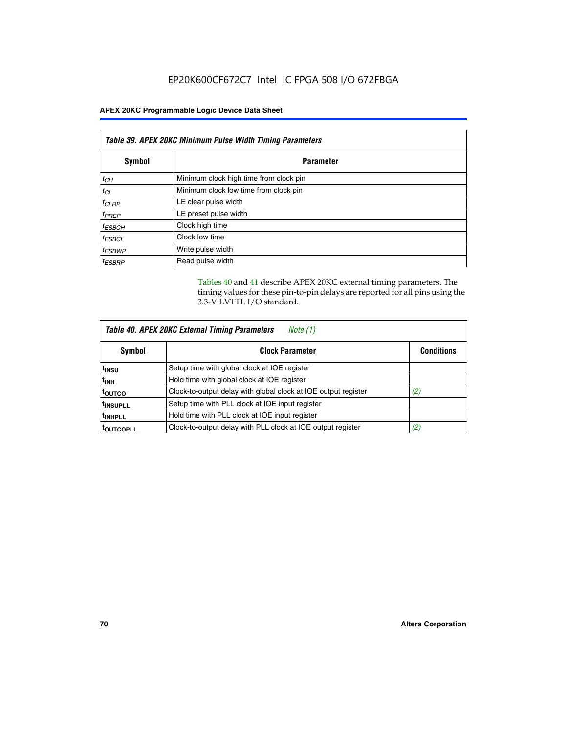# EP20K600CF672C7 Intel IC FPGA 508 I/O 672FBGA

#### **APEX 20KC Programmable Logic Device Data Sheet**

| Table 39. APEX 20KC Minimum Pulse Width Timing Parameters |                                        |  |
|-----------------------------------------------------------|----------------------------------------|--|
| Symbol<br><b>Parameter</b>                                |                                        |  |
| $t_{CH}$                                                  | Minimum clock high time from clock pin |  |
| $t_{CL}$                                                  | Minimum clock low time from clock pin  |  |
| $t_{CLRP}$                                                | LE clear pulse width                   |  |
| $t_{PREF}$                                                | LE preset pulse width                  |  |
| $t_{ESBCH}$                                               | Clock high time                        |  |
| $t_{ESBCL}$                                               | Clock low time                         |  |
| <sup>t</sup> ESBWP                                        | Write pulse width                      |  |
| <sup>t</sup> ESBRP                                        | Read pulse width                       |  |

Tables 40 and 41 describe APEX 20KC external timing parameters. The timing values for these pin-to-pin delays are reported for all pins using the 3.3-V LVTTL I/O standard.

| Table 40. APEX 20KC External Timing Parameters<br>Note (1) |                                                                |                   |  |  |
|------------------------------------------------------------|----------------------------------------------------------------|-------------------|--|--|
| Symbol                                                     | <b>Clock Parameter</b>                                         | <b>Conditions</b> |  |  |
| t <sub>insu</sub>                                          | Setup time with global clock at IOE register                   |                   |  |  |
| t <sub>inh</sub>                                           | Hold time with global clock at IOE register                    |                   |  |  |
| toutco                                                     | Clock-to-output delay with global clock at IOE output register | (2)               |  |  |
| <sup>t</sup> INSUPLL                                       | Setup time with PLL clock at IOE input register                |                   |  |  |
| <sup>t</sup> INHPLL                                        | Hold time with PLL clock at IOE input register                 |                   |  |  |
| <b>TOUTCOPLL</b>                                           | Clock-to-output delay with PLL clock at IOE output register    | (2)               |  |  |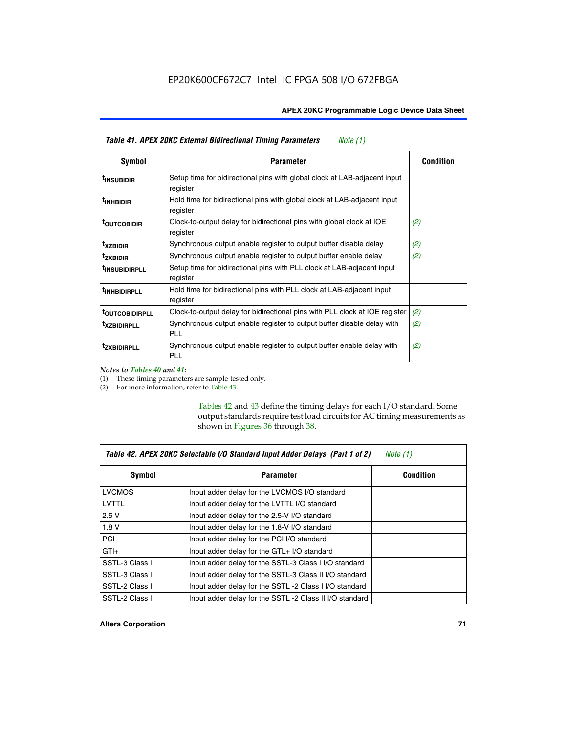| Table 41. APEX 20KC External Bidirectional Timing Parameters<br>Note (1) |                                                                                       |                  |  |  |
|--------------------------------------------------------------------------|---------------------------------------------------------------------------------------|------------------|--|--|
| Symbol                                                                   | <b>Parameter</b>                                                                      | <b>Condition</b> |  |  |
| <sup>t</sup> INSUBIDIR                                                   | Setup time for bidirectional pins with global clock at LAB-adjacent input<br>register |                  |  |  |
| <sup>t</sup> inhbidir                                                    | Hold time for bidirectional pins with global clock at LAB-adjacent input<br>register  |                  |  |  |
| <sup>t</sup> OUTCOBIDIR                                                  | Clock-to-output delay for bidirectional pins with global clock at IOE<br>register     | (2)              |  |  |
| <sup>t</sup> xzbidir                                                     | Synchronous output enable register to output buffer disable delay                     | (2)              |  |  |
| <sup>t</sup> zxbidir                                                     | Synchronous output enable register to output buffer enable delay                      | (2)              |  |  |
| <sup>t</sup> insubidirpll                                                | Setup time for bidirectional pins with PLL clock at LAB-adjacent input<br>register    |                  |  |  |
| <sup>t</sup> INHBIDIRPLL                                                 | Hold time for bidirectional pins with PLL clock at LAB-adjacent input<br>register     |                  |  |  |
| <sup>t</sup> outcobidirpll                                               | Clock-to-output delay for bidirectional pins with PLL clock at IOE register           | (2)              |  |  |
| <sup>t</sup> xzbidirpll                                                  | Synchronous output enable register to output buffer disable delay with<br><b>PLL</b>  | (2)              |  |  |
| <sup>t</sup> zxbidirpli                                                  | Synchronous output enable register to output buffer enable delay with<br><b>PLL</b>   | (2)              |  |  |

*Notes to Tables 40 and 41:*

(1) These timing parameters are sample-tested only.

(2) For more information, refer to Table 43.

Tables 42 and 43 define the timing delays for each I/O standard. Some output standards require test load circuits for AC timing measurements as shown in Figures 36 through 38.

| Table 42. APEX 20KC Selectable I/O Standard Input Adder Delays (Part 1 of 2)<br>Note $(1)$ |                                                         |                  |  |  |
|--------------------------------------------------------------------------------------------|---------------------------------------------------------|------------------|--|--|
| Symbol                                                                                     | <b>Parameter</b>                                        | <b>Condition</b> |  |  |
| <b>LVCMOS</b>                                                                              | Input adder delay for the LVCMOS I/O standard           |                  |  |  |
| LVTTL                                                                                      | Input adder delay for the LVTTL I/O standard            |                  |  |  |
| 2.5V                                                                                       | Input adder delay for the 2.5-V I/O standard            |                  |  |  |
| 1.8V                                                                                       | Input adder delay for the 1.8-V I/O standard            |                  |  |  |
| <b>PCI</b>                                                                                 | Input adder delay for the PCI I/O standard              |                  |  |  |
| $GTI +$                                                                                    | Input adder delay for the GTL+ I/O standard             |                  |  |  |
| SSTL-3 Class I                                                                             | Input adder delay for the SSTL-3 Class I I/O standard   |                  |  |  |
| SSTL-3 Class II                                                                            | Input adder delay for the SSTL-3 Class II I/O standard  |                  |  |  |
| SSTL-2 Class I                                                                             | Input adder delay for the SSTL -2 Class I I/O standard  |                  |  |  |
| SSTL-2 Class II                                                                            | Input adder delay for the SSTL -2 Class II I/O standard |                  |  |  |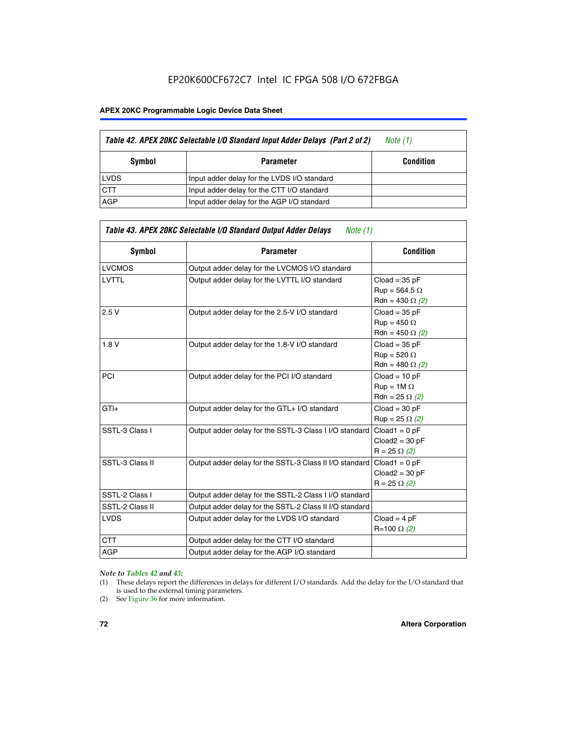#### **APEX 20KC Programmable Logic Device Data Sheet**

| Table 42. APEX 20KC Selectable I/O Standard Input Adder Delays (Part 2 of 2) | Note (1)                                    |                  |
|------------------------------------------------------------------------------|---------------------------------------------|------------------|
| Symbol                                                                       | <b>Parameter</b>                            | <b>Condition</b> |
| <b>LVDS</b>                                                                  | Input adder delay for the LVDS I/O standard |                  |
| <b>CTT</b>                                                                   | Input adder delay for the CTT I/O standard  |                  |
| AGP                                                                          | Input adder delay for the AGP I/O standard  |                  |

| Symbol          | <b>Parameter</b>                                        | <b>Condition</b>       |
|-----------------|---------------------------------------------------------|------------------------|
| <b>LVCMOS</b>   | Output adder delay for the LVCMOS I/O standard          |                        |
| <b>LVTTL</b>    | Output adder delay for the LVTTL I/O standard           | $Cloud = 35 pF$        |
|                 |                                                         | $Run = 564.5 \Omega$   |
|                 |                                                         | Rdn = 430 $\Omega$ (2) |
| 2.5V            | Output adder delay for the 2.5-V I/O standard           | $Cloud = 35 pF$        |
|                 |                                                         | $Rup = 450 \Omega$     |
|                 |                                                         | Rdn = 450 $\Omega$ (2) |
| 1.8V            | Output adder delay for the 1.8-V I/O standard           | $Cloud = 35 pF$        |
|                 |                                                         | $Run = 520 \Omega$     |
|                 |                                                         | Rdn = 480 $\Omega$ (2) |
| PCI             | Output adder delay for the PCI I/O standard             | $Cloud = 10 pF$        |
|                 |                                                         | $Run = 1M \Omega$      |
|                 |                                                         | Rdn = 25 $\Omega$ (2)  |
| $GTI +$         | Output adder delay for the GTL+ I/O standard            | $Cloud = 30 pF$        |
|                 |                                                         | $Run = 25 \Omega (2)$  |
| SSTL-3 Class I  | Output adder delay for the SSTL-3 Class I I/O standard  | $Cloud1 = 0 pF$        |
|                 |                                                         | $Cloud2 = 30 pF$       |
|                 |                                                         | $R = 25 \Omega (2)$    |
| SSTL-3 Class II | Output adder delay for the SSTL-3 Class II I/O standard | $Cloud1 = 0 pF$        |
|                 |                                                         | $Cloud2 = 30 pF$       |
|                 |                                                         | $R = 25 \Omega (2)$    |
| SSTL-2 Class I  | Output adder delay for the SSTL-2 Class I I/O standard  |                        |
| SSTL-2 Class II | Output adder delay for the SSTL-2 Class II I/O standard |                        |
| <b>LVDS</b>     | Output adder delay for the LVDS I/O standard            | $Cloud = 4 pF$         |
|                 |                                                         | R=100 Ω (2)            |
| <b>CTT</b>      | Output adder delay for the CTT I/O standard             |                        |
| <b>AGP</b>      | Output adder delay for the AGP I/O standard             |                        |

#### *Note to Tables 42 and 43:*

- (1) These delays report the differences in delays for different I/O standards. Add the delay for the I/O standard that is used to the external timing parameters.
- (2) See Figure 36 for more information.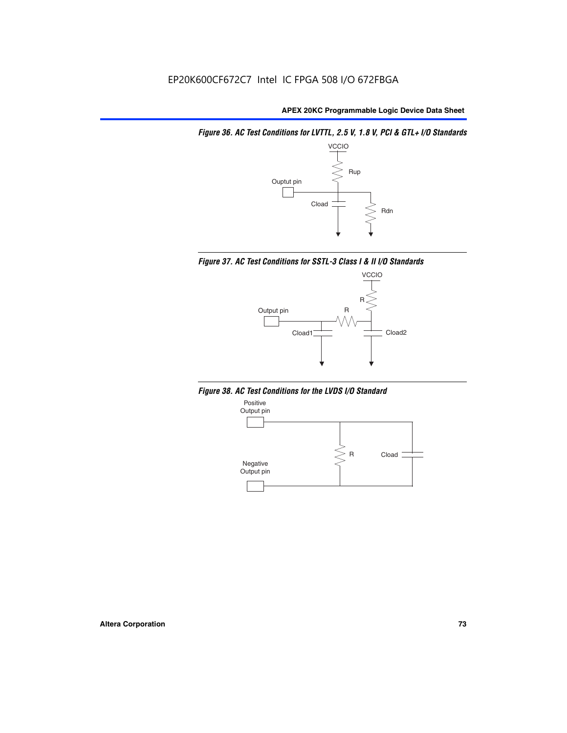*Figure 36. AC Test Conditions for LVTTL, 2.5 V, 1.8 V, PCI & GTL+ I/O Standards*







*Figure 38. AC Test Conditions for the LVDS I/O Standard*

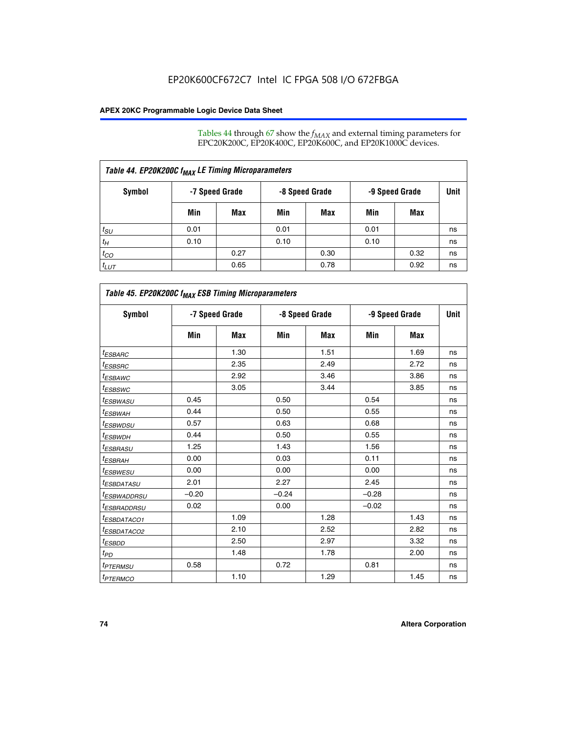Tables 44 through 67 show the  $f_{MAX}$  and external timing parameters for EPC20K200C, EP20K400C, EP20K600C, and EP20K1000C devices.

| Table 44. EP20K200C f <sub>MAX</sub> LE Timing Microparameters |                |      |                |      |                |      |             |  |  |  |
|----------------------------------------------------------------|----------------|------|----------------|------|----------------|------|-------------|--|--|--|
| Symbol                                                         | -7 Speed Grade |      | -8 Speed Grade |      | -9 Speed Grade |      | <b>Unit</b> |  |  |  |
|                                                                | Min            | Max  | Min            | Max  | Min            | Max  |             |  |  |  |
| $t_{SU}$                                                       | 0.01           |      | 0.01           |      | 0.01           |      | ns          |  |  |  |
| $t_H$                                                          | 0.10           |      | 0.10           |      | 0.10           |      | ns          |  |  |  |
| $t_{CO}$                                                       |                | 0.27 |                | 0.30 |                | 0.32 | ns          |  |  |  |
| $t_{LUT}$                                                      |                | 0.65 |                | 0.78 |                | 0.92 | ns          |  |  |  |

| Table 45. EP20K200C f <sub>MAX</sub> ESB Timing Microparameters |         |                |         |                |         |                |    |  |  |  |
|-----------------------------------------------------------------|---------|----------------|---------|----------------|---------|----------------|----|--|--|--|
| <b>Symbol</b>                                                   |         | -7 Speed Grade |         | -8 Speed Grade |         | -9 Speed Grade |    |  |  |  |
|                                                                 | Min     | Max            | Min     | Max            | Min     | Max            |    |  |  |  |
| <sup>t</sup> ESBARC                                             |         | 1.30           |         | 1.51           |         | 1.69           | ns |  |  |  |
| $t_{ESBSRC}$                                                    |         | 2.35           |         | 2.49           |         | 2.72           | ns |  |  |  |
| <sup>t</sup> ESBAWC                                             |         | 2.92           |         | 3.46           |         | 3.86           | ns |  |  |  |
| <sup>t</sup> ESBSWC                                             |         | 3.05           |         | 3.44           |         | 3.85           | ns |  |  |  |
| <sup>t</sup> ESBWASU                                            | 0.45    |                | 0.50    |                | 0.54    |                | ns |  |  |  |
| <sup>t</sup> ESBWАН                                             | 0.44    |                | 0.50    |                | 0.55    |                | ns |  |  |  |
| <sup>t</sup> ESBWDSU                                            | 0.57    |                | 0.63    |                | 0.68    |                | ns |  |  |  |
| <sup>t</sup> ESBWDH                                             | 0.44    |                | 0.50    |                | 0.55    |                | ns |  |  |  |
| <sup>t</sup> ESBRASU                                            | 1.25    |                | 1.43    |                | 1.56    |                | ns |  |  |  |
| <sup>t</sup> ESBRAH                                             | 0.00    |                | 0.03    |                | 0.11    |                | ns |  |  |  |
| <sup>t</sup> ESBWESU                                            | 0.00    |                | 0.00    |                | 0.00    |                | ns |  |  |  |
| <sup>t</sup> ESBDATASU                                          | 2.01    |                | 2.27    |                | 2.45    |                | ns |  |  |  |
| <sup>t</sup> ESBWADDRSU                                         | $-0.20$ |                | $-0.24$ |                | $-0.28$ |                | ns |  |  |  |
| <sup>t</sup> ESBRADDRSU                                         | 0.02    |                | 0.00    |                | $-0.02$ |                | ns |  |  |  |
| <sup>t</sup> ESBDATACO1                                         |         | 1.09           |         | 1.28           |         | 1.43           | ns |  |  |  |
| <sup>t</sup> ESBDATACO2                                         |         | 2.10           |         | 2.52           |         | 2.82           | ns |  |  |  |
| <sup>t</sup> ESBDD                                              |         | 2.50           |         | 2.97           |         | 3.32           | ns |  |  |  |
| t <sub>PD</sub>                                                 |         | 1.48           |         | 1.78           |         | 2.00           | ns |  |  |  |
| <sup>t</sup> PTERMSU                                            | 0.58    |                | 0.72    |                | 0.81    |                | ns |  |  |  |
| t <sub>PTERMCO</sub>                                            |         | 1.10           |         | 1.29           |         | 1.45           | ns |  |  |  |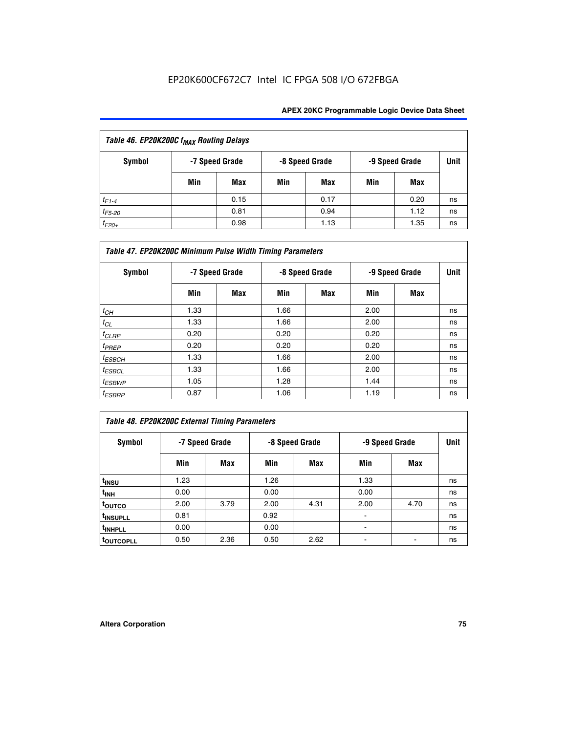| Table 46. EP20K200C f <sub>MAX</sub> Routing Delays |     |                                                    |     |      |      |      |    |  |  |
|-----------------------------------------------------|-----|----------------------------------------------------|-----|------|------|------|----|--|--|
| <b>Symbol</b>                                       |     | -8 Speed Grade<br>-9 Speed Grade<br>-7 Speed Grade |     |      | Unit |      |    |  |  |
|                                                     | Min | Max                                                | Min | Max  | Min  | Max  |    |  |  |
| $t_{F1-4}$                                          |     | 0.15                                               |     | 0.17 |      | 0.20 | ns |  |  |
| $t_{F5-20}$                                         |     | 0.81                                               |     | 0.94 |      | 1.12 | ns |  |  |
| $t_{F20+}$                                          |     | 0.98                                               |     | 1.13 |      | 1.35 | ns |  |  |

| Table 47. EP20K200C Minimum Pulse Width Timing Parameters |                |     |                |     |      |                |      |  |  |  |
|-----------------------------------------------------------|----------------|-----|----------------|-----|------|----------------|------|--|--|--|
| Symbol                                                    | -7 Speed Grade |     | -8 Speed Grade |     |      | -9 Speed Grade | Unit |  |  |  |
|                                                           | Min            | Max | Min            | Max | Min  | Max            |      |  |  |  |
| $t_{CH}$                                                  | 1.33           |     | 1.66           |     | 2.00 |                | ns   |  |  |  |
| $t_{CL}$                                                  | 1.33           |     | 1.66           |     | 2.00 |                | ns   |  |  |  |
| $t_{CLRP}$                                                | 0.20           |     | 0.20           |     | 0.20 |                | ns   |  |  |  |
| $t_{PREF}$                                                | 0.20           |     | 0.20           |     | 0.20 |                | ns   |  |  |  |
| $t_{ESBCH}$                                               | 1.33           |     | 1.66           |     | 2.00 |                | ns   |  |  |  |
| $t_{ESBCL}$                                               | 1.33           |     | 1.66           |     | 2.00 |                | ns   |  |  |  |
| $t_{ESBWP}$                                               | 1.05           |     | 1.28           |     | 1.44 |                | ns   |  |  |  |
| <sup>t</sup> ESBRP                                        | 0.87           |     | 1.06           |     | 1.19 |                | ns   |  |  |  |

## *Table 48. EP20K200C External Timing Parameters*

| Symbol                |      | -7 Speed Grade |      | -8 Speed Grade |      | -9 Speed Grade |    |  |
|-----------------------|------|----------------|------|----------------|------|----------------|----|--|
|                       | Min  | Max            | Min  | Max            | Min  | Max            |    |  |
| t <sub>INSU</sub>     | 1.23 |                | 1.26 |                | 1.33 |                | ns |  |
| t <sub>INH</sub>      | 0.00 |                | 0.00 |                | 0.00 |                | ns |  |
| toutco                | 2.00 | 3.79           | 2.00 | 4.31           | 2.00 | 4.70           | ns |  |
| t <sub>INSUPLL</sub>  | 0.81 |                | 0.92 |                | ٠    |                | ns |  |
| t <sub>INHPLL</sub>   | 0.00 |                | 0.00 |                |      |                | ns |  |
| t <sub>outcopll</sub> | 0.50 | 2.36           | 0.50 | 2.62           |      |                | ns |  |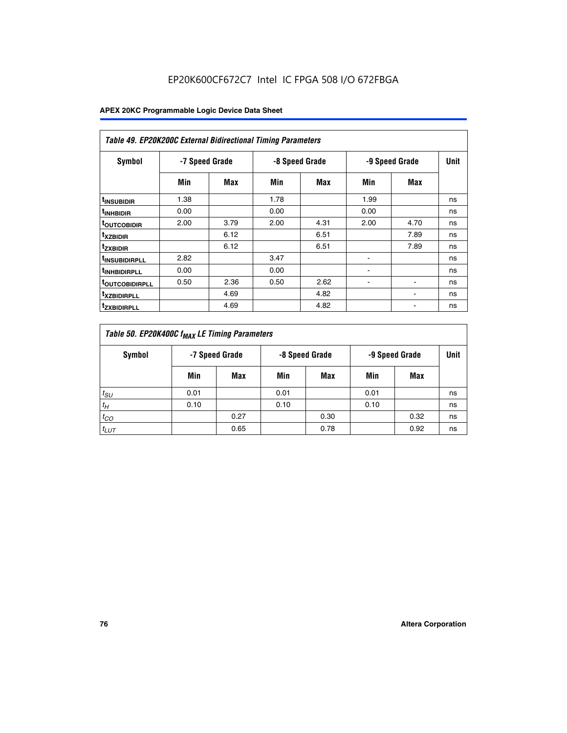| <b>Table 49. EP20K200C External Bidirectional Timing Parameters</b> |                |      |      |                |                |             |    |  |  |  |
|---------------------------------------------------------------------|----------------|------|------|----------------|----------------|-------------|----|--|--|--|
| <b>Symbol</b>                                                       | -7 Speed Grade |      |      | -8 Speed Grade | -9 Speed Grade | <b>Unit</b> |    |  |  |  |
|                                                                     | Min            | Max  | Min  | Max            | Min            | Max         |    |  |  |  |
| <sup>t</sup> INSUBIDIR                                              | 1.38           |      | 1.78 |                | 1.99           |             | ns |  |  |  |
| <sup>t</sup> inhbidir                                               | 0.00           |      | 0.00 |                | 0.00           |             | ns |  |  |  |
| <b><sup>t</sup>OUTCOBIDIR</b>                                       | 2.00           | 3.79 | 2.00 | 4.31           | 2.00           | 4.70        | ns |  |  |  |
| <sup>T</sup> XZBIDIR                                                |                | 6.12 |      | 6.51           |                | 7.89        | ns |  |  |  |
| <sup>t</sup> zxbidir                                                |                | 6.12 |      | 6.51           |                | 7.89        | ns |  |  |  |
| <sup>T</sup> INSUBIDIRPLL                                           | 2.82           |      | 3.47 |                | ٠              |             | ns |  |  |  |
| <sup>t</sup> INHBIDIRPLL                                            | 0.00           |      | 0.00 |                |                |             | ns |  |  |  |
| <sup>T</sup> OUTCOBIDIRPLL                                          | 0.50           | 2.36 | 0.50 | 2.62           | ۰              |             | ns |  |  |  |
| <sup>t</sup> xzbidirpll                                             |                | 4.69 |      | 4.82           |                |             | ns |  |  |  |
| <sup>T</sup> ZXBIDIRPLL                                             |                | 4.69 |      | 4.82           |                |             | ns |  |  |  |

| Table 50. EP20K400C f <sub>MAX</sub> LE Timing Parameters |                |      |      |                |      |                |    |  |  |
|-----------------------------------------------------------|----------------|------|------|----------------|------|----------------|----|--|--|
| Symbol                                                    | -7 Speed Grade |      |      | -8 Speed Grade |      | -9 Speed Grade |    |  |  |
|                                                           | Min            | Max  | Min  | Max            | Min  | Max            |    |  |  |
| $t_{SU}$                                                  | 0.01           |      | 0.01 |                | 0.01 |                | ns |  |  |
| $t_H$                                                     | 0.10           |      | 0.10 |                | 0.10 |                | ns |  |  |
| $t_{CO}$                                                  |                | 0.27 |      | 0.30           |      | 0.32           | ns |  |  |
| $t_{LUT}$                                                 |                | 0.65 |      | 0.78           |      | 0.92           | ns |  |  |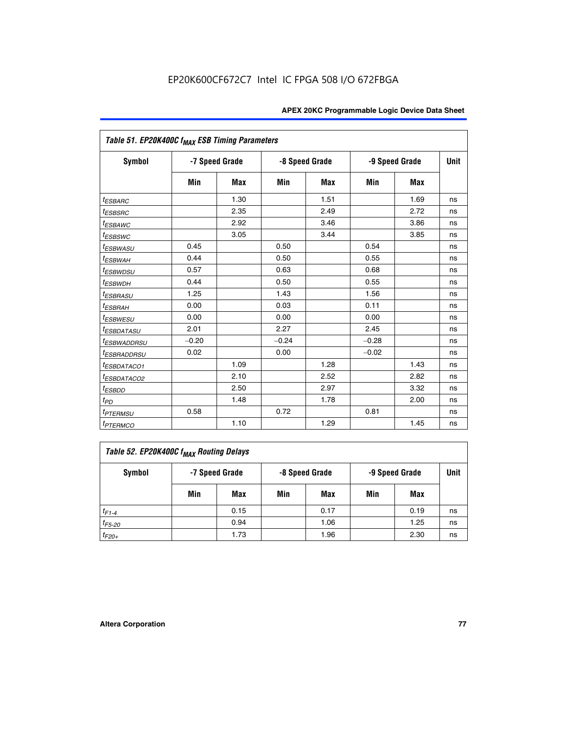|                               | Table 51. EP20K400C f <sub>MAX</sub> ESB Timing Parameters |                |         |                |         |                |    |  |  |  |  |
|-------------------------------|------------------------------------------------------------|----------------|---------|----------------|---------|----------------|----|--|--|--|--|
| <b>Symbol</b>                 |                                                            | -7 Speed Grade |         | -8 Speed Grade |         | -9 Speed Grade |    |  |  |  |  |
|                               | Min                                                        | <b>Max</b>     | Min     | <b>Max</b>     | Min     | Max            |    |  |  |  |  |
| <sup>t</sup> ESBARC           |                                                            | 1.30           |         | 1.51           |         | 1.69           | ns |  |  |  |  |
| <sup>t</sup> ESBSRC           |                                                            | 2.35           |         | 2.49           |         | 2.72           | ns |  |  |  |  |
| <sup>t</sup> ESBAWC           |                                                            | 2.92           |         | 3.46           |         | 3.86           | ns |  |  |  |  |
| <sup>t</sup> ESBSWC           |                                                            | 3.05           |         | 3.44           |         | 3.85           | ns |  |  |  |  |
| <sup>t</sup> ESBWASU          | 0.45                                                       |                | 0.50    |                | 0.54    |                | ns |  |  |  |  |
| <sup>t</sup> ESBWAH           | 0.44                                                       |                | 0.50    |                | 0.55    |                | ns |  |  |  |  |
| <sup>t</sup> ESBWDSU          | 0.57                                                       |                | 0.63    |                | 0.68    |                | ns |  |  |  |  |
| <sup>t</sup> ESBWDH           | 0.44                                                       |                | 0.50    |                | 0.55    |                | ns |  |  |  |  |
| <sup>t</sup> ESBRASU          | 1.25                                                       |                | 1.43    |                | 1.56    |                | ns |  |  |  |  |
| <sup>t</sup> ESBRAH           | 0.00                                                       |                | 0.03    |                | 0.11    |                | ns |  |  |  |  |
| <sup>t</sup> ESBWESU          | 0.00                                                       |                | 0.00    |                | 0.00    |                | ns |  |  |  |  |
| <sup>t</sup> ESBDATASU        | 2.01                                                       |                | 2.27    |                | 2.45    |                | ns |  |  |  |  |
| <sup>t</sup> ESBWADDRSU       | $-0.20$                                                    |                | $-0.24$ |                | $-0.28$ |                | ns |  |  |  |  |
| <i>t<sub>ESBRADDRSU</sub></i> | 0.02                                                       |                | 0.00    |                | $-0.02$ |                | ns |  |  |  |  |
| <sup>I</sup> ESBDATACO1       |                                                            | 1.09           |         | 1.28           |         | 1.43           | ns |  |  |  |  |
| <sup>I</sup> ESBDATACO2       |                                                            | 2.10           |         | 2.52           |         | 2.82           | ns |  |  |  |  |
| <sup>t</sup> ESBDD            |                                                            | 2.50           |         | 2.97           |         | 3.32           | ns |  |  |  |  |
| t <sub>PD</sub>               |                                                            | 1.48           |         | 1.78           |         | 2.00           | ns |  |  |  |  |
| <i>t<sub>PTERMSU</sub></i>    | 0.58                                                       |                | 0.72    |                | 0.81    |                | ns |  |  |  |  |
| <i>t<sub>PTERMCO</sub></i>    |                                                            | 1.10           |         | 1.29           |         | 1.45           | ns |  |  |  |  |

| Table 52. EP20K400C f <sub>MAX</sub> Routing Delays |     |                |     |                |                |      |             |  |  |
|-----------------------------------------------------|-----|----------------|-----|----------------|----------------|------|-------------|--|--|
| Symbol                                              |     | -7 Speed Grade |     | -8 Speed Grade | -9 Speed Grade |      | <b>Unit</b> |  |  |
|                                                     | Min | Max            | Min | Max            | Min            | Max  |             |  |  |
| $t_{F1-4}$                                          |     | 0.15           |     | 0.17           |                | 0.19 | ns          |  |  |
| $t_{F5-20}$                                         |     | 0.94           |     | 1.06           |                | 1.25 | ns          |  |  |
| $t_{F20+}$                                          |     | 1.73           |     | 1.96           |                | 2.30 | ns          |  |  |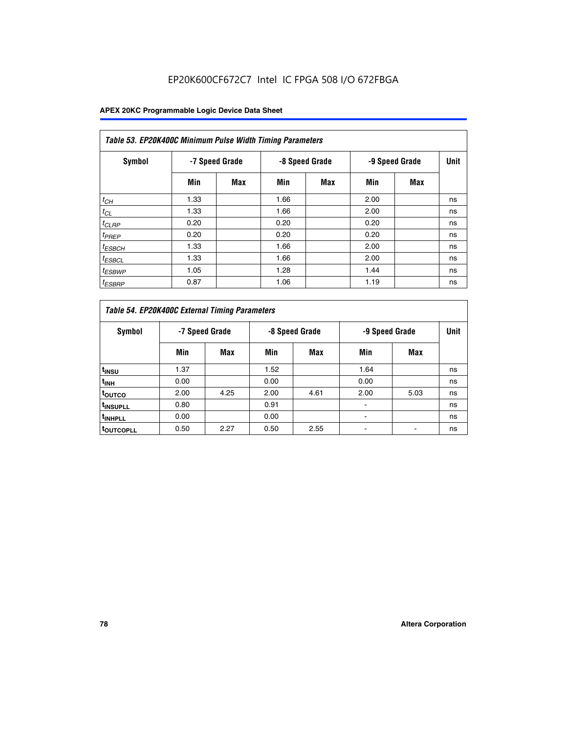| Table 53. EP20K400C Minimum Pulse Width Timing Parameters |      |                |      |                |      |                |      |  |  |  |
|-----------------------------------------------------------|------|----------------|------|----------------|------|----------------|------|--|--|--|
| Symbol                                                    |      | -7 Speed Grade |      | -8 Speed Grade |      | -9 Speed Grade | Unit |  |  |  |
|                                                           | Min  | Max            | Min  | <b>Max</b>     | Min  | <b>Max</b>     |      |  |  |  |
| $t_{CH}$                                                  | 1.33 |                | 1.66 |                | 2.00 |                | ns   |  |  |  |
| $t_{CL}$                                                  | 1.33 |                | 1.66 |                | 2.00 |                | ns   |  |  |  |
| $t_{CLRP}$                                                | 0.20 |                | 0.20 |                | 0.20 |                | ns   |  |  |  |
| $t_{PREF}$                                                | 0.20 |                | 0.20 |                | 0.20 |                | ns   |  |  |  |
| <sup>t</sup> ESBCH                                        | 1.33 |                | 1.66 |                | 2.00 |                | ns   |  |  |  |
| <sup>t</sup> ESBCL                                        | 1.33 |                | 1.66 |                | 2.00 |                | ns   |  |  |  |
| $t_{ESBWP}$                                               | 1.05 |                | 1.28 |                | 1.44 |                | ns   |  |  |  |
| <sup>t</sup> ESBRP                                        | 0.87 |                | 1.06 |                | 1.19 |                | ns   |  |  |  |

| Table 54. EP20K400C External Timing Parameters |      |                |                |      |      |                |    |  |  |  |  |  |
|------------------------------------------------|------|----------------|----------------|------|------|----------------|----|--|--|--|--|--|
| Symbol                                         |      | -7 Speed Grade | -8 Speed Grade |      |      | -9 Speed Grade |    |  |  |  |  |  |
|                                                | Min  | Max            | Min            | Max  | Min  | Max            |    |  |  |  |  |  |
| t <sub>INSU</sub>                              | 1.37 |                | 1.52           |      | 1.64 |                | ns |  |  |  |  |  |
| $t_{\mathsf{INH}}$                             | 0.00 |                | 0.00           |      | 0.00 |                | ns |  |  |  |  |  |
| <sup>t</sup> outco                             | 2.00 | 4.25           | 2.00           | 4.61 | 2.00 | 5.03           | ns |  |  |  |  |  |
| <sup>t</sup> INSUPLL                           | 0.80 |                | 0.91           |      |      |                | ns |  |  |  |  |  |
| <sup>I</sup> INHPLL                            | 0.00 |                | 0.00           |      |      |                | ns |  |  |  |  |  |
| <b>LOUTCOPLL</b>                               | 0.50 | 2.27           | 0.50           | 2.55 |      |                | ns |  |  |  |  |  |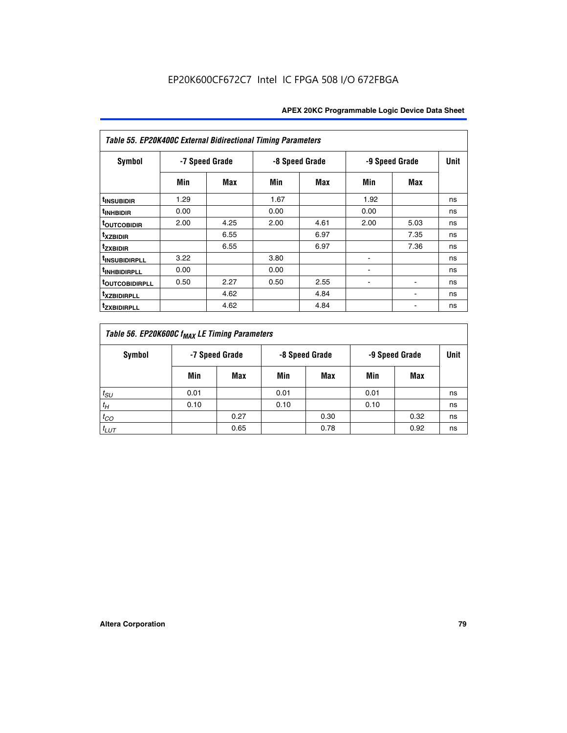| Table 55. EP20K400C External Bidirectional Timing Parameters |                |      |      |                |      |                |             |  |  |  |  |  |
|--------------------------------------------------------------|----------------|------|------|----------------|------|----------------|-------------|--|--|--|--|--|
| <b>Symbol</b>                                                | -7 Speed Grade |      |      | -8 Speed Grade |      | -9 Speed Grade | <b>Unit</b> |  |  |  |  |  |
|                                                              | Min            | Max  | Min  | Max            | Min  | <b>Max</b>     |             |  |  |  |  |  |
| t <sub>INSUBIDIR</sub>                                       | 1.29           |      | 1.67 |                | 1.92 |                | ns          |  |  |  |  |  |
| <sup>t</sup> INHBIDIR                                        | 0.00           |      | 0.00 |                | 0.00 |                | ns          |  |  |  |  |  |
| <b>TOUTCOBIDIR</b>                                           | 2.00           | 4.25 | 2.00 | 4.61           | 2.00 | 5.03           | ns          |  |  |  |  |  |
| <sup>t</sup> xzbidir                                         |                | 6.55 |      | 6.97           |      | 7.35           | ns          |  |  |  |  |  |
| <sup>t</sup> zxbidir                                         |                | 6.55 |      | 6.97           |      | 7.36           | ns          |  |  |  |  |  |
| <sup>t</sup> INSUBIDIRPLL                                    | 3.22           |      | 3.80 |                |      |                | ns          |  |  |  |  |  |
| <sup>t</sup> INHBIDIRPLL                                     | 0.00           |      | 0.00 |                |      |                | ns          |  |  |  |  |  |
| <b>TOUTCOBIDIRPLL</b>                                        | 0.50           | 2.27 | 0.50 | 2.55           | ۰    | $\blacksquare$ | ns          |  |  |  |  |  |
| <sup>t</sup> xzbidirpll                                      |                | 4.62 |      | 4.84           |      | ٠              | ns          |  |  |  |  |  |
| <sup>t</sup> zxbidirpll                                      |                | 4.62 |      | 4.84           |      | ٠              | ns          |  |  |  |  |  |

| Table 56. EP20K600C f <sub>MAX</sub> LE Timing Parameters |                                                    |      |      |      |      |      |    |  |  |  |
|-----------------------------------------------------------|----------------------------------------------------|------|------|------|------|------|----|--|--|--|
| <b>Symbol</b>                                             | -7 Speed Grade<br>-8 Speed Grade<br>-9 Speed Grade |      |      |      |      | Unit |    |  |  |  |
|                                                           | Min                                                | Max  | Min  | Max  | Min  | Max  |    |  |  |  |
| $t_{SU}$                                                  | 0.01                                               |      | 0.01 |      | 0.01 |      | ns |  |  |  |
| $t_H$                                                     | 0.10                                               |      | 0.10 |      | 0.10 |      | ns |  |  |  |
| $t_{CO}$                                                  |                                                    | 0.27 |      | 0.30 |      | 0.32 | ns |  |  |  |
| $t_{LUT}$                                                 |                                                    | 0.65 |      | 0.78 |      | 0.92 | ns |  |  |  |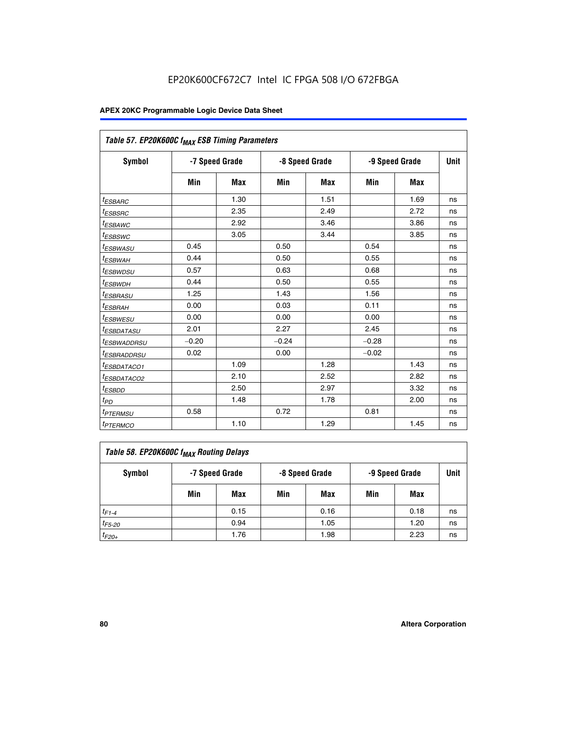| Table 57. EP20K600C f <sub>MAX</sub> ESB Timing Parameters |                |            |         |                |                |      |    |
|------------------------------------------------------------|----------------|------------|---------|----------------|----------------|------|----|
| Symbol                                                     | -7 Speed Grade |            |         | -8 Speed Grade | -9 Speed Grade | Unit |    |
|                                                            | Min            | <b>Max</b> | Min     | Max            | Min            | Max  |    |
| <sup>t</sup> ESBARC                                        |                | 1.30       |         | 1.51           |                | 1.69 | ns |
| <i>t<sub>ESBSRC</sub></i>                                  |                | 2.35       |         | 2.49           |                | 2.72 | ns |
| <sup>t</sup> ESBAWC                                        |                | 2.92       |         | 3.46           |                | 3.86 | ns |
| <sup>t</sup> ESBSWC                                        |                | 3.05       |         | 3.44           |                | 3.85 | ns |
| <sup>t</sup> ESBWASU                                       | 0.45           |            | 0.50    |                | 0.54           |      | ns |
| <sup>t</sup> ESBWAH                                        | 0.44           |            | 0.50    |                | 0.55           |      | ns |
| <sup>t</sup> ESBWDSU                                       | 0.57           |            | 0.63    |                | 0.68           |      | ns |
| <sup>t</sup> ESBWDH                                        | 0.44           |            | 0.50    |                | 0.55           |      | ns |
| <i>t<sub>ESBRASU</sub></i>                                 | 1.25           |            | 1.43    |                | 1.56           |      | ns |
| <sup>t</sup> ESBRAH                                        | 0.00           |            | 0.03    |                | 0.11           |      | ns |
| <sup>I</sup> ESBWESU                                       | 0.00           |            | 0.00    |                | 0.00           |      | ns |
| <sup>t</sup> ESBDATASU                                     | 2.01           |            | 2.27    |                | 2.45           |      | ns |
| <sup>t</sup> ESBWADDRSU                                    | $-0.20$        |            | $-0.24$ |                | $-0.28$        |      | ns |
| <sup>t</sup> ESBRADDRSU                                    | 0.02           |            | 0.00    |                | $-0.02$        |      | ns |
| <sup>t</sup> ESBDATACO1                                    |                | 1.09       |         | 1.28           |                | 1.43 | ns |
| <sup>t</sup> ESBDATACO2                                    |                | 2.10       |         | 2.52           |                | 2.82 | ns |
| <sup>t</sup> ESBDD                                         |                | 2.50       |         | 2.97           |                | 3.32 | ns |
| $t_{PD}$                                                   |                | 1.48       |         | 1.78           |                | 2.00 | ns |
| <i>t<sub>PTERMSU</sub></i>                                 | 0.58           |            | 0.72    |                | 0.81           |      | ns |
| <sup>t</sup> PTERMCO                                       |                | 1.10       |         | 1.29           |                | 1.45 | ns |

| Table 58. EP20K600C f <sub>MAX</sub> Routing Delays |                |      |                |      |                |      |      |  |  |  |
|-----------------------------------------------------|----------------|------|----------------|------|----------------|------|------|--|--|--|
| Symbol                                              | -7 Speed Grade |      | -8 Speed Grade |      | -9 Speed Grade |      | Unit |  |  |  |
|                                                     | Min            | Max  | Min            | Max  | Min            | Max  |      |  |  |  |
| $t_{F1-4}$                                          |                | 0.15 |                | 0.16 |                | 0.18 | ns   |  |  |  |
| $t_{F5-20}$                                         |                | 0.94 |                | 1.05 |                | 1.20 | ns   |  |  |  |
| $t_{F20+}$                                          |                | 1.76 |                | 1.98 |                | 2.23 | ns   |  |  |  |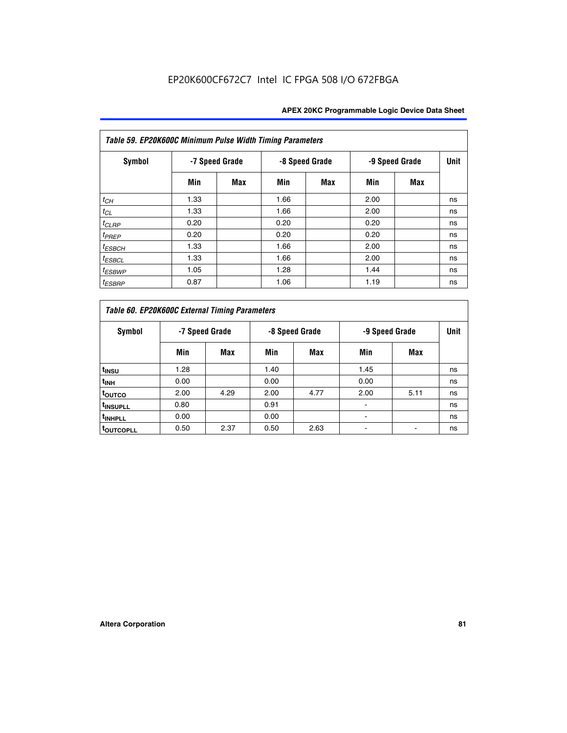| Table 59. EP20K600C Minimum Pulse Width Timing Parameters |                |     |                |            |                |     |             |  |  |  |  |
|-----------------------------------------------------------|----------------|-----|----------------|------------|----------------|-----|-------------|--|--|--|--|
| Symbol                                                    | -7 Speed Grade |     | -8 Speed Grade |            | -9 Speed Grade |     | <b>Unit</b> |  |  |  |  |
|                                                           | Min            | Max | Min            | <b>Max</b> | Min            | Max |             |  |  |  |  |
| $t_{CH}$                                                  | 1.33           |     | 1.66           |            | 2.00           |     | ns          |  |  |  |  |
| $t_{CL}$                                                  | 1.33           |     | 1.66           |            | 2.00           |     | ns          |  |  |  |  |
| $t_{CLRP}$                                                | 0.20           |     | 0.20           |            | 0.20           |     | ns          |  |  |  |  |
| $t_{PREF}$                                                | 0.20           |     | 0.20           |            | 0.20           |     | ns          |  |  |  |  |
| $t_{ESBCH}$                                               | 1.33           |     | 1.66           |            | 2.00           |     | ns          |  |  |  |  |
| $t_{ESBCL}$                                               | 1.33           |     | 1.66           |            | 2.00           |     | ns          |  |  |  |  |
| <sup>t</sup> ESBWP                                        | 1.05           |     | 1.28           |            | 1.44           |     | ns          |  |  |  |  |
| <sup>t</sup> ESBRP                                        | 0.87           |     | 1.06           |            | 1.19           |     | ns          |  |  |  |  |

|                      | Table 60. EP20K600C External Timing Parameters |                |      |                |      |                |    |  |  |  |  |  |  |
|----------------------|------------------------------------------------|----------------|------|----------------|------|----------------|----|--|--|--|--|--|--|
| Symbol               |                                                | -7 Speed Grade |      | -8 Speed Grade |      | -9 Speed Grade |    |  |  |  |  |  |  |
|                      | Min                                            | Max            | Min  | Max            | Min  | Max            |    |  |  |  |  |  |  |
| t <sub>INSU</sub>    | 1.28                                           |                | 1.40 |                | 1.45 |                | ns |  |  |  |  |  |  |
| <sup>t</sup> INH     | 0.00                                           |                | 0.00 |                | 0.00 |                | ns |  |  |  |  |  |  |
| toutco               | 2.00                                           | 4.29           | 2.00 | 4.77           | 2.00 | 5.11           | ns |  |  |  |  |  |  |
| <sup>t</sup> INSUPLL | 0.80                                           |                | 0.91 |                |      |                | ns |  |  |  |  |  |  |
| <sup>t</sup> INHPLL  | 0.00                                           |                | 0.00 |                |      |                | ns |  |  |  |  |  |  |
| <b>TOUTCOPLL</b>     | 0.50                                           | 2.37           | 0.50 | 2.63           |      |                | ns |  |  |  |  |  |  |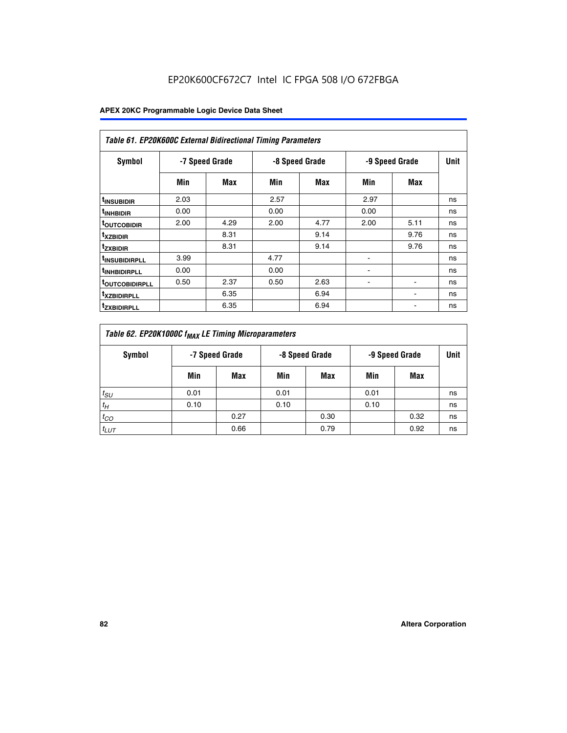|                               | <b>Table 61. EP20K600C External Bidirectional Timing Parameters</b> |                |      |                |      |                |      |  |  |  |  |  |  |
|-------------------------------|---------------------------------------------------------------------|----------------|------|----------------|------|----------------|------|--|--|--|--|--|--|
| <b>Symbol</b>                 |                                                                     | -7 Speed Grade |      | -8 Speed Grade |      | -9 Speed Grade | Unit |  |  |  |  |  |  |
|                               | Min                                                                 | Max            | Min  | Max            | Min  | Max            |      |  |  |  |  |  |  |
| <sup>t</sup> INSUBIDIR        | 2.03                                                                |                | 2.57 |                | 2.97 |                | ns   |  |  |  |  |  |  |
| <sup>t</sup> INHBIDIR         | 0.00                                                                |                | 0.00 |                | 0.00 |                | ns   |  |  |  |  |  |  |
| <b><sup>t</sup>OUTCOBIDIR</b> | 2.00                                                                | 4.29           | 2.00 | 4.77           | 2.00 | 5.11           | ns   |  |  |  |  |  |  |
| <sup>t</sup> xzbidir          |                                                                     | 8.31           |      | 9.14           |      | 9.76           | ns   |  |  |  |  |  |  |
| <sup>t</sup> zxbidir          |                                                                     | 8.31           |      | 9.14           |      | 9.76           | ns   |  |  |  |  |  |  |
| <sup>t</sup> insubidirpll     | 3.99                                                                |                | 4.77 |                |      |                | ns   |  |  |  |  |  |  |
| <sup>t</sup> INHBIDIRPLL      | 0.00                                                                |                | 0.00 |                |      |                | ns   |  |  |  |  |  |  |
| <sup>T</sup> OUTCOBIDIRPLL    | 0.50                                                                | 2.37           | 0.50 | 2.63           | ۰    | ۰              | ns   |  |  |  |  |  |  |
| <sup>t</sup> xzbidirpll       |                                                                     | 6.35           |      | 6.94           |      |                | ns   |  |  |  |  |  |  |
| <sup>I</sup> ZXBIDIRPLL       |                                                                     | 6.35           |      | 6.94           |      |                | ns   |  |  |  |  |  |  |

| Table 62. EP20K1000C f <sub>MAX</sub> LE Timing Microparameters |                                                    |      |      |      |      |      |             |  |  |  |
|-----------------------------------------------------------------|----------------------------------------------------|------|------|------|------|------|-------------|--|--|--|
| Symbol                                                          | -7 Speed Grade<br>-8 Speed Grade<br>-9 Speed Grade |      |      |      |      |      | <b>Unit</b> |  |  |  |
|                                                                 | Min                                                | Max  | Min  | Max  | Min  | Max  |             |  |  |  |
| $t_{SU}$                                                        | 0.01                                               |      | 0.01 |      | 0.01 |      | ns          |  |  |  |
| $t_H$                                                           | 0.10                                               |      | 0.10 |      | 0.10 |      | ns          |  |  |  |
| $t_{CO}$                                                        |                                                    | 0.27 |      | 0.30 |      | 0.32 | ns          |  |  |  |
| $t_{LUT}$                                                       |                                                    | 0.66 |      | 0.79 |      | 0.92 | ns          |  |  |  |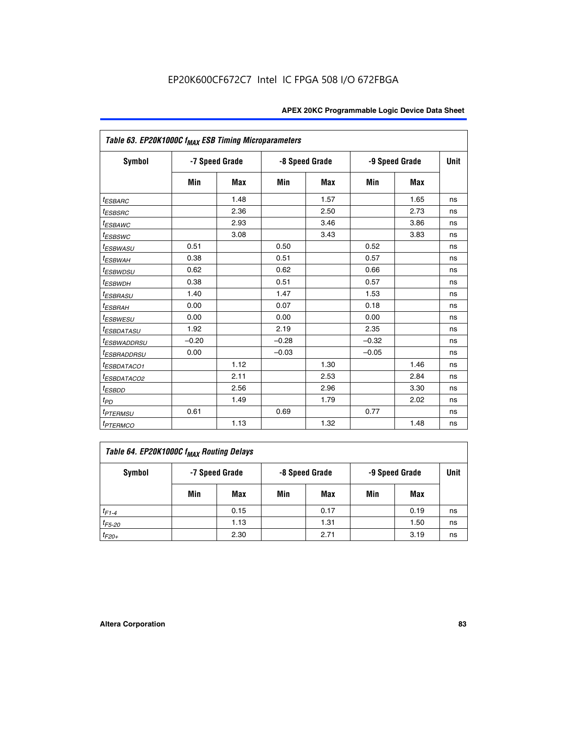| Table 63. EP20K1000C f <sub>MAX</sub> ESB Timing Microparameters |                |            |         |                |         |                |             |
|------------------------------------------------------------------|----------------|------------|---------|----------------|---------|----------------|-------------|
| <b>Symbol</b>                                                    | -7 Speed Grade |            |         | -8 Speed Grade |         | -9 Speed Grade | <b>Unit</b> |
|                                                                  | Min            | <b>Max</b> | Min     | <b>Max</b>     | Min     | Max            |             |
| $t_{ESBARC}$                                                     |                | 1.48       |         | 1.57           |         | 1.65           | ns          |
| <i>t<sub>ESBSRC</sub></i>                                        |                | 2.36       |         | 2.50           |         | 2.73           | ns          |
| <sup>t</sup> ESBAWC                                              |                | 2.93       |         | 3.46           |         | 3.86           | ns          |
| <sup>t</sup> ESBSWC                                              |                | 3.08       |         | 3.43           |         | 3.83           | ns          |
| <sup>t</sup> ESBWASU                                             | 0.51           |            | 0.50    |                | 0.52    |                | ns          |
| <sup>t</sup> ESBWAH                                              | 0.38           |            | 0.51    |                | 0.57    |                | ns          |
| <i>t<sub>ESBWDSU</sub></i>                                       | 0.62           |            | 0.62    |                | 0.66    |                | ns          |
| <sup>t</sup> ESBWDH                                              | 0.38           |            | 0.51    |                | 0.57    |                | ns          |
| <sup>t</sup> ESBRASU                                             | 1.40           |            | 1.47    |                | 1.53    |                | ns          |
| <sup>t</sup> ESBRAH                                              | 0.00           |            | 0.07    |                | 0.18    |                | ns          |
| <i>t<sub>ESBWESU</sub></i>                                       | 0.00           |            | 0.00    |                | 0.00    |                | ns          |
| <i><b>ESBDATASU</b></i>                                          | 1.92           |            | 2.19    |                | 2.35    |                | ns          |
| <sup>t</sup> ESBWADDRSU                                          | $-0.20$        |            | $-0.28$ |                | $-0.32$ |                | ns          |
| <sup>t</sup> ESBRADDRSU                                          | 0.00           |            | $-0.03$ |                | $-0.05$ |                | ns          |
| <sup>t</sup> ESBDATACO1                                          |                | 1.12       |         | 1.30           |         | 1.46           | ns          |
| <sup>I</sup> ESBDATACO2                                          |                | 2.11       |         | 2.53           |         | 2.84           | ns          |
| <sup>t</sup> ESBDD                                               |                | 2.56       |         | 2.96           |         | 3.30           | ns          |
| t <sub>PD</sub>                                                  |                | 1.49       |         | 1.79           |         | 2.02           | ns          |
| t <sub>PTERMSU</sub>                                             | 0.61           |            | 0.69    |                | 0.77    |                | ns          |
| <b>t</b> <sub>PTERMCO</sub>                                      |                | 1.13       |         | 1.32           |         | 1.48           | ns          |

| Table 64. EP20K1000C f <sub>MAX</sub> Routing Delays |     |                |     |                |     |                |    |  |  |  |
|------------------------------------------------------|-----|----------------|-----|----------------|-----|----------------|----|--|--|--|
| Symbol                                               |     | -7 Speed Grade |     | -8 Speed Grade |     | -9 Speed Grade |    |  |  |  |
|                                                      | Min | Max            | Min | Max            | Min | Max            |    |  |  |  |
| $t_{F1-4}$                                           |     | 0.15           |     | 0.17           |     | 0.19           | ns |  |  |  |
| $t_{F5-20}$                                          |     | 1.13           |     | 1.31           |     | 1.50           | ns |  |  |  |
| $t_{F20+}$                                           |     | 2.30           |     | 2.71           |     | 3.19           | ns |  |  |  |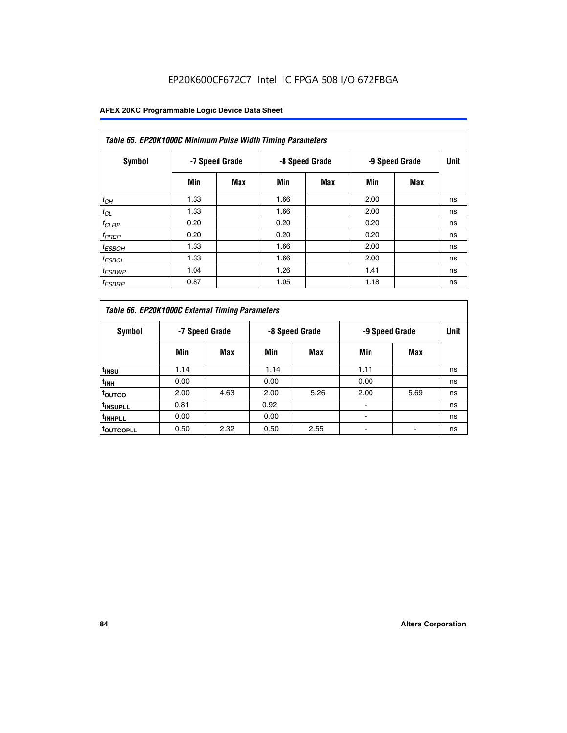| Table 65. EP20K1000C Minimum Pulse Width Timing Parameters |                |            |                |            |      |                |             |  |  |  |  |
|------------------------------------------------------------|----------------|------------|----------------|------------|------|----------------|-------------|--|--|--|--|
| Symbol                                                     | -7 Speed Grade |            | -8 Speed Grade |            |      | -9 Speed Grade | <b>Unit</b> |  |  |  |  |
|                                                            | Min            | <b>Max</b> | Min            | <b>Max</b> | Min  | <b>Max</b>     |             |  |  |  |  |
| $t_{CH}$                                                   | 1.33           |            | 1.66           |            | 2.00 |                | ns          |  |  |  |  |
| $t_{CL}$                                                   | 1.33           |            | 1.66           |            | 2.00 |                | ns          |  |  |  |  |
| $t_{CLRP}$                                                 | 0.20           |            | 0.20           |            | 0.20 |                | ns          |  |  |  |  |
| $t_{PREF}$                                                 | 0.20           |            | 0.20           |            | 0.20 |                | ns          |  |  |  |  |
| <sup>t</sup> ESBCH                                         | 1.33           |            | 1.66           |            | 2.00 |                | ns          |  |  |  |  |
| <sup>t</sup> ESBCL                                         | 1.33           |            | 1.66           |            | 2.00 |                | ns          |  |  |  |  |
| $t_{ESBWP}$                                                | 1.04           |            | 1.26           |            | 1.41 |                | ns          |  |  |  |  |
| <sup>t</sup> ESBRP                                         | 0.87           |            | 1.05           |            | 1.18 |                | ns          |  |  |  |  |

| Table 66. EP20K1000C External Timing Parameters |                |      |                |      |                |      |             |
|-------------------------------------------------|----------------|------|----------------|------|----------------|------|-------------|
| Symbol                                          | -7 Speed Grade |      | -8 Speed Grade |      | -9 Speed Grade |      | <b>Unit</b> |
|                                                 | Min            | Max  | Min            | Max  | Min            | Max  |             |
| t <sub>INSU</sub>                               | 1.14           |      | 1.14           |      | 1.11           |      | ns          |
| $t_{\text{INH}}$                                | 0.00           |      | 0.00           |      | 0.00           |      | ns          |
| toutco                                          | 2.00           | 4.63 | 2.00           | 5.26 | 2.00           | 5.69 | ns          |
| <sup>t</sup> INSUPLL                            | 0.81           |      | 0.92           |      |                |      | ns          |
| <sup>t</sup> INHPLL                             | 0.00           |      | 0.00           |      |                |      | ns          |
| <sup>I</sup> OUTCOPLL                           | 0.50           | 2.32 | 0.50           | 2.55 |                |      | ns          |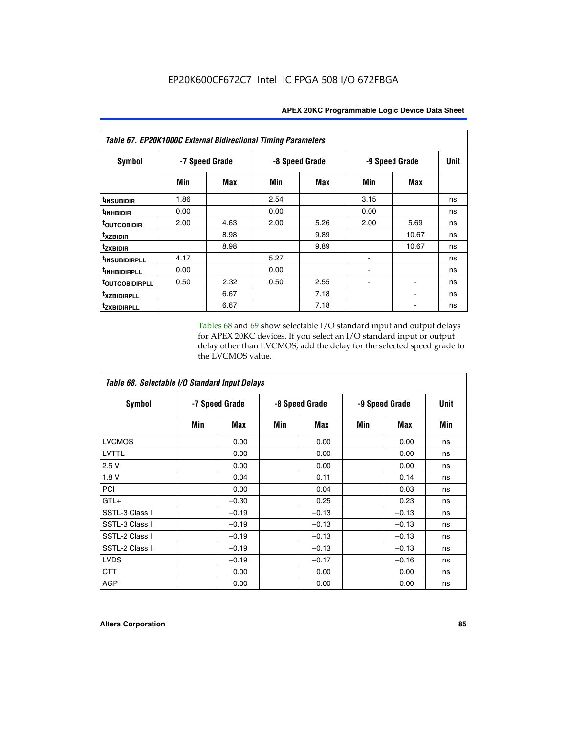| Table 67. EP20K1000C External Bidirectional Timing Parameters |                |      |                |      |                |       |             |
|---------------------------------------------------------------|----------------|------|----------------|------|----------------|-------|-------------|
| Symbol                                                        | -7 Speed Grade |      | -8 Speed Grade |      | -9 Speed Grade |       | <b>Unit</b> |
|                                                               | Min            | Max  | Min            | Max  | Min            | Max   |             |
| t <sub>INSUBIDIR</sub>                                        | 1.86           |      | 2.54           |      | 3.15           |       | ns          |
| <sup>t</sup> INHBIDIR                                         | 0.00           |      | 0.00           |      | 0.00           |       | ns          |
| <sup>t</sup> OUTCOBIDIR                                       | 2.00           | 4.63 | 2.00           | 5.26 | 2.00           | 5.69  | ns          |
| txzbidir                                                      |                | 8.98 |                | 9.89 |                | 10.67 | ns          |
| tzxbidir                                                      |                | 8.98 |                | 9.89 |                | 10.67 | ns          |
| t <sub>INSUBIDIRPLL</sub>                                     | 4.17           |      | 5.27           |      |                |       | ns          |
| t <sub>INHBIDIRPLL</sub>                                      | 0.00           |      | 0.00           |      |                |       | ns          |
| <b><i>LOUTCOBIDIRPLL</i></b>                                  | 0.50           | 2.32 | 0.50           | 2.55 |                |       | ns          |
| <i>txzBIDIRPLL</i>                                            |                | 6.67 |                | 7.18 |                |       | ns          |
| tzxbidirpll                                                   |                | 6.67 |                | 7.18 |                |       | ns          |

Tables 68 and 69 show selectable I/O standard input and output delays for APEX 20KC devices. If you select an I/O standard input or output delay other than LVCMOS, add the delay for the selected speed grade to the LVCMOS value.

| Table 68. Selectable I/O Standard Input Delays |                |         |                |         |                |         |             |  |
|------------------------------------------------|----------------|---------|----------------|---------|----------------|---------|-------------|--|
| <b>Symbol</b>                                  | -7 Speed Grade |         | -8 Speed Grade |         | -9 Speed Grade |         | <b>Unit</b> |  |
|                                                | Min            | Max     | Min            | Max     | Min            | Max     | Min         |  |
| <b>LVCMOS</b>                                  |                | 0.00    |                | 0.00    |                | 0.00    | ns          |  |
| LVTTL                                          |                | 0.00    |                | 0.00    |                | 0.00    | ns          |  |
| 2.5V                                           |                | 0.00    |                | 0.00    |                | 0.00    | ns          |  |
| 1.8 V                                          |                | 0.04    |                | 0.11    |                | 0.14    | ns          |  |
| PCI                                            |                | 0.00    |                | 0.04    |                | 0.03    | ns          |  |
| $GTL+$                                         |                | $-0.30$ |                | 0.25    |                | 0.23    | ns          |  |
| SSTL-3 Class I                                 |                | $-0.19$ |                | $-0.13$ |                | $-0.13$ | ns          |  |
| SSTL-3 Class II                                |                | $-0.19$ |                | $-0.13$ |                | $-0.13$ | ns          |  |
| SSTL-2 Class I                                 |                | $-0.19$ |                | $-0.13$ |                | $-0.13$ | ns          |  |
| SSTL-2 Class II                                |                | $-0.19$ |                | $-0.13$ |                | $-0.13$ | ns          |  |
| <b>LVDS</b>                                    |                | $-0.19$ |                | $-0.17$ |                | $-0.16$ | ns          |  |
| <b>CTT</b>                                     |                | 0.00    |                | 0.00    |                | 0.00    | ns          |  |
| <b>AGP</b>                                     |                | 0.00    |                | 0.00    |                | 0.00    | ns          |  |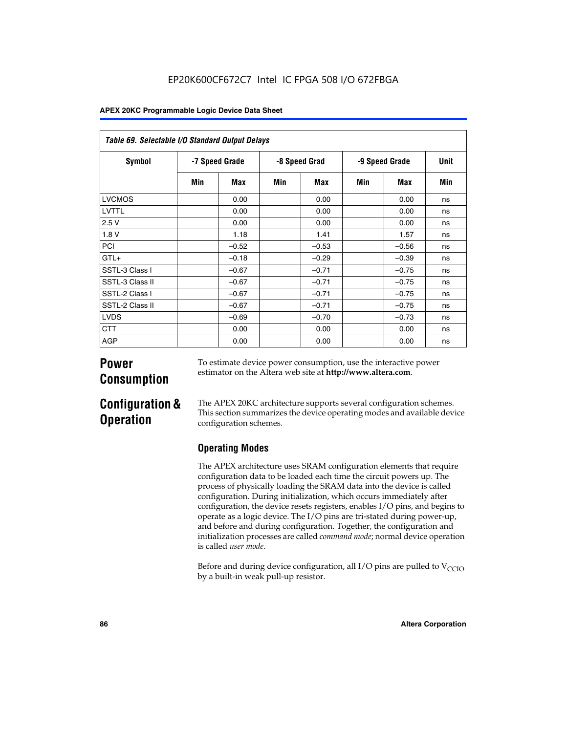| Table 69. Selectable I/O Standard Output Delays |                |         |               |         |                |         |      |  |
|-------------------------------------------------|----------------|---------|---------------|---------|----------------|---------|------|--|
| <b>Symbol</b>                                   | -7 Speed Grade |         | -8 Speed Grad |         | -9 Speed Grade |         | Unit |  |
|                                                 | Min            | Max     | Min           | Max     | Min            | Max     | Min  |  |
| <b>LVCMOS</b>                                   |                | 0.00    |               | 0.00    |                | 0.00    | ns   |  |
| LVTTL                                           |                | 0.00    |               | 0.00    |                | 0.00    | ns   |  |
| 2.5V                                            |                | 0.00    |               | 0.00    |                | 0.00    | ns   |  |
| 1.8V                                            |                | 1.18    |               | 1.41    |                | 1.57    | ns   |  |
| PCI                                             |                | $-0.52$ |               | $-0.53$ |                | $-0.56$ | ns   |  |
| $GTL+$                                          |                | $-0.18$ |               | $-0.29$ |                | $-0.39$ | ns   |  |
| SSTL-3 Class I                                  |                | $-0.67$ |               | $-0.71$ |                | $-0.75$ | ns   |  |
| SSTL-3 Class II                                 |                | $-0.67$ |               | $-0.71$ |                | $-0.75$ | ns   |  |
| SSTL-2 Class I                                  |                | $-0.67$ |               | $-0.71$ |                | $-0.75$ | ns   |  |
| SSTL-2 Class II                                 |                | $-0.67$ |               | $-0.71$ |                | $-0.75$ | ns   |  |
| <b>LVDS</b>                                     |                | $-0.69$ |               | $-0.70$ |                | $-0.73$ | ns   |  |
| <b>CTT</b>                                      |                | 0.00    |               | 0.00    |                | 0.00    | ns   |  |
| AGP                                             |                | 0.00    |               | 0.00    |                | 0.00    | ns   |  |

# **Power Consumption**

To estimate device power consumption, use the interactive power estimator on the Altera web site at **http://www.altera.com**.

# **Configuration & Operation**

The APEX 20KC architecture supports several configuration schemes. This section summarizes the device operating modes and available device configuration schemes.

## **Operating Modes**

The APEX architecture uses SRAM configuration elements that require configuration data to be loaded each time the circuit powers up. The process of physically loading the SRAM data into the device is called configuration. During initialization, which occurs immediately after configuration, the device resets registers, enables I/O pins, and begins to operate as a logic device. The I/O pins are tri-stated during power-up, and before and during configuration. Together, the configuration and initialization processes are called *command mode*; normal device operation is called *user mode*.

Before and during device configuration, all I/O pins are pulled to  $V_{CCIO}$ by a built-in weak pull-up resistor.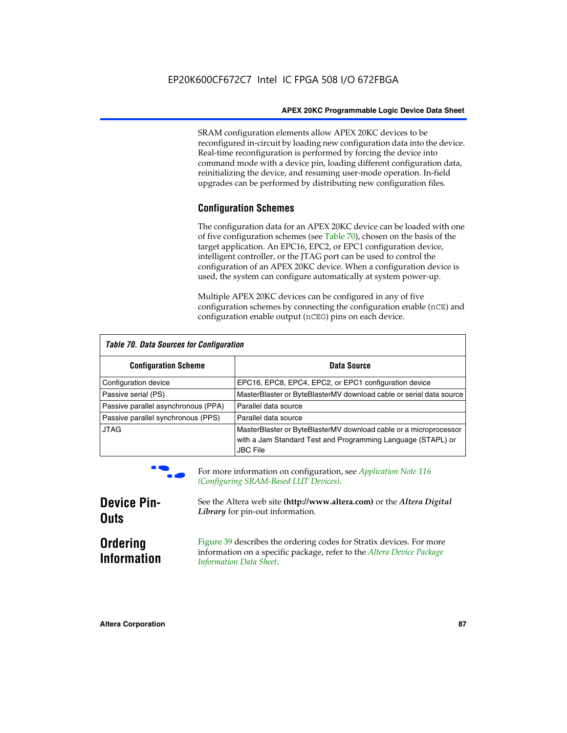SRAM configuration elements allow APEX 20KC devices to be reconfigured in-circuit by loading new configuration data into the device. Real-time reconfiguration is performed by forcing the device into command mode with a device pin, loading different configuration data, reinitializing the device, and resuming user-mode operation. In-field upgrades can be performed by distributing new configuration files.

### **Configuration Schemes**

The configuration data for an APEX 20KC device can be loaded with one of five configuration schemes (see Table 70), chosen on the basis of the target application. An EPC16, EPC2, or EPC1 configuration device, intelligent controller, or the JTAG port can be used to control the configuration of an APEX 20KC device. When a configuration device is used, the system can configure automatically at system power-up.

Multiple APEX 20KC devices can be configured in any of five configuration schemes by connecting the configuration enable (nCE) and configuration enable output (nCEO) pins on each device.

| Table 70. Data Sources for Configuration |                                                                                                                                                      |  |  |  |  |
|------------------------------------------|------------------------------------------------------------------------------------------------------------------------------------------------------|--|--|--|--|
| <b>Configuration Scheme</b>              | Data Source                                                                                                                                          |  |  |  |  |
| Configuration device                     | EPC16, EPC8, EPC4, EPC2, or EPC1 configuration device                                                                                                |  |  |  |  |
| Passive serial (PS)                      | MasterBlaster or ByteBlasterMV download cable or serial data source                                                                                  |  |  |  |  |
| Passive parallel asynchronous (PPA)      | Parallel data source                                                                                                                                 |  |  |  |  |
| Passive parallel synchronous (PPS)       | Parallel data source                                                                                                                                 |  |  |  |  |
| <b>JTAG</b>                              | MasterBlaster or ByteBlasterMV download cable or a microprocessor<br>with a Jam Standard Test and Programming Language (STAPL) or<br><b>JBC File</b> |  |  |  |  |



For more information on configuration, see *Application Note* 116 *(Configuring SRAM-Based LUT Devices).*

| <b>Device Pin-</b>                    | See the Altera web site (http://www.altera.com) or the Altera Digital                                                                                                    |
|---------------------------------------|--------------------------------------------------------------------------------------------------------------------------------------------------------------------------|
| <b>Outs</b>                           | Library for pin-out information.                                                                                                                                         |
| <b>Ordering</b><br><b>Information</b> | Figure 39 describes the ordering codes for Stratix devices. For more<br>information on a specific package, refer to the Altera Device Package<br>Information Data Sheet. |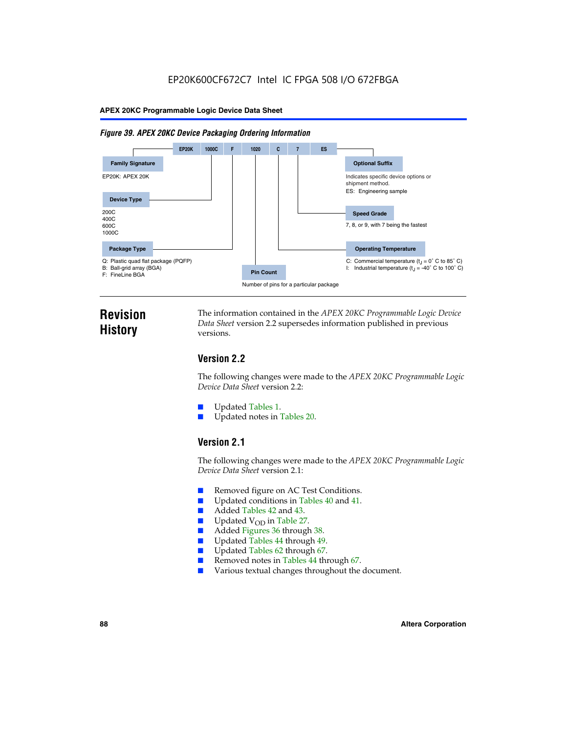#### *Figure 39. APEX 20KC Device Packaging Ordering Information*



# **Revision History**

The information contained in the *APEX 20KC Programmable Logic Device Data Sheet* version 2.2 supersedes information published in previous versions.

### **Version 2.2**

The following changes were made to the *APEX 20KC Programmable Logic Device Data Sheet* version 2.2:

- Updated Tables 1.
- Updated notes in Tables 20.

### **Version 2.1**

The following changes were made to the *APEX 20KC Programmable Logic Device Data Sheet* version 2.1:

- Removed figure on AC Test Conditions.
- Updated conditions in Tables 40 and 41.
- Added Tables 42 and 43.
- $\blacksquare$  Updated V<sub>OD</sub> in Table 27.<br>Added Figures 36 through
- Added Figures 36 through 38.
- Updated Tables 44 through 49.
- Updated Tables 62 through 67.
- Removed notes in Tables 44 through 67.
- Various textual changes throughout the document.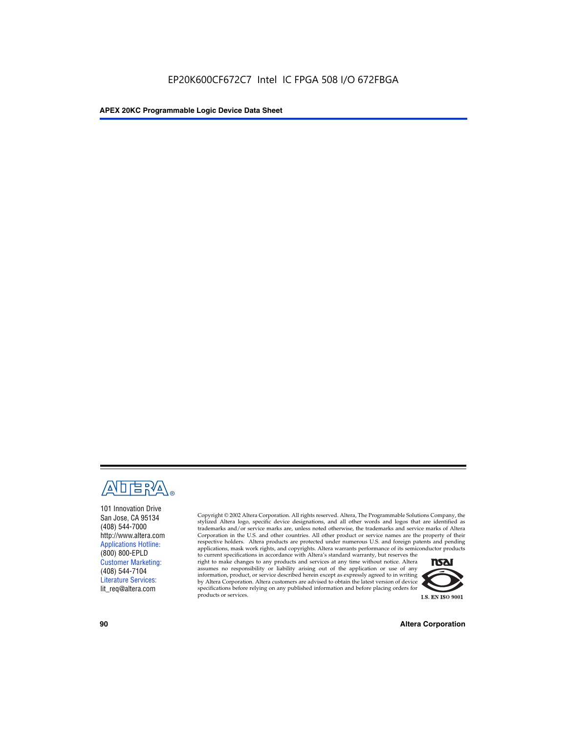

101 Innovation Drive San Jose, CA 95134 (408) 544-7000 http://www.altera.com Applications Hotline: (800) 800-EPLD Customer Marketing: (408) 544-7104 Literature Services: lit\_req@altera.com

Copyright © 2002 Altera Corporation. All rights reserved. Altera, The Programmable Solutions Company, the stylized Altera logo, specific device designations, and all other words and logos that are identified as trademarks and/or service marks are, unless noted otherwise, the trademarks and service marks of Altera Corporation in the U.S. and other countries. All other product or service names are the property of their respective holders. Altera products are protected under numerous U.S. and foreign patents and pending applications, mask work rights, and copyrights. Altera warrants performance of its semiconductor products

to current specifications in accordance with Altera's standard warranty, but reserves the right to make changes to any products and services at any time without notice. Altera assumes no responsibility or liability arising out of the application or use of any information, product, or service described herein except as expressly agreed to in writing by Altera Corporation. Altera customers are advised to obtain the latest version of device specifications before relying on any published information and before placing orders for products or services.



**90 Altera Corporation**